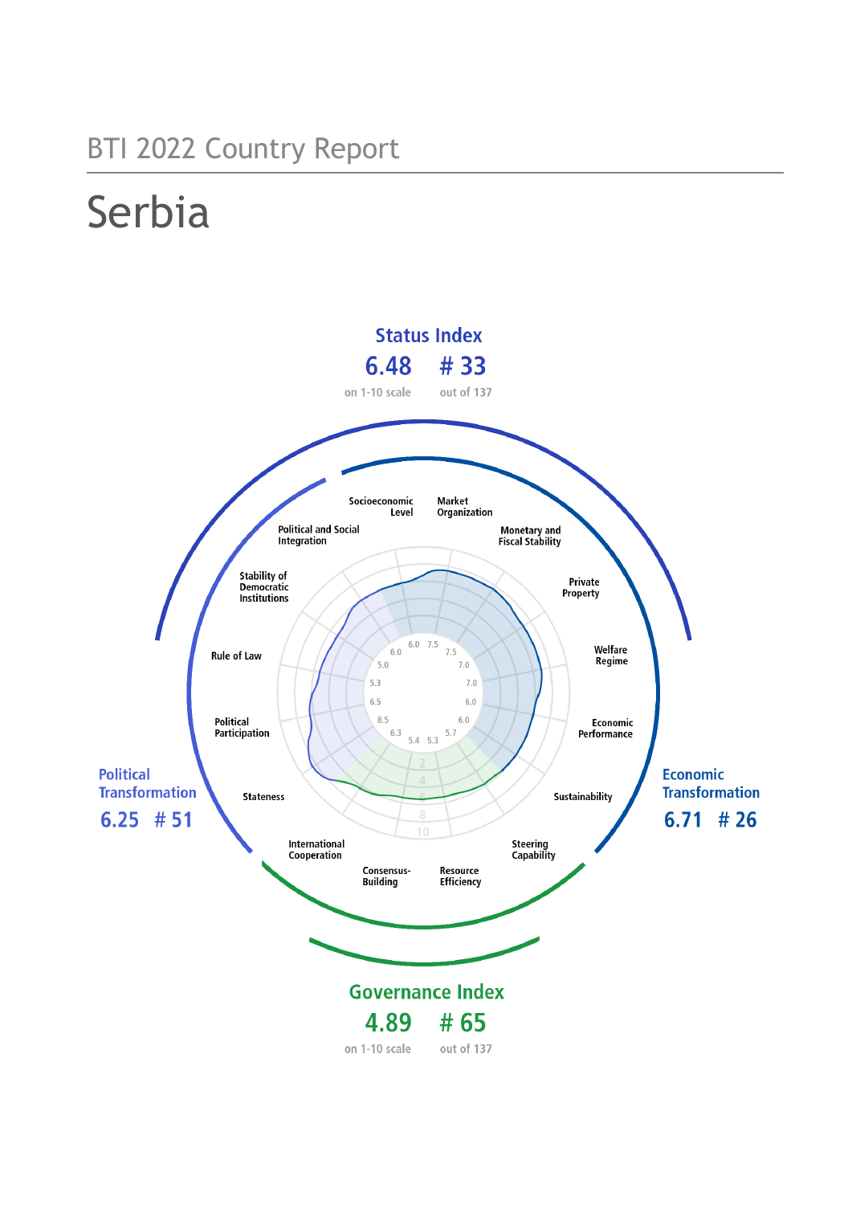## BTI 2022 Country Report

# Serbia

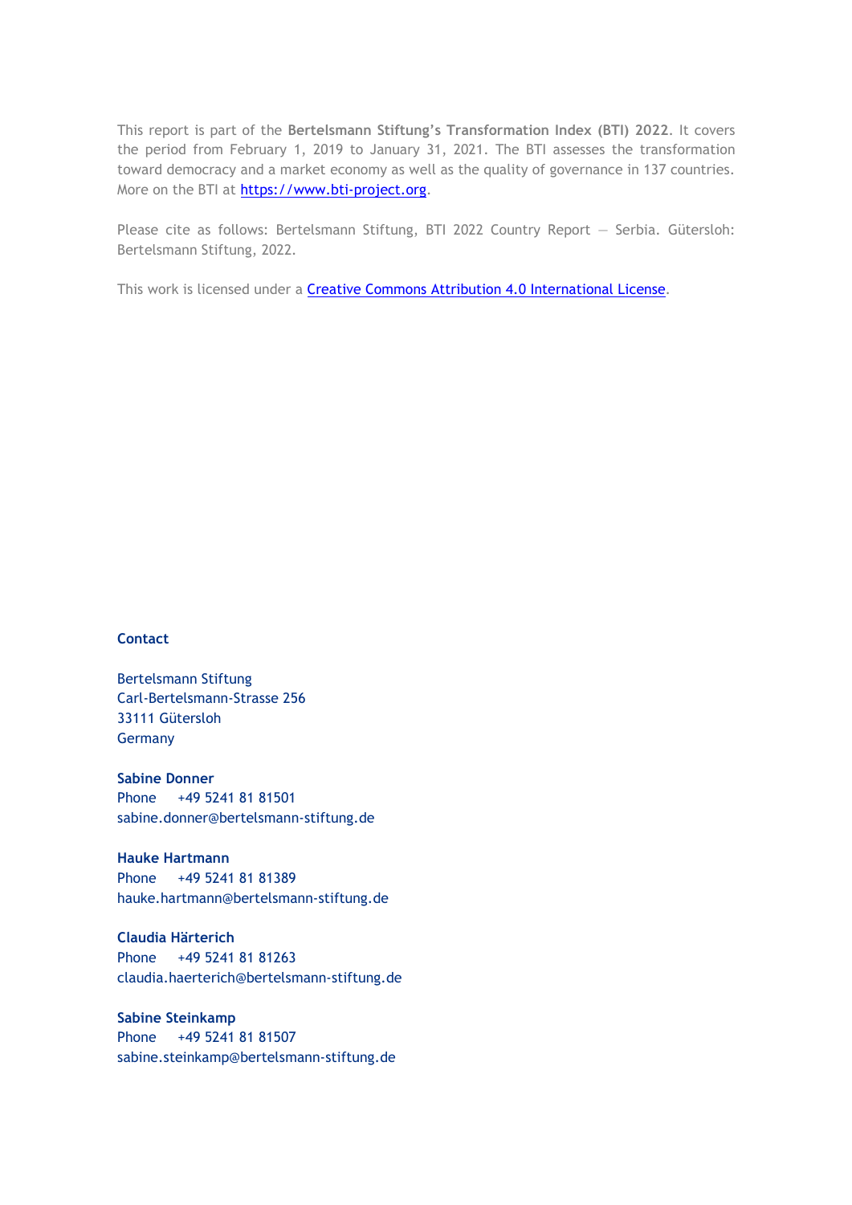This report is part of the **Bertelsmann Stiftung's Transformation Index (BTI) 2022**. It covers the period from February 1, 2019 to January 31, 2021. The BTI assesses the transformation toward democracy and a market economy as well as the quality of governance in 137 countries. More on the BTI at [https://www.bti-project.org.](http://www.bti-project.org/)

Please cite as follows: Bertelsmann Stiftung, BTI 2022 Country Report — Serbia. Gütersloh: Bertelsmann Stiftung, 2022.

This work is licensed under a **Creative Commons Attribution 4.0 International License**.

#### **Contact**

Bertelsmann Stiftung Carl-Bertelsmann-Strasse 256 33111 Gütersloh Germany

**Sabine Donner** Phone +49 5241 81 81501 sabine.donner@bertelsmann-stiftung.de

**Hauke Hartmann** Phone +49 5241 81 81389 hauke.hartmann@bertelsmann-stiftung.de

**Claudia Härterich** Phone +49 5241 81 81263 claudia.haerterich@bertelsmann-stiftung.de

#### **Sabine Steinkamp** Phone +49 5241 81 81507 sabine.steinkamp@bertelsmann-stiftung.de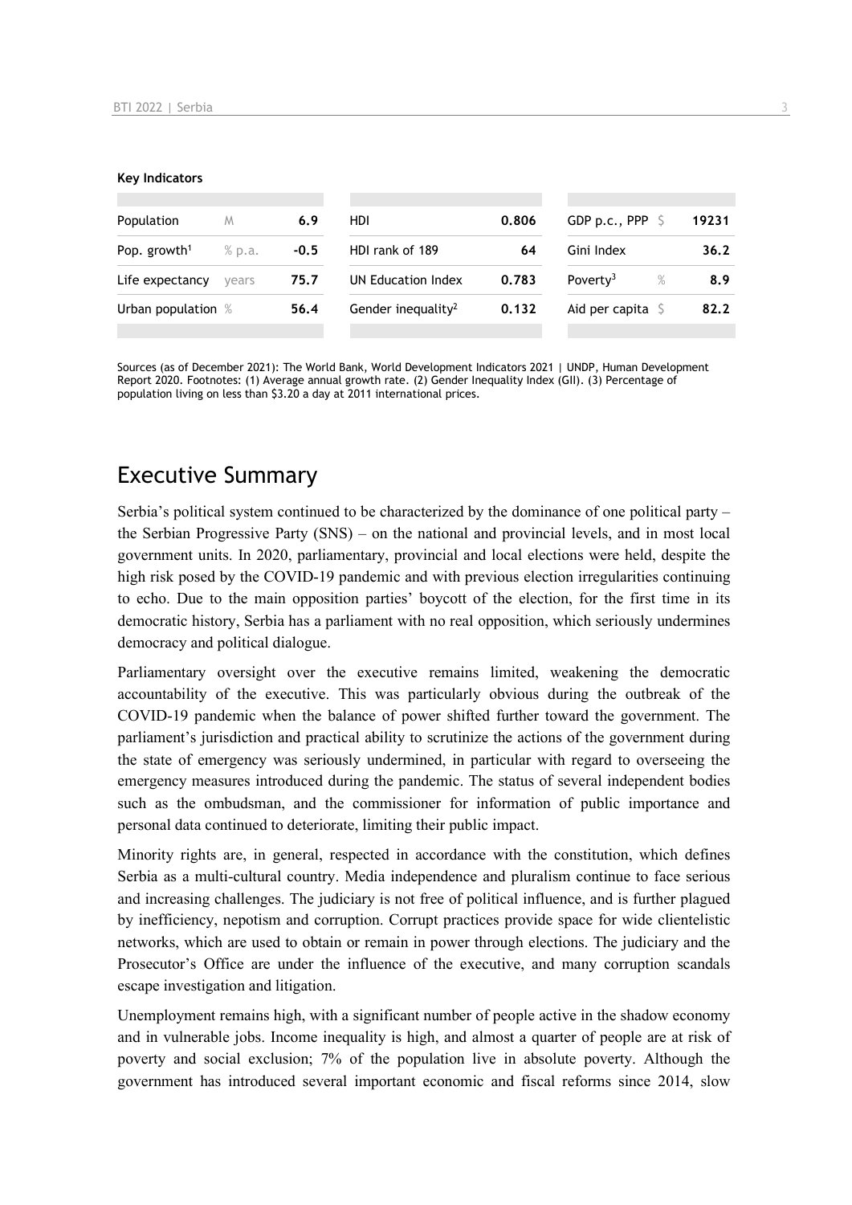#### **Key Indicators**

| Population               | M      | 6.9    | HDI                            | 0.806 | GDP p.c., PPP $\sqrt{5}$  |      | 19231 |  |
|--------------------------|--------|--------|--------------------------------|-------|---------------------------|------|-------|--|
| Pop. growth <sup>1</sup> | % p.a. | $-0.5$ | HDI rank of 189<br>64          |       | Gini Index                |      | 36.2  |  |
| Life expectancy          | vears  | 75.7   | UN Education Index             | 0.783 | Poverty <sup>3</sup>      | $\%$ | 8.9   |  |
| Urban population %       |        | 56.4   | Gender inequality <sup>2</sup> | 0.132 | Aid per capita $\sqrt{5}$ |      | 82.2  |  |
|                          |        |        |                                |       |                           |      |       |  |

Sources (as of December 2021): The World Bank, World Development Indicators 2021 | UNDP, Human Development Report 2020. Footnotes: (1) Average annual growth rate. (2) Gender Inequality Index (GII). (3) Percentage of population living on less than \$3.20 a day at 2011 international prices.

## Executive Summary

Serbia's political system continued to be characterized by the dominance of one political party – the Serbian Progressive Party (SNS) – on the national and provincial levels, and in most local government units. In 2020, parliamentary, provincial and local elections were held, despite the high risk posed by the COVID-19 pandemic and with previous election irregularities continuing to echo. Due to the main opposition parties' boycott of the election, for the first time in its democratic history, Serbia has a parliament with no real opposition, which seriously undermines democracy and political dialogue.

Parliamentary oversight over the executive remains limited, weakening the democratic accountability of the executive. This was particularly obvious during the outbreak of the COVID-19 pandemic when the balance of power shifted further toward the government. The parliament's jurisdiction and practical ability to scrutinize the actions of the government during the state of emergency was seriously undermined, in particular with regard to overseeing the emergency measures introduced during the pandemic. The status of several independent bodies such as the ombudsman, and the commissioner for information of public importance and personal data continued to deteriorate, limiting their public impact.

Minority rights are, in general, respected in accordance with the constitution, which defines Serbia as a multi-cultural country. Media independence and pluralism continue to face serious and increasing challenges. The judiciary is not free of political influence, and is further plagued by inefficiency, nepotism and corruption. Corrupt practices provide space for wide clientelistic networks, which are used to obtain or remain in power through elections. The judiciary and the Prosecutor's Office are under the influence of the executive, and many corruption scandals escape investigation and litigation.

Unemployment remains high, with a significant number of people active in the shadow economy and in vulnerable jobs. Income inequality is high, and almost a quarter of people are at risk of poverty and social exclusion; 7% of the population live in absolute poverty. Although the government has introduced several important economic and fiscal reforms since 2014, slow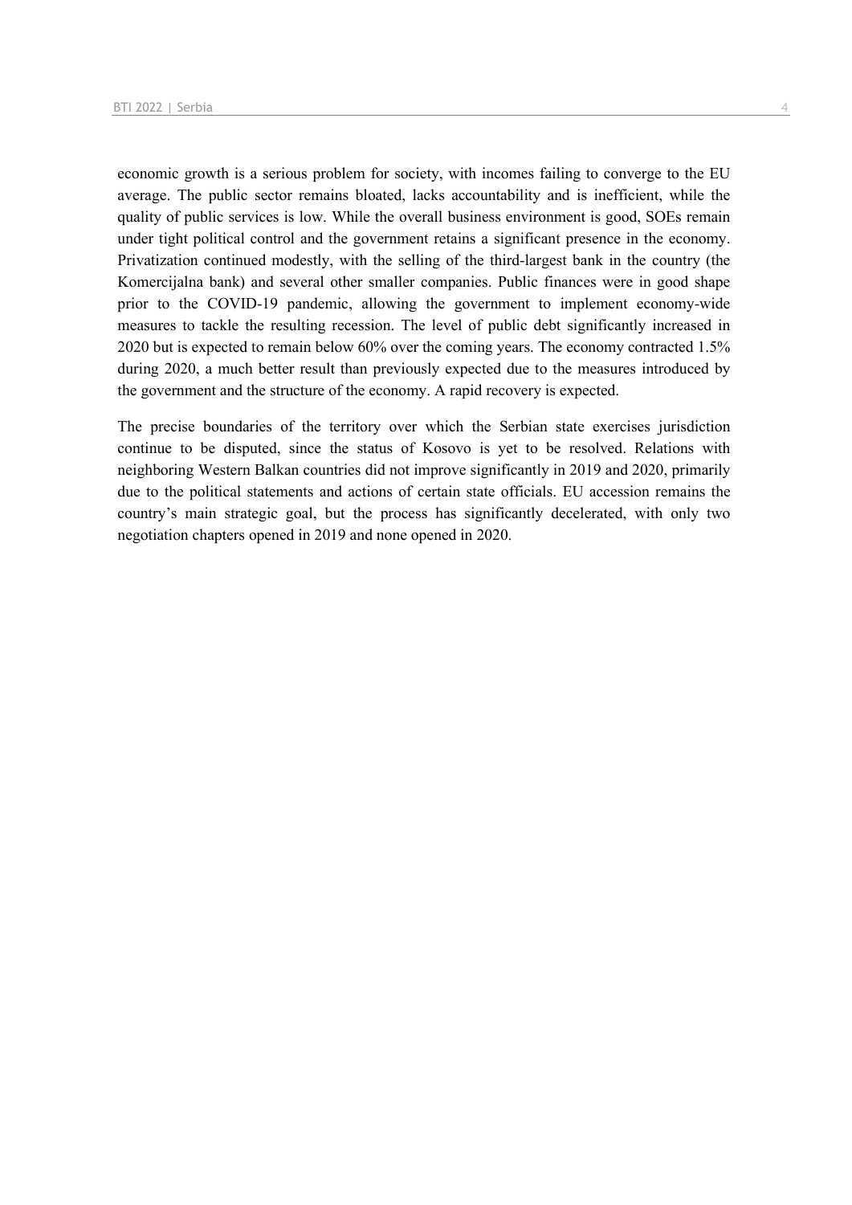economic growth is a serious problem for society, with incomes failing to converge to the EU average. The public sector remains bloated, lacks accountability and is inefficient, while the quality of public services is low. While the overall business environment is good, SOEs remain under tight political control and the government retains a significant presence in the economy. Privatization continued modestly, with the selling of the third-largest bank in the country (the Komercijalna bank) and several other smaller companies. Public finances were in good shape prior to the COVID-19 pandemic, allowing the government to implement economy-wide measures to tackle the resulting recession. The level of public debt significantly increased in 2020 but is expected to remain below 60% over the coming years. The economy contracted 1.5% during 2020, a much better result than previously expected due to the measures introduced by the government and the structure of the economy. A rapid recovery is expected.

The precise boundaries of the territory over which the Serbian state exercises jurisdiction continue to be disputed, since the status of Kosovo is yet to be resolved. Relations with neighboring Western Balkan countries did not improve significantly in 2019 and 2020, primarily due to the political statements and actions of certain state officials. EU accession remains the country's main strategic goal, but the process has significantly decelerated, with only two negotiation chapters opened in 2019 and none opened in 2020.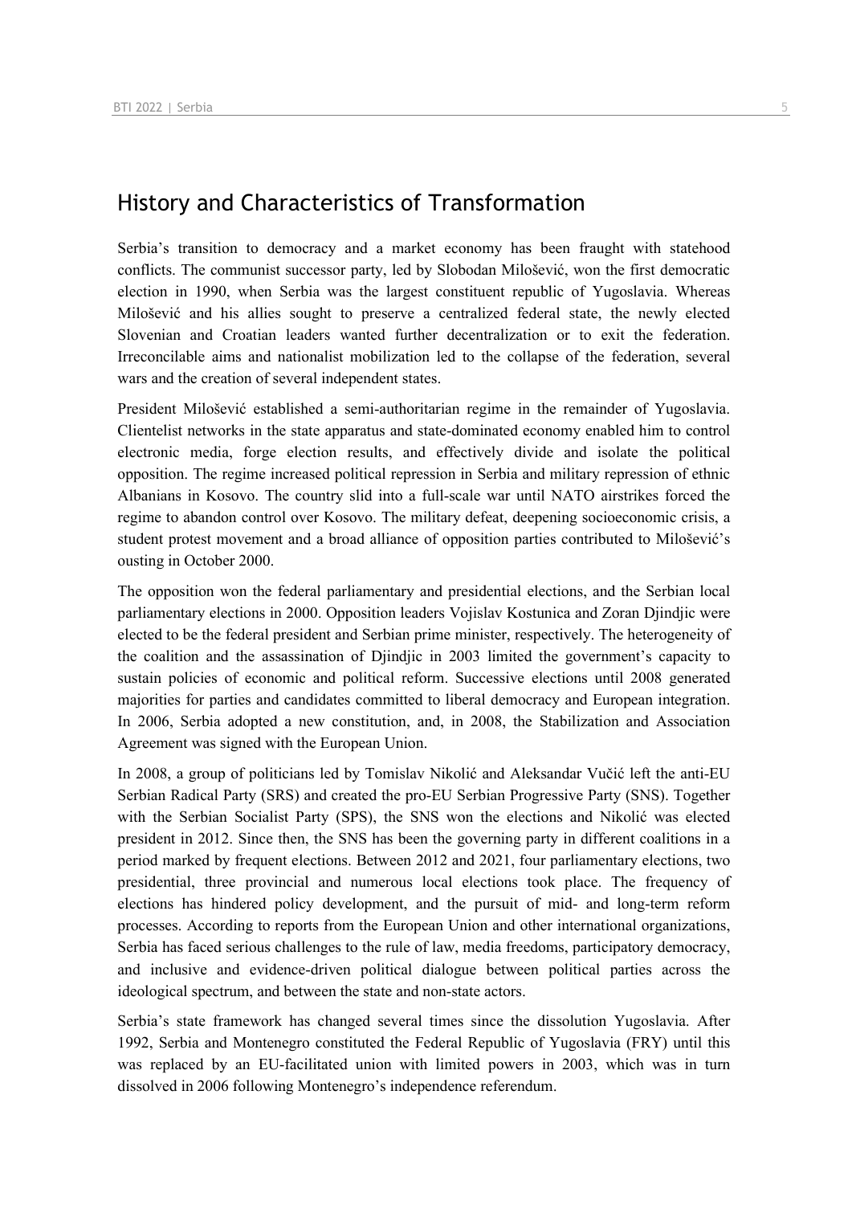## History and Characteristics of Transformation

Serbia's transition to democracy and a market economy has been fraught with statehood conflicts. The communist successor party, led by Slobodan Milošević, won the first democratic election in 1990, when Serbia was the largest constituent republic of Yugoslavia. Whereas Milošević and his allies sought to preserve a centralized federal state, the newly elected Slovenian and Croatian leaders wanted further decentralization or to exit the federation. Irreconcilable aims and nationalist mobilization led to the collapse of the federation, several wars and the creation of several independent states.

President Milošević established a semi-authoritarian regime in the remainder of Yugoslavia. Clientelist networks in the state apparatus and state-dominated economy enabled him to control electronic media, forge election results, and effectively divide and isolate the political opposition. The regime increased political repression in Serbia and military repression of ethnic Albanians in Kosovo. The country slid into a full-scale war until NATO airstrikes forced the regime to abandon control over Kosovo. The military defeat, deepening socioeconomic crisis, a student protest movement and a broad alliance of opposition parties contributed to Milošević's ousting in October 2000.

The opposition won the federal parliamentary and presidential elections, and the Serbian local parliamentary elections in 2000. Opposition leaders Vojislav Kostunica and Zoran Djindjic were elected to be the federal president and Serbian prime minister, respectively. The heterogeneity of the coalition and the assassination of Djindjic in 2003 limited the government's capacity to sustain policies of economic and political reform. Successive elections until 2008 generated majorities for parties and candidates committed to liberal democracy and European integration. In 2006, Serbia adopted a new constitution, and, in 2008, the Stabilization and Association Agreement was signed with the European Union.

In 2008, a group of politicians led by Tomislav Nikolić and Aleksandar Vučić left the anti-EU Serbian Radical Party (SRS) and created the pro-EU Serbian Progressive Party (SNS). Together with the Serbian Socialist Party (SPS), the SNS won the elections and Nikolić was elected president in 2012. Since then, the SNS has been the governing party in different coalitions in a period marked by frequent elections. Between 2012 and 2021, four parliamentary elections, two presidential, three provincial and numerous local elections took place. The frequency of elections has hindered policy development, and the pursuit of mid- and long-term reform processes. According to reports from the European Union and other international organizations, Serbia has faced serious challenges to the rule of law, media freedoms, participatory democracy, and inclusive and evidence-driven political dialogue between political parties across the ideological spectrum, and between the state and non-state actors.

Serbia's state framework has changed several times since the dissolution Yugoslavia. After 1992, Serbia and Montenegro constituted the Federal Republic of Yugoslavia (FRY) until this was replaced by an EU-facilitated union with limited powers in 2003, which was in turn dissolved in 2006 following Montenegro's independence referendum.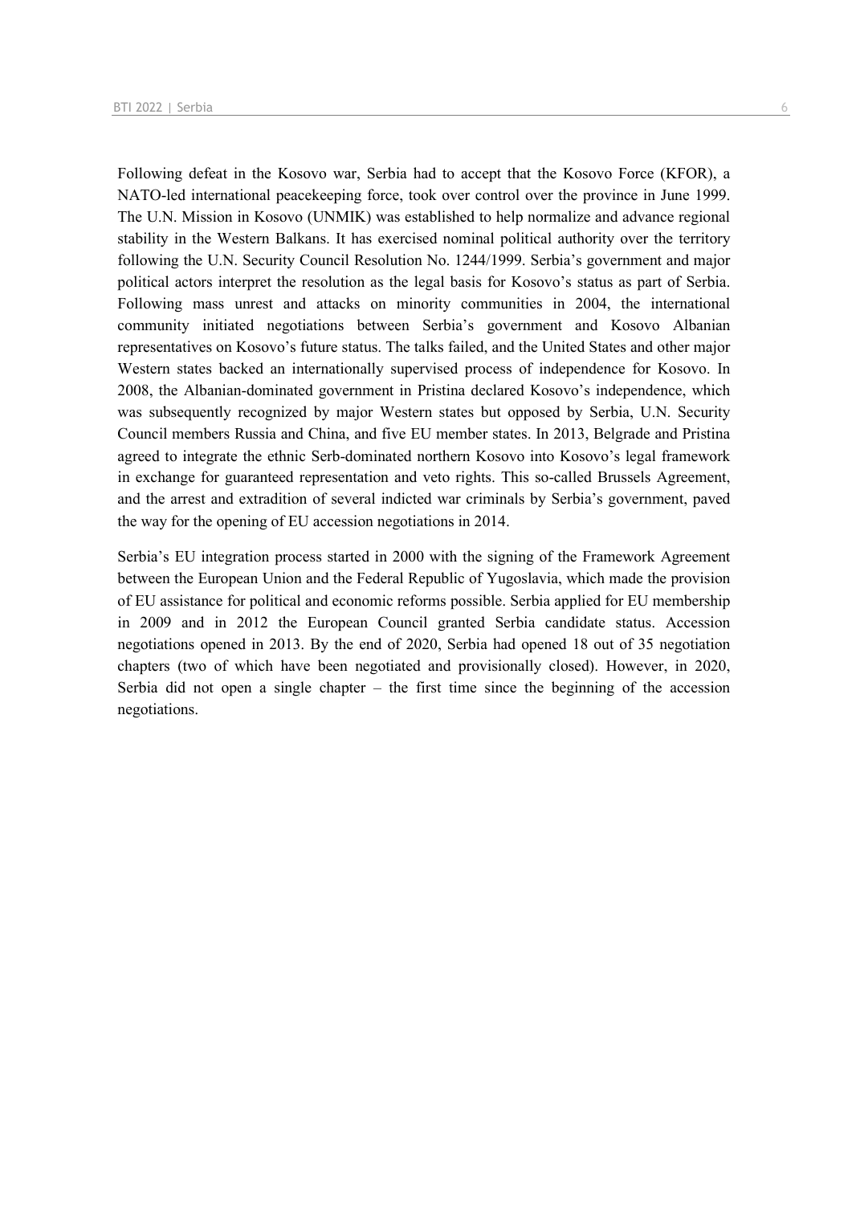Following defeat in the Kosovo war, Serbia had to accept that the Kosovo Force (KFOR), a NATO-led international peacekeeping force, took over control over the province in June 1999. The U.N. Mission in Kosovo (UNMIK) was established to help normalize and advance regional stability in the Western Balkans. It has exercised nominal political authority over the territory following the U.N. Security Council Resolution No. 1244/1999. Serbia's government and major political actors interpret the resolution as the legal basis for Kosovo's status as part of Serbia. Following mass unrest and attacks on minority communities in 2004, the international community initiated negotiations between Serbia's government and Kosovo Albanian representatives on Kosovo's future status. The talks failed, and the United States and other major Western states backed an internationally supervised process of independence for Kosovo. In 2008, the Albanian-dominated government in Pristina declared Kosovo's independence, which was subsequently recognized by major Western states but opposed by Serbia, U.N. Security Council members Russia and China, and five EU member states. In 2013, Belgrade and Pristina agreed to integrate the ethnic Serb-dominated northern Kosovo into Kosovo's legal framework in exchange for guaranteed representation and veto rights. This so-called Brussels Agreement, and the arrest and extradition of several indicted war criminals by Serbia's government, paved the way for the opening of EU accession negotiations in 2014.

Serbia's EU integration process started in 2000 with the signing of the Framework Agreement between the European Union and the Federal Republic of Yugoslavia, which made the provision of EU assistance for political and economic reforms possible. Serbia applied for EU membership in 2009 and in 2012 the European Council granted Serbia candidate status. Accession negotiations opened in 2013. By the end of 2020, Serbia had opened 18 out of 35 negotiation chapters (two of which have been negotiated and provisionally closed). However, in 2020, Serbia did not open a single chapter – the first time since the beginning of the accession negotiations.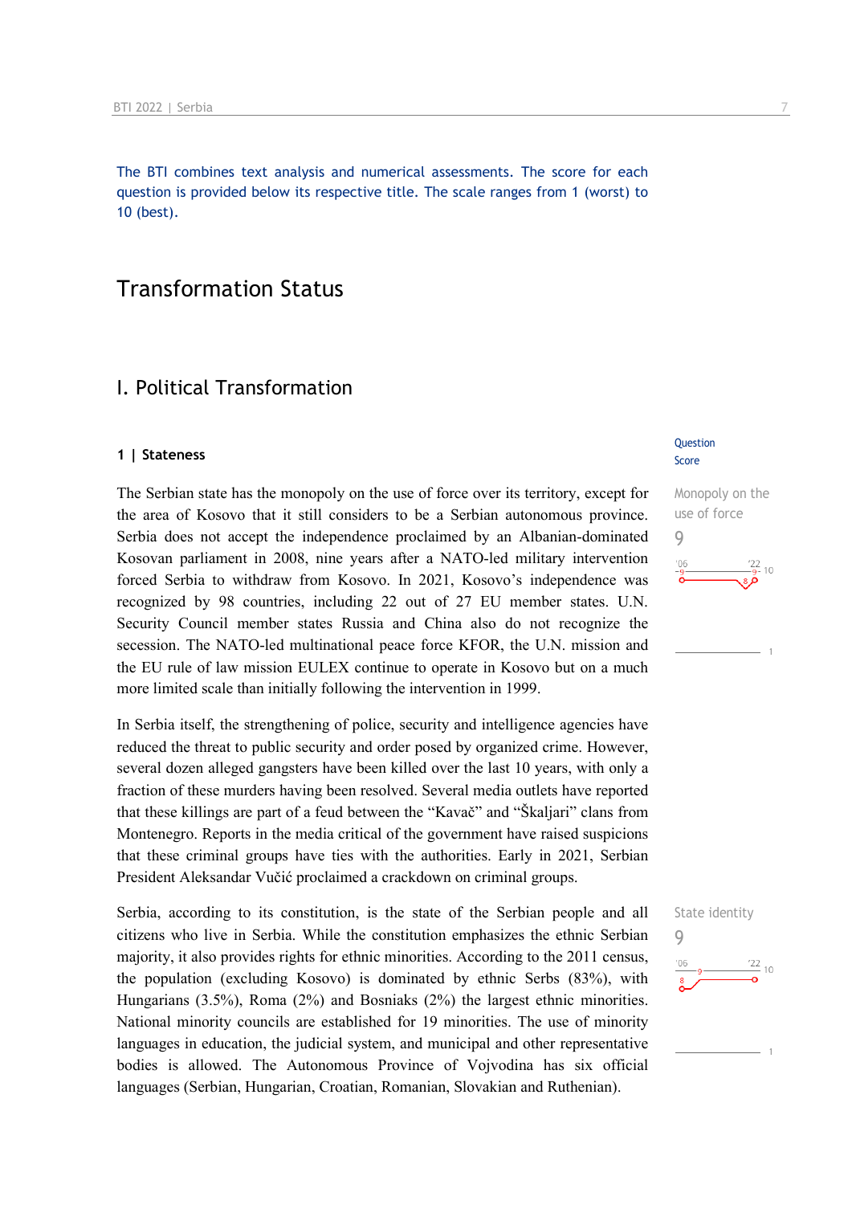The BTI combines text analysis and numerical assessments. The score for each question is provided below its respective title. The scale ranges from 1 (worst) to 10 (best).

## Transformation Status

### I. Political Transformation

#### **1 | Stateness**

The Serbian state has the monopoly on the use of force over its territory, except for the area of Kosovo that it still considers to be a Serbian autonomous province. Serbia does not accept the independence proclaimed by an Albanian-dominated Kosovan parliament in 2008, nine years after a NATO-led military intervention forced Serbia to withdraw from Kosovo. In 2021, Kosovo's independence was recognized by 98 countries, including 22 out of 27 EU member states. U.N. Security Council member states Russia and China also do not recognize the secession. The NATO-led multinational peace force KFOR, the U.N. mission and the EU rule of law mission EULEX continue to operate in Kosovo but on a much more limited scale than initially following the intervention in 1999.

In Serbia itself, the strengthening of police, security and intelligence agencies have reduced the threat to public security and order posed by organized crime. However, several dozen alleged gangsters have been killed over the last 10 years, with only a fraction of these murders having been resolved. Several media outlets have reported that these killings are part of a feud between the "Kavač" and "Škaljari" clans from Montenegro. Reports in the media critical of the government have raised suspicions that these criminal groups have ties with the authorities. Early in 2021, Serbian President Aleksandar Vučić proclaimed a crackdown on criminal groups.

Serbia, according to its constitution, is the state of the Serbian people and all citizens who live in Serbia. While the constitution emphasizes the ethnic Serbian majority, it also provides rights for ethnic minorities. According to the 2011 census, the population (excluding Kosovo) is dominated by ethnic Serbs (83%), with Hungarians (3.5%), Roma (2%) and Bosniaks (2%) the largest ethnic minorities. National minority councils are established for 19 minorities. The use of minority languages in education, the judicial system, and municipal and other representative bodies is allowed. The Autonomous Province of Vojvodina has six official languages (Serbian, Hungarian, Croatian, Romanian, Slovakian and Ruthenian).

#### **Question** Score

Monopoly on the use of force 9  $\frac{22}{9}$ - 10

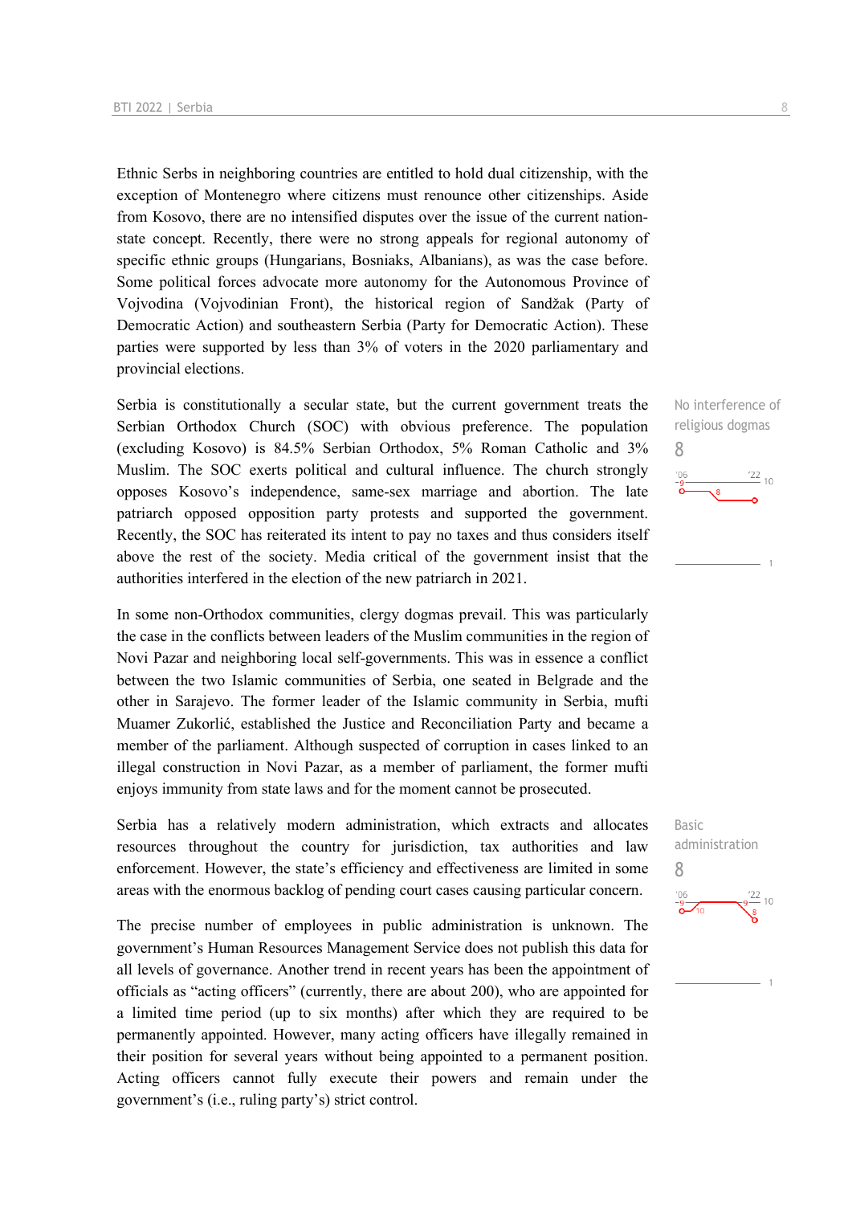Ethnic Serbs in neighboring countries are entitled to hold dual citizenship, with the exception of Montenegro where citizens must renounce other citizenships. Aside from Kosovo, there are no intensified disputes over the issue of the current nationstate concept. Recently, there were no strong appeals for regional autonomy of specific ethnic groups (Hungarians, Bosniaks, Albanians), as was the case before. Some political forces advocate more autonomy for the Autonomous Province of Vojvodina (Vojvodinian Front), the historical region of Sandžak (Party of Democratic Action) and southeastern Serbia (Party for Democratic Action). These parties were supported by less than 3% of voters in the 2020 parliamentary and provincial elections.

Serbia is constitutionally a secular state, but the current government treats the Serbian Orthodox Church (SOC) with obvious preference. The population (excluding Kosovo) is 84.5% Serbian Orthodox, 5% Roman Catholic and 3% Muslim. The SOC exerts political and cultural influence. The church strongly opposes Kosovo's independence, same-sex marriage and abortion. The late patriarch opposed opposition party protests and supported the government. Recently, the SOC has reiterated its intent to pay no taxes and thus considers itself above the rest of the society. Media critical of the government insist that the authorities interfered in the election of the new patriarch in 2021.

In some non-Orthodox communities, clergy dogmas prevail. This was particularly the case in the conflicts between leaders of the Muslim communities in the region of Novi Pazar and neighboring local self-governments. This was in essence a conflict between the two Islamic communities of Serbia, one seated in Belgrade and the other in Sarajevo. The former leader of the Islamic community in Serbia, mufti Muamer Zukorlić, established the Justice and Reconciliation Party and became a member of the parliament. Although suspected of corruption in cases linked to an illegal construction in Novi Pazar, as a member of parliament, the former mufti enjoys immunity from state laws and for the moment cannot be prosecuted.

Serbia has a relatively modern administration, which extracts and allocates resources throughout the country for jurisdiction, tax authorities and law enforcement. However, the state's efficiency and effectiveness are limited in some areas with the enormous backlog of pending court cases causing particular concern.

The precise number of employees in public administration is unknown. The government's Human Resources Management Service does not publish this data for all levels of governance. Another trend in recent years has been the appointment of officials as "acting officers" (currently, there are about 200), who are appointed for a limited time period (up to six months) after which they are required to be permanently appointed. However, many acting officers have illegally remained in their position for several years without being appointed to a permanent position. Acting officers cannot fully execute their powers and remain under the government's (i.e., ruling party's) strict control.



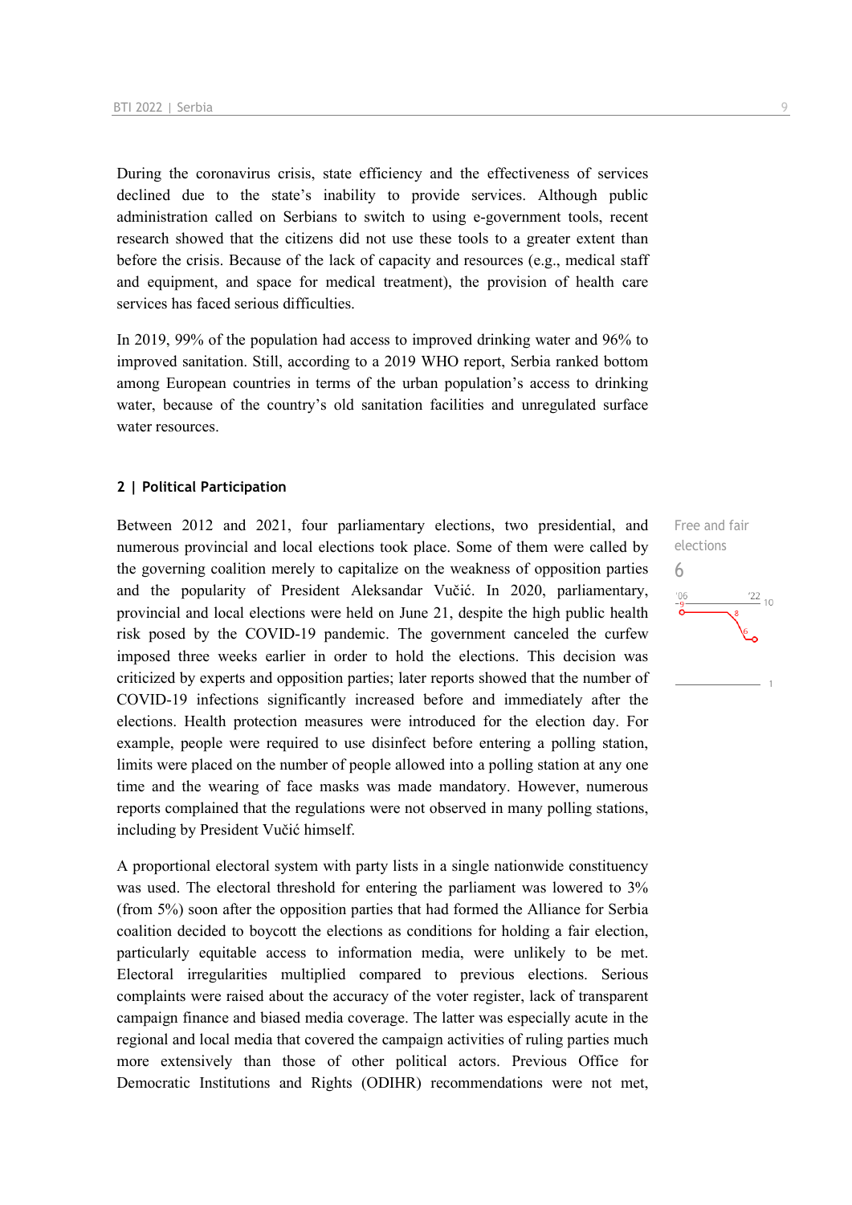During the coronavirus crisis, state efficiency and the effectiveness of services declined due to the state's inability to provide services. Although public administration called on Serbians to switch to using e-government tools, recent research showed that the citizens did not use these tools to a greater extent than before the crisis. Because of the lack of capacity and resources (e.g., medical staff and equipment, and space for medical treatment), the provision of health care services has faced serious difficulties.

In 2019, 99% of the population had access to improved drinking water and 96% to improved sanitation. Still, according to a 2019 WHO report, Serbia ranked bottom among European countries in terms of the urban population's access to drinking water, because of the country's old sanitation facilities and unregulated surface water resources.

#### **2 | Political Participation**

Between 2012 and 2021, four parliamentary elections, two presidential, and numerous provincial and local elections took place. Some of them were called by the governing coalition merely to capitalize on the weakness of opposition parties and the popularity of President Aleksandar Vučić. In 2020, parliamentary, provincial and local elections were held on June 21, despite the high public health risk posed by the COVID-19 pandemic. The government canceled the curfew imposed three weeks earlier in order to hold the elections. This decision was criticized by experts and opposition parties; later reports showed that the number of COVID-19 infections significantly increased before and immediately after the elections. Health protection measures were introduced for the election day. For example, people were required to use disinfect before entering a polling station, limits were placed on the number of people allowed into a polling station at any one time and the wearing of face masks was made mandatory. However, numerous reports complained that the regulations were not observed in many polling stations, including by President Vučić himself.

A proportional electoral system with party lists in a single nationwide constituency was used. The electoral threshold for entering the parliament was lowered to 3% (from 5%) soon after the opposition parties that had formed the Alliance for Serbia coalition decided to boycott the elections as conditions for holding a fair election, particularly equitable access to information media, were unlikely to be met. Electoral irregularities multiplied compared to previous elections. Serious complaints were raised about the accuracy of the voter register, lack of transparent campaign finance and biased media coverage. The latter was especially acute in the regional and local media that covered the campaign activities of ruling parties much more extensively than those of other political actors. Previous Office for Democratic Institutions and Rights (ODIHR) recommendations were not met,

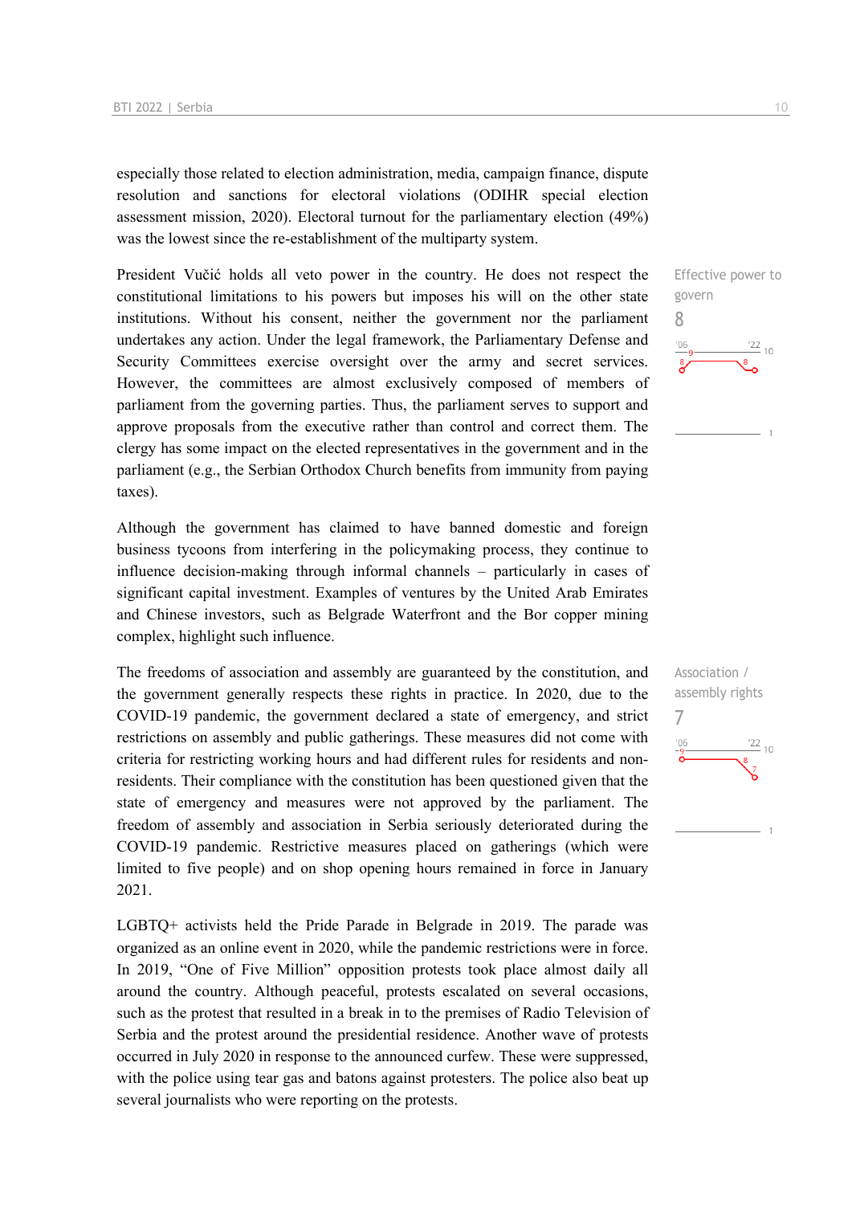especially those related to election administration, media, campaign finance, dispute resolution and sanctions for electoral violations (ODIHR special election assessment mission, 2020). Electoral turnout for the parliamentary election (49%) was the lowest since the re-establishment of the multiparty system.

President Vučić holds all veto power in the country. He does not respect the constitutional limitations to his powers but imposes his will on the other state institutions. Without his consent, neither the government nor the parliament undertakes any action. Under the legal framework, the Parliamentary Defense and Security Committees exercise oversight over the army and secret services. However, the committees are almost exclusively composed of members of parliament from the governing parties. Thus, the parliament serves to support and approve proposals from the executive rather than control and correct them. The clergy has some impact on the elected representatives in the government and in the parliament (e.g., the Serbian Orthodox Church benefits from immunity from paying taxes).

Although the government has claimed to have banned domestic and foreign business tycoons from interfering in the policymaking process, they continue to influence decision-making through informal channels – particularly in cases of significant capital investment. Examples of ventures by the United Arab Emirates and Chinese investors, such as Belgrade Waterfront and the Bor copper mining complex, highlight such influence.

The freedoms of association and assembly are guaranteed by the constitution, and the government generally respects these rights in practice. In 2020, due to the COVID-19 pandemic, the government declared a state of emergency, and strict restrictions on assembly and public gatherings. These measures did not come with criteria for restricting working hours and had different rules for residents and nonresidents. Their compliance with the constitution has been questioned given that the state of emergency and measures were not approved by the parliament. The freedom of assembly and association in Serbia seriously deteriorated during the COVID-19 pandemic. Restrictive measures placed on gatherings (which were limited to five people) and on shop opening hours remained in force in January 2021.

LGBTQ+ activists held the Pride Parade in Belgrade in 2019. The parade was organized as an online event in 2020, while the pandemic restrictions were in force. In 2019, "One of Five Million" opposition protests took place almost daily all around the country. Although peaceful, protests escalated on several occasions, such as the protest that resulted in a break in to the premises of Radio Television of Serbia and the protest around the presidential residence. Another wave of protests occurred in July 2020 in response to the announced curfew. These were suppressed, with the police using tear gas and batons against protesters. The police also beat up several journalists who were reporting on the protests.

Effective power to govern 8  $\frac{22}{10}$ 

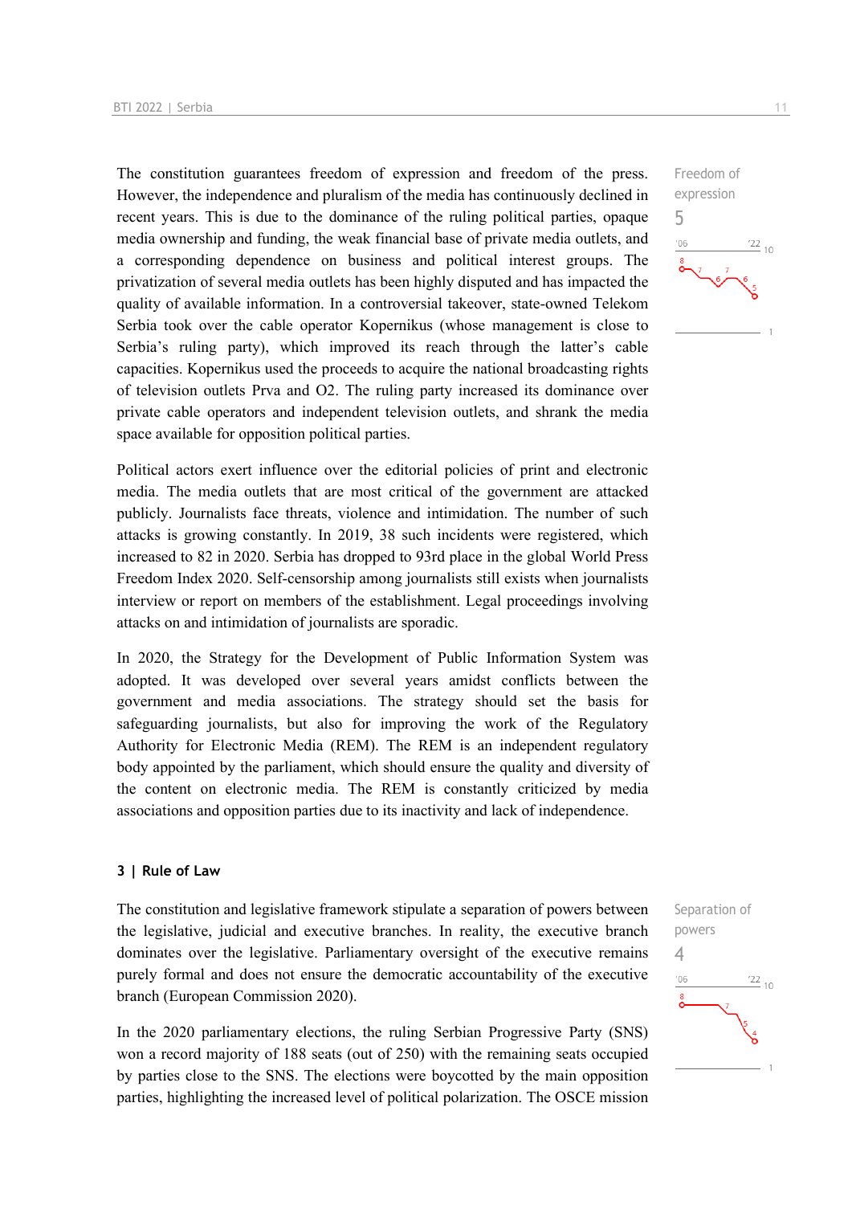The constitution guarantees freedom of expression and freedom of the press. However, the independence and pluralism of the media has continuously declined in recent years. This is due to the dominance of the ruling political parties, opaque media ownership and funding, the weak financial base of private media outlets, and a corresponding dependence on business and political interest groups. The privatization of several media outlets has been highly disputed and has impacted the quality of available information. In a controversial takeover, state-owned Telekom Serbia took over the cable operator Kopernikus (whose management is close to Serbia's ruling party), which improved its reach through the latter's cable capacities. Kopernikus used the proceeds to acquire the national broadcasting rights of television outlets Prva and O2. The ruling party increased its dominance over private cable operators and independent television outlets, and shrank the media space available for opposition political parties.

Political actors exert influence over the editorial policies of print and electronic media. The media outlets that are most critical of the government are attacked publicly. Journalists face threats, violence and intimidation. The number of such attacks is growing constantly. In 2019, 38 such incidents were registered, which increased to 82 in 2020. Serbia has dropped to 93rd place in the global World Press Freedom Index 2020. Self-censorship among journalists still exists when journalists interview or report on members of the establishment. Legal proceedings involving attacks on and intimidation of journalists are sporadic.

In 2020, the Strategy for the Development of Public Information System was adopted. It was developed over several years amidst conflicts between the government and media associations. The strategy should set the basis for safeguarding journalists, but also for improving the work of the Regulatory Authority for Electronic Media (REM). The REM is an independent regulatory body appointed by the parliament, which should ensure the quality and diversity of the content on electronic media. The REM is constantly criticized by media associations and opposition parties due to its inactivity and lack of independence.

#### **3 | Rule of Law**

The constitution and legislative framework stipulate a separation of powers between the legislative, judicial and executive branches. In reality, the executive branch dominates over the legislative. Parliamentary oversight of the executive remains purely formal and does not ensure the democratic accountability of the executive branch (European Commission 2020).

In the 2020 parliamentary elections, the ruling Serbian Progressive Party (SNS) won a record majority of 188 seats (out of 250) with the remaining seats occupied by parties close to the SNS. The elections were boycotted by the main opposition parties, highlighting the increased level of political polarization. The OSCE mission



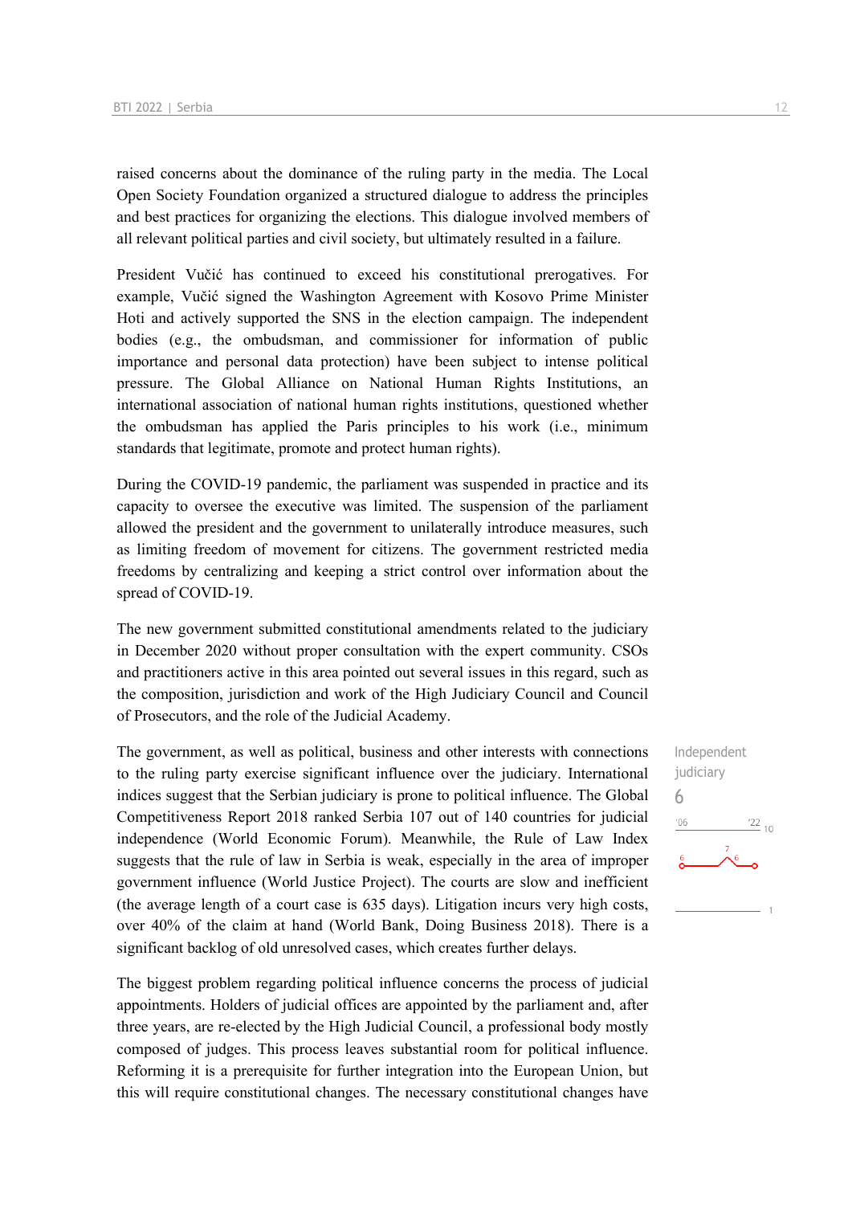raised concerns about the dominance of the ruling party in the media. The Local Open Society Foundation organized a structured dialogue to address the principles and best practices for organizing the elections. This dialogue involved members of all relevant political parties and civil society, but ultimately resulted in a failure.

President Vučić has continued to exceed his constitutional prerogatives. For example, Vučić signed the Washington Agreement with Kosovo Prime Minister Hoti and actively supported the SNS in the election campaign. The independent bodies (e.g., the ombudsman, and commissioner for information of public importance and personal data protection) have been subject to intense political pressure. The Global Alliance on National Human Rights Institutions, an international association of national human rights institutions, questioned whether the ombudsman has applied the Paris principles to his work (i.e., minimum standards that legitimate, promote and protect human rights).

During the COVID-19 pandemic, the parliament was suspended in practice and its capacity to oversee the executive was limited. The suspension of the parliament allowed the president and the government to unilaterally introduce measures, such as limiting freedom of movement for citizens. The government restricted media freedoms by centralizing and keeping a strict control over information about the spread of COVID-19.

The new government submitted constitutional amendments related to the judiciary in December 2020 without proper consultation with the expert community. CSOs and practitioners active in this area pointed out several issues in this regard, such as the composition, jurisdiction and work of the High Judiciary Council and Council of Prosecutors, and the role of the Judicial Academy.

The government, as well as political, business and other interests with connections to the ruling party exercise significant influence over the judiciary. International indices suggest that the Serbian judiciary is prone to political influence. The Global Competitiveness Report 2018 ranked Serbia 107 out of 140 countries for judicial independence (World Economic Forum). Meanwhile, the Rule of Law Index suggests that the rule of law in Serbia is weak, especially in the area of improper government influence (World Justice Project). The courts are slow and inefficient (the average length of a court case is 635 days). Litigation incurs very high costs, over 40% of the claim at hand (World Bank, Doing Business 2018). There is a significant backlog of old unresolved cases, which creates further delays.

The biggest problem regarding political influence concerns the process of judicial appointments. Holders of judicial offices are appointed by the parliament and, after three years, are re-elected by the High Judicial Council, a professional body mostly composed of judges. This process leaves substantial room for political influence. Reforming it is a prerequisite for further integration into the European Union, but this will require constitutional changes. The necessary constitutional changes have Independent judiciary 6 $106$  $\frac{22}{10}$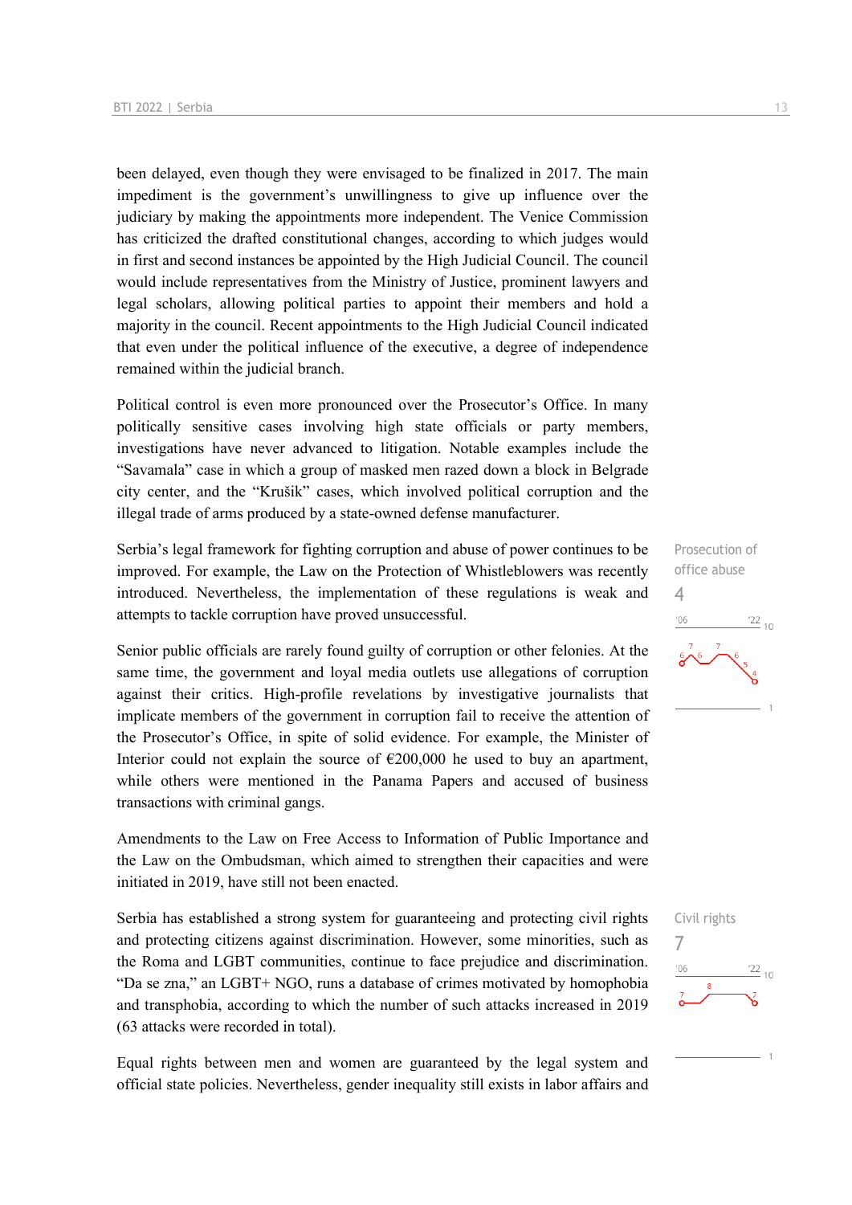been delayed, even though they were envisaged to be finalized in 2017. The main impediment is the government's unwillingness to give up influence over the judiciary by making the appointments more independent. The Venice Commission has criticized the drafted constitutional changes, according to which judges would in first and second instances be appointed by the High Judicial Council. The council would include representatives from the Ministry of Justice, prominent lawyers and legal scholars, allowing political parties to appoint their members and hold a majority in the council. Recent appointments to the High Judicial Council indicated that even under the political influence of the executive, a degree of independence remained within the judicial branch.

Political control is even more pronounced over the Prosecutor's Office. In many politically sensitive cases involving high state officials or party members, investigations have never advanced to litigation. Notable examples include the "Savamala" case in which a group of masked men razed down a block in Belgrade city center, and the "Krušik" cases, which involved political corruption and the illegal trade of arms produced by a state-owned defense manufacturer.

Serbia's legal framework for fighting corruption and abuse of power continues to be improved. For example, the Law on the Protection of Whistleblowers was recently introduced. Nevertheless, the implementation of these regulations is weak and attempts to tackle corruption have proved unsuccessful.

Senior public officials are rarely found guilty of corruption or other felonies. At the same time, the government and loyal media outlets use allegations of corruption against their critics. High-profile revelations by investigative journalists that implicate members of the government in corruption fail to receive the attention of the Prosecutor's Office, in spite of solid evidence. For example, the Minister of Interior could not explain the source of  $\epsilon$ 200,000 he used to buy an apartment, while others were mentioned in the Panama Papers and accused of business transactions with criminal gangs.

Amendments to the Law on Free Access to Information of Public Importance and the Law on the Ombudsman, which aimed to strengthen their capacities and were initiated in 2019, have still not been enacted.

Serbia has established a strong system for guaranteeing and protecting civil rights and protecting citizens against discrimination. However, some minorities, such as the Roma and LGBT communities, continue to face prejudice and discrimination. "Da se zna," an LGBT+ NGO, runs a database of crimes motivated by homophobia and transphobia, according to which the number of such attacks increased in 2019 (63 attacks were recorded in total).

Equal rights between men and women are guaranteed by the legal system and official state policies. Nevertheless, gender inequality still exists in labor affairs and Prosecution of office abuse 4  $\frac{22}{10}$ 

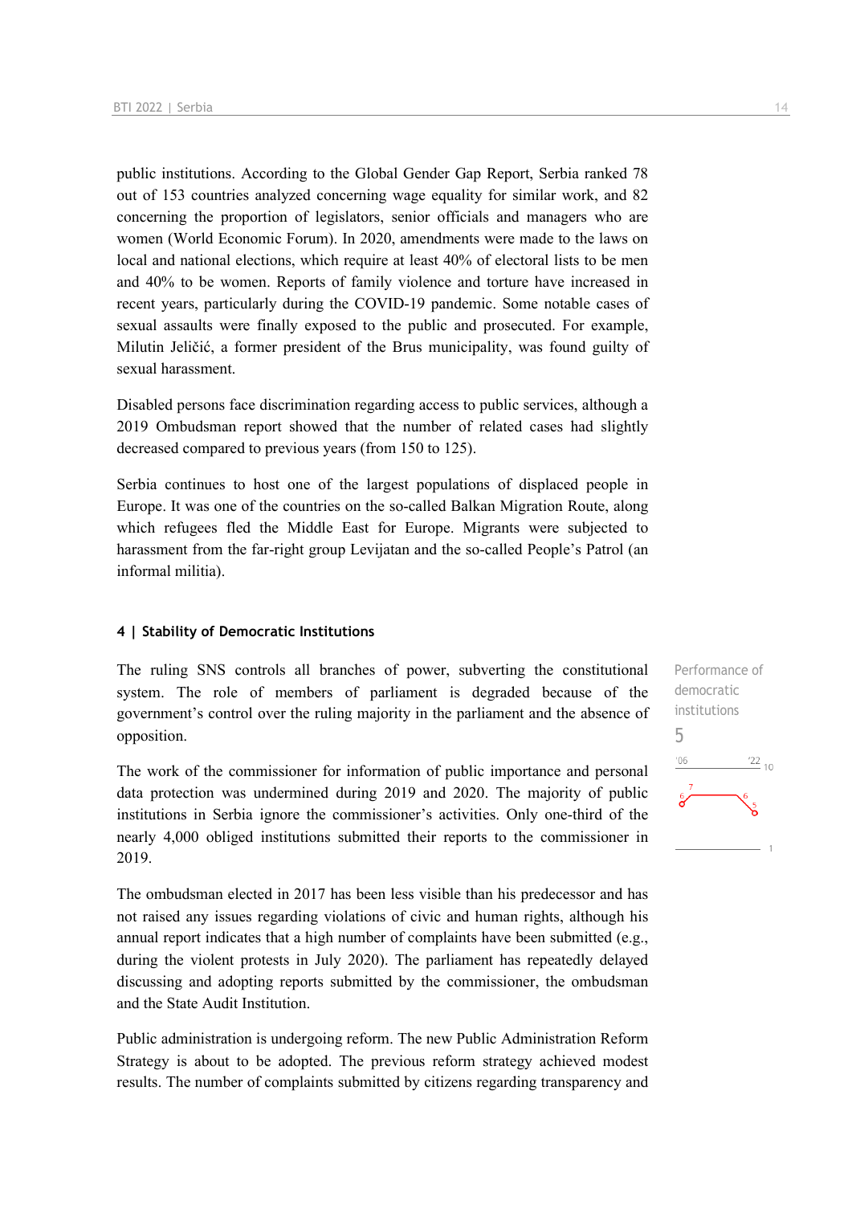public institutions. According to the Global Gender Gap Report, Serbia ranked 78 out of 153 countries analyzed concerning wage equality for similar work, and 82 concerning the proportion of legislators, senior officials and managers who are women (World Economic Forum). In 2020, amendments were made to the laws on local and national elections, which require at least 40% of electoral lists to be men and 40% to be women. Reports of family violence and torture have increased in recent years, particularly during the COVID-19 pandemic. Some notable cases of sexual assaults were finally exposed to the public and prosecuted. For example, Milutin Jeličić, a former president of the Brus municipality, was found guilty of sexual harassment.

Disabled persons face discrimination regarding access to public services, although a 2019 Ombudsman report showed that the number of related cases had slightly decreased compared to previous years (from 150 to 125).

Serbia continues to host one of the largest populations of displaced people in Europe. It was one of the countries on the so-called Balkan Migration Route, along which refugees fled the Middle East for Europe. Migrants were subjected to harassment from the far-right group Levijatan and the so-called People's Patrol (an informal militia).

#### **4 | Stability of Democratic Institutions**

The ruling SNS controls all branches of power, subverting the constitutional system. The role of members of parliament is degraded because of the government's control over the ruling majority in the parliament and the absence of opposition.

The work of the commissioner for information of public importance and personal data protection was undermined during 2019 and 2020. The majority of public institutions in Serbia ignore the commissioner's activities. Only one-third of the nearly 4,000 obliged institutions submitted their reports to the commissioner in 2019.

The ombudsman elected in 2017 has been less visible than his predecessor and has not raised any issues regarding violations of civic and human rights, although his annual report indicates that a high number of complaints have been submitted (e.g., during the violent protests in July 2020). The parliament has repeatedly delayed discussing and adopting reports submitted by the commissioner, the ombudsman and the State Audit Institution.

Public administration is undergoing reform. The new Public Administration Reform Strategy is about to be adopted. The previous reform strategy achieved modest results. The number of complaints submitted by citizens regarding transparency and Performance of democratic institutions 5 $\frac{22}{10}$  $-06$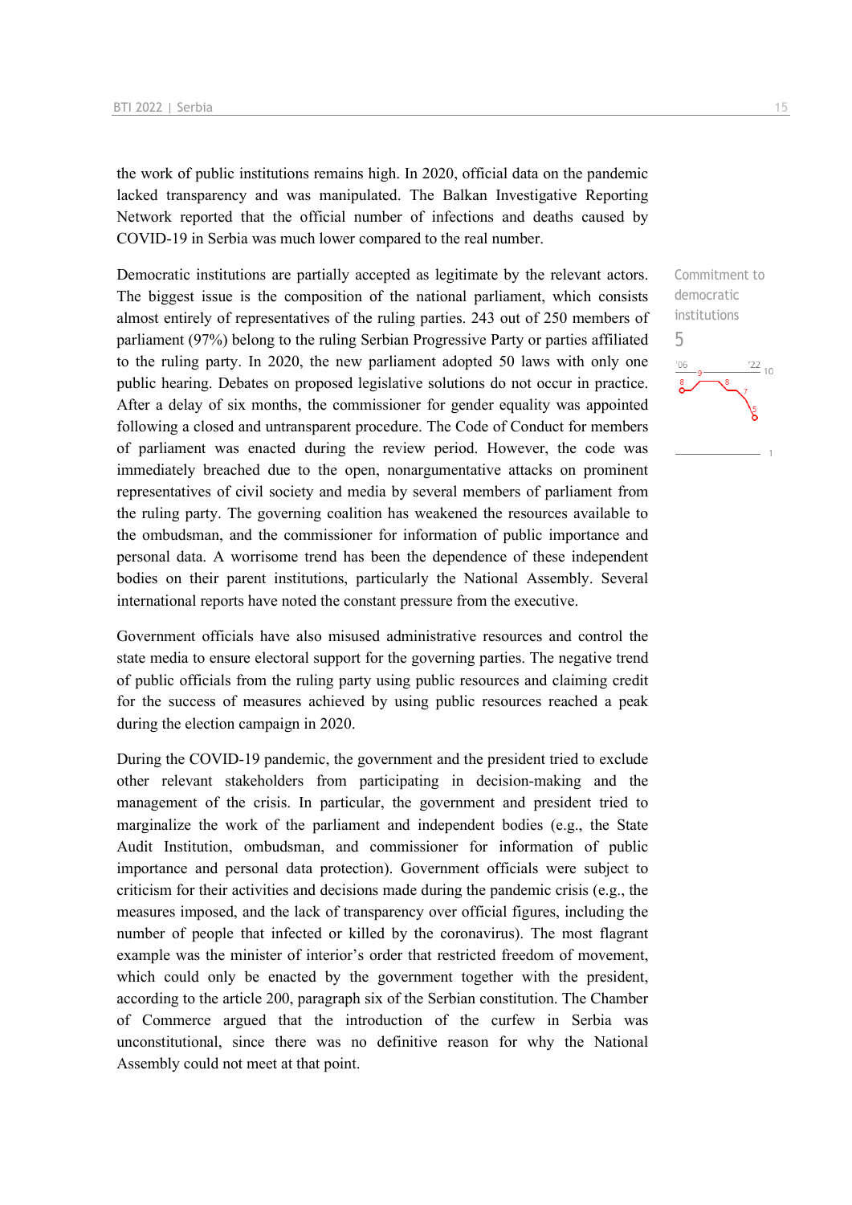the work of public institutions remains high. In 2020, official data on the pandemic lacked transparency and was manipulated. The Balkan Investigative Reporting Network reported that the official number of infections and deaths caused by COVID-19 in Serbia was much lower compared to the real number.

Democratic institutions are partially accepted as legitimate by the relevant actors. The biggest issue is the composition of the national parliament, which consists almost entirely of representatives of the ruling parties. 243 out of 250 members of parliament (97%) belong to the ruling Serbian Progressive Party or parties affiliated to the ruling party. In 2020, the new parliament adopted 50 laws with only one public hearing. Debates on proposed legislative solutions do not occur in practice. After a delay of six months, the commissioner for gender equality was appointed following a closed and untransparent procedure. The Code of Conduct for members of parliament was enacted during the review period. However, the code was immediately breached due to the open, nonargumentative attacks on prominent representatives of civil society and media by several members of parliament from the ruling party. The governing coalition has weakened the resources available to the ombudsman, and the commissioner for information of public importance and personal data. A worrisome trend has been the dependence of these independent bodies on their parent institutions, particularly the National Assembly. Several international reports have noted the constant pressure from the executive.

Government officials have also misused administrative resources and control the state media to ensure electoral support for the governing parties. The negative trend of public officials from the ruling party using public resources and claiming credit for the success of measures achieved by using public resources reached a peak during the election campaign in 2020.

During the COVID-19 pandemic, the government and the president tried to exclude other relevant stakeholders from participating in decision-making and the management of the crisis. In particular, the government and president tried to marginalize the work of the parliament and independent bodies (e.g., the State Audit Institution, ombudsman, and commissioner for information of public importance and personal data protection). Government officials were subject to criticism for their activities and decisions made during the pandemic crisis (e.g., the measures imposed, and the lack of transparency over official figures, including the number of people that infected or killed by the coronavirus). The most flagrant example was the minister of interior's order that restricted freedom of movement, which could only be enacted by the government together with the president, according to the article 200, paragraph six of the Serbian constitution. The Chamber of Commerce argued that the introduction of the curfew in Serbia was unconstitutional, since there was no definitive reason for why the National Assembly could not meet at that point.

5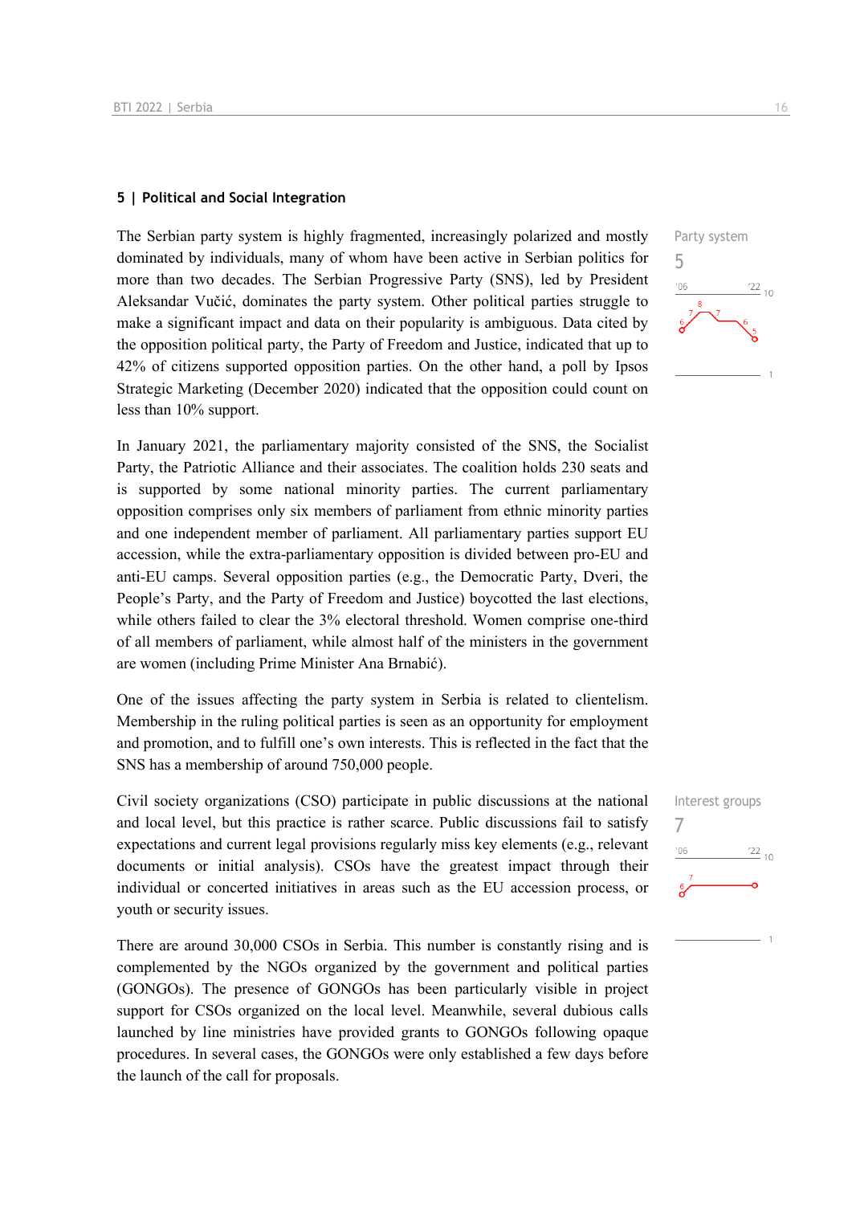#### **5 | Political and Social Integration**

The Serbian party system is highly fragmented, increasingly polarized and mostly dominated by individuals, many of whom have been active in Serbian politics for more than two decades. The Serbian Progressive Party (SNS), led by President Aleksandar Vučić, dominates the party system. Other political parties struggle to make a significant impact and data on their popularity is ambiguous. Data cited by the opposition political party, the Party of Freedom and Justice, indicated that up to 42% of citizens supported opposition parties. On the other hand, a poll by Ipsos Strategic Marketing (December 2020) indicated that the opposition could count on less than 10% support.

In January 2021, the parliamentary majority consisted of the SNS, the Socialist Party, the Patriotic Alliance and their associates. The coalition holds 230 seats and is supported by some national minority parties. The current parliamentary opposition comprises only six members of parliament from ethnic minority parties and one independent member of parliament. All parliamentary parties support EU accession, while the extra-parliamentary opposition is divided between pro-EU and anti-EU camps. Several opposition parties (e.g., the Democratic Party, Dveri, the People's Party, and the Party of Freedom and Justice) boycotted the last elections, while others failed to clear the 3% electoral threshold. Women comprise one-third of all members of parliament, while almost half of the ministers in the government are women (including Prime Minister Ana Brnabić).

One of the issues affecting the party system in Serbia is related to clientelism. Membership in the ruling political parties is seen as an opportunity for employment and promotion, and to fulfill one's own interests. This is reflected in the fact that the SNS has a membership of around 750,000 people.

Civil society organizations (CSO) participate in public discussions at the national and local level, but this practice is rather scarce. Public discussions fail to satisfy expectations and current legal provisions regularly miss key elements (e.g., relevant documents or initial analysis). CSOs have the greatest impact through their individual or concerted initiatives in areas such as the EU accession process, or youth or security issues.

There are around 30,000 CSOs in Serbia. This number is constantly rising and is complemented by the NGOs organized by the government and political parties (GONGOs). The presence of GONGOs has been particularly visible in project support for CSOs organized on the local level. Meanwhile, several dubious calls launched by line ministries have provided grants to GONGOs following opaque procedures. In several cases, the GONGOs were only established a few days before the launch of the call for proposals.



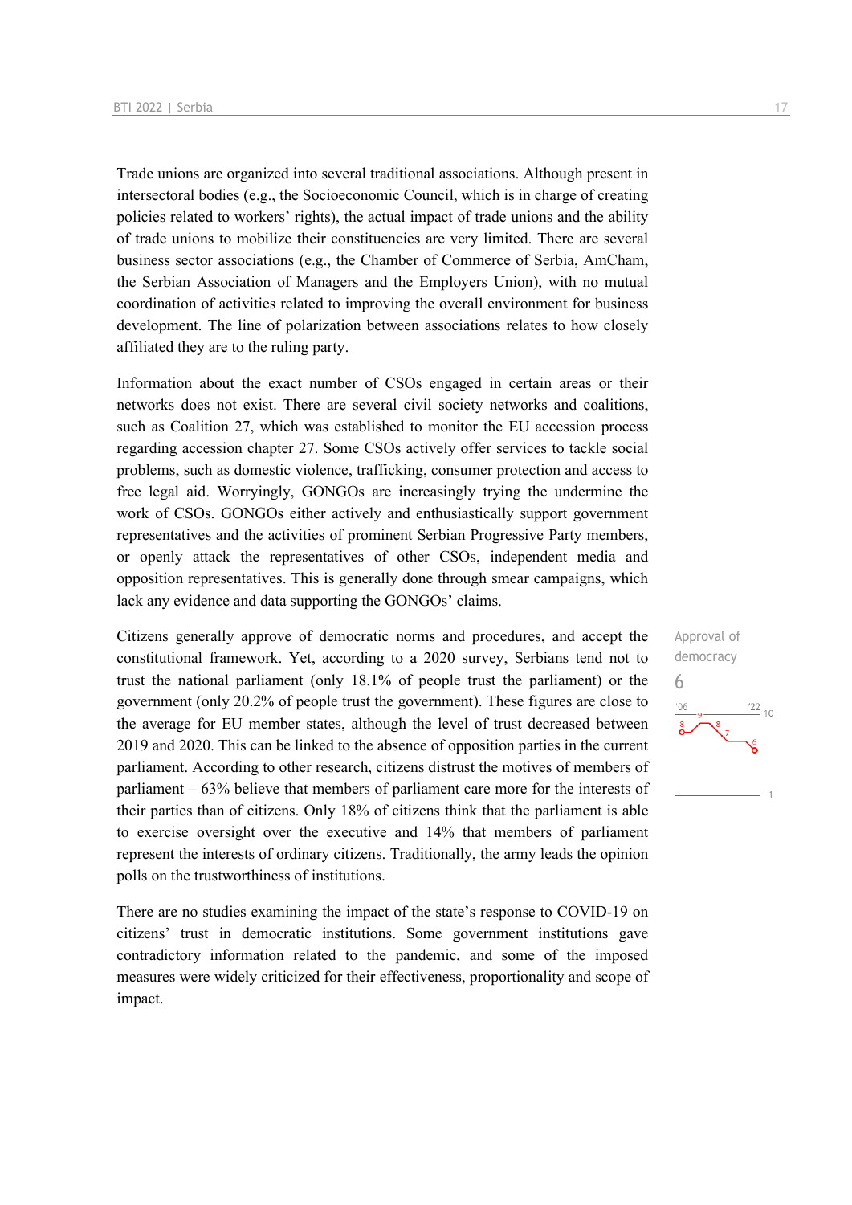Trade unions are organized into several traditional associations. Although present in intersectoral bodies (e.g., the Socioeconomic Council, which is in charge of creating policies related to workers' rights), the actual impact of trade unions and the ability of trade unions to mobilize their constituencies are very limited. There are several business sector associations (e.g., the Chamber of Commerce of Serbia, AmCham, the Serbian Association of Managers and the Employers Union), with no mutual coordination of activities related to improving the overall environment for business development. The line of polarization between associations relates to how closely affiliated they are to the ruling party.

Information about the exact number of CSOs engaged in certain areas or their networks does not exist. There are several civil society networks and coalitions, such as Coalition 27, which was established to monitor the EU accession process regarding accession chapter 27. Some CSOs actively offer services to tackle social problems, such as domestic violence, trafficking, consumer protection and access to free legal aid. Worryingly, GONGOs are increasingly trying the undermine the work of CSOs. GONGOs either actively and enthusiastically support government representatives and the activities of prominent Serbian Progressive Party members, or openly attack the representatives of other CSOs, independent media and opposition representatives. This is generally done through smear campaigns, which lack any evidence and data supporting the GONGOs' claims.

Citizens generally approve of democratic norms and procedures, and accept the constitutional framework. Yet, according to a 2020 survey, Serbians tend not to trust the national parliament (only 18.1% of people trust the parliament) or the government (only 20.2% of people trust the government). These figures are close to the average for EU member states, although the level of trust decreased between 2019 and 2020. This can be linked to the absence of opposition parties in the current parliament. According to other research, citizens distrust the motives of members of parliament – 63% believe that members of parliament care more for the interests of their parties than of citizens. Only 18% of citizens think that the parliament is able to exercise oversight over the executive and 14% that members of parliament represent the interests of ordinary citizens. Traditionally, the army leads the opinion polls on the trustworthiness of institutions.

There are no studies examining the impact of the state's response to COVID-19 on citizens' trust in democratic institutions. Some government institutions gave contradictory information related to the pandemic, and some of the imposed measures were widely criticized for their effectiveness, proportionality and scope of impact.

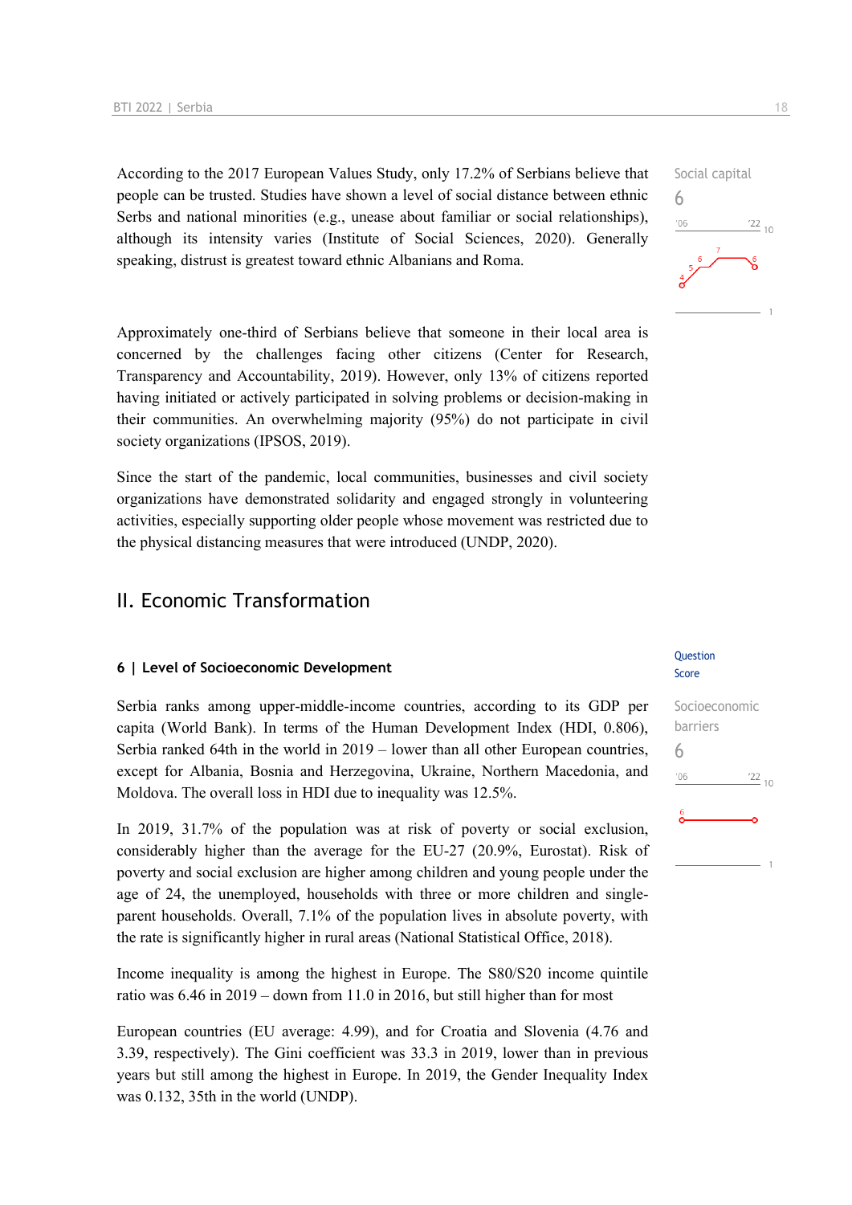According to the 2017 European Values Study, only 17.2% of Serbians believe that people can be trusted. Studies have shown a level of social distance between ethnic Serbs and national minorities (e.g., unease about familiar or social relationships), although its intensity varies (Institute of Social Sciences, 2020). Generally speaking, distrust is greatest toward ethnic Albanians and Roma.

Approximately one-third of Serbians believe that someone in their local area is concerned by the challenges facing other citizens (Center for Research, Transparency and Accountability, 2019). However, only 13% of citizens reported having initiated or actively participated in solving problems or decision-making in their communities. An overwhelming majority (95%) do not participate in civil society organizations (IPSOS, 2019).

Since the start of the pandemic, local communities, businesses and civil society organizations have demonstrated solidarity and engaged strongly in volunteering activities, especially supporting older people whose movement was restricted due to the physical distancing measures that were introduced (UNDP, 2020).

#### II. Economic Transformation

#### **6 | Level of Socioeconomic Development**

Serbia ranks among upper-middle-income countries, according to its GDP per capita (World Bank). In terms of the Human Development Index (HDI, 0.806), Serbia ranked 64th in the world in 2019 – lower than all other European countries, except for Albania, Bosnia and Herzegovina, Ukraine, Northern Macedonia, and Moldova. The overall loss in HDI due to inequality was 12.5%.

In 2019, 31.7% of the population was at risk of poverty or social exclusion, considerably higher than the average for the EU-27 (20.9%, Eurostat). Risk of poverty and social exclusion are higher among children and young people under the age of 24, the unemployed, households with three or more children and singleparent households. Overall, 7.1% of the population lives in absolute poverty, with the rate is significantly higher in rural areas (National Statistical Office, 2018).

Income inequality is among the highest in Europe. The S80/S20 income quintile ratio was 6.46 in 2019 – down from 11.0 in 2016, but still higher than for most

European countries (EU average: 4.99), and for Croatia and Slovenia (4.76 and 3.39, respectively). The Gini coefficient was 33.3 in 2019, lower than in previous years but still among the highest in Europe. In 2019, the Gender Inequality Index was 0.132, 35th in the world (UNDP).

#### **Ouestion** Score

## Socioeconomic barriers 6 $\frac{22}{10}$  $-06$

## Social capital 6  $106$  $\frac{22}{10}$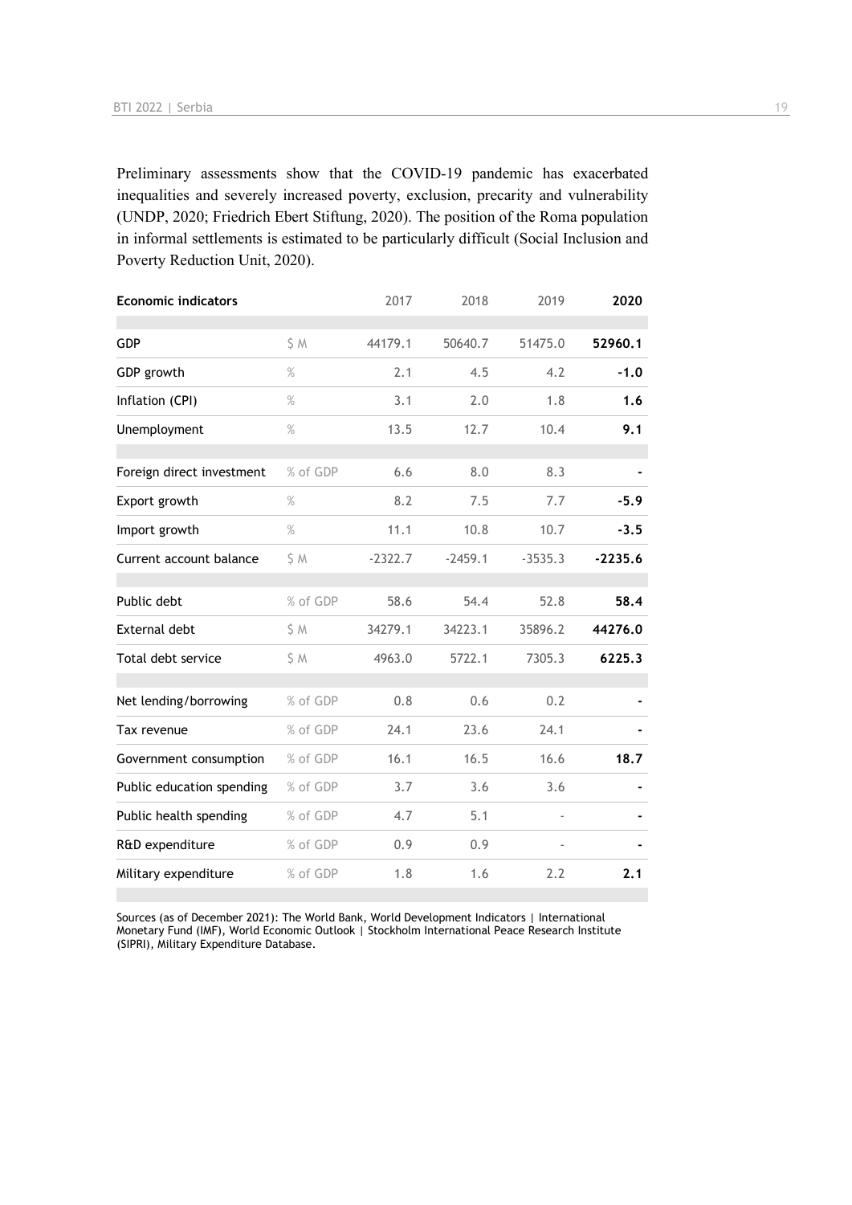Preliminary assessments show that the COVID-19 pandemic has exacerbated inequalities and severely increased poverty, exclusion, precarity and vulnerability (UNDP, 2020; Friedrich Ebert Stiftung, 2020). The position of the Roma population in informal settlements is estimated to be particularly difficult (Social Inclusion and Poverty Reduction Unit, 2020).

| <b>Economic indicators</b> |          | 2017      | 2018      | 2019                     | 2020      |
|----------------------------|----------|-----------|-----------|--------------------------|-----------|
| <b>GDP</b>                 | S M      | 44179.1   | 50640.7   | 51475.0                  | 52960.1   |
| GDP growth                 | $\%$     | 2.1       | 4.5       | 4.2                      | $-1.0$    |
| Inflation (CPI)            | $\%$     | 3.1       | 2.0       | 1.8                      | 1.6       |
| Unemployment               | $\%$     | 13.5      | 12.7      | 10.4                     | 9.1       |
| Foreign direct investment  | % of GDP | 6.6       | 8.0       | 8.3                      |           |
| Export growth              | $\%$     | 8.2       | 7.5       | 7.7                      | $-5.9$    |
| Import growth              | $\%$     | 11.1      | 10.8      | 10.7                     | $-3.5$    |
| Current account balance    | \$ M     | $-2322.7$ | $-2459.1$ | $-3535.3$                | $-2235.6$ |
| Public debt                | % of GDP | 58.6      | 54.4      | 52.8                     | 58.4      |
| External debt              | \$ M     | 34279.1   | 34223.1   | 35896.2                  | 44276.0   |
| Total debt service         | \$M      | 4963.0    | 5722.1    | 7305.3                   | 6225.3    |
| Net lending/borrowing      | % of GDP | 0.8       | 0.6       | 0.2                      |           |
| Tax revenue                | % of GDP | 24.1      | 23.6      | 24.1                     |           |
| Government consumption     | % of GDP | 16.1      | 16.5      | 16.6                     | 18.7      |
| Public education spending  | % of GDP | 3.7       | 3.6       | 3.6                      |           |
| Public health spending     | % of GDP | 4.7       | 5.1       |                          |           |
| R&D expenditure            | % of GDP | 0.9       | 0.9       | $\overline{\phantom{0}}$ |           |
| Military expenditure       | % of GDP | 1.8       | 1.6       | 2.2                      | 2.1       |

Sources (as of December 2021): The World Bank, World Development Indicators | International Monetary Fund (IMF), World Economic Outlook | Stockholm International Peace Research Institute (SIPRI), Military Expenditure Database.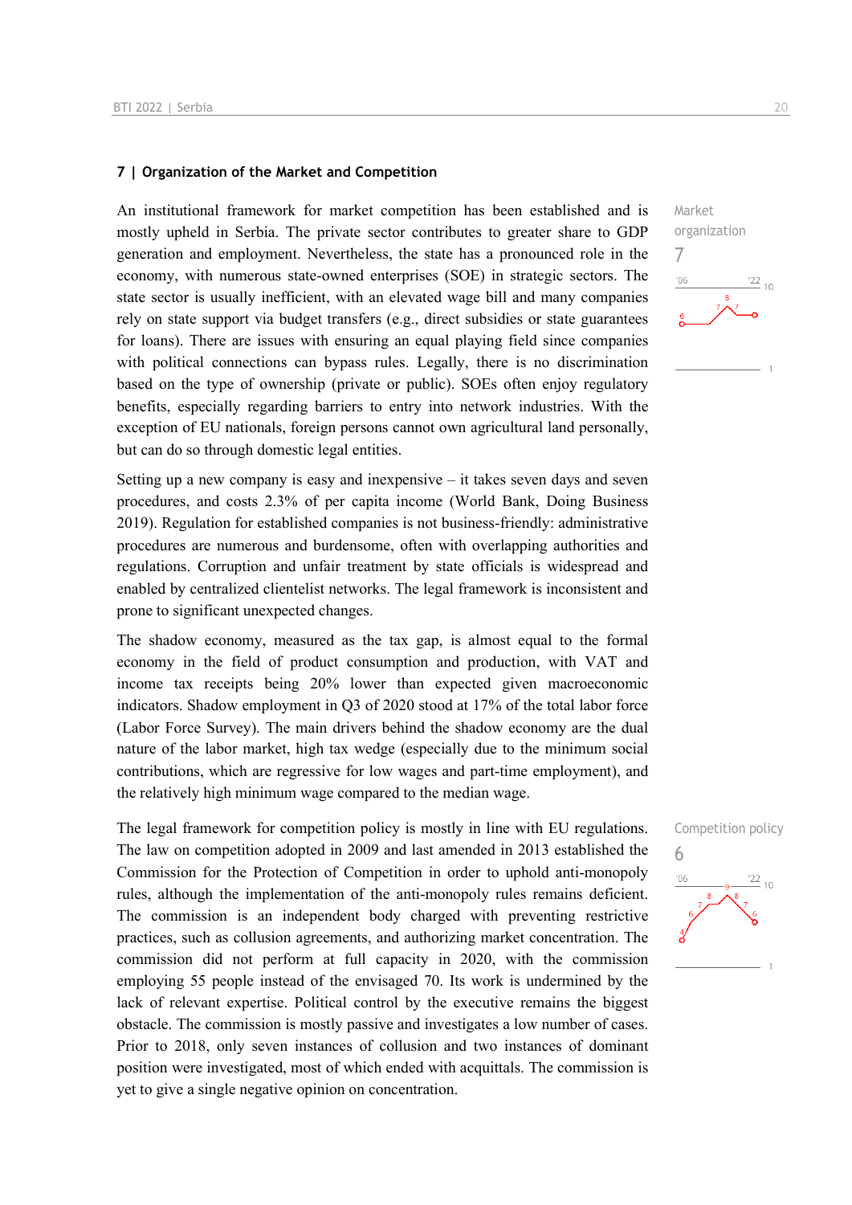#### **7 | Organization of the Market and Competition**

An institutional framework for market competition has been established and is mostly upheld in Serbia. The private sector contributes to greater share to GDP generation and employment. Nevertheless, the state has a pronounced role in the economy, with numerous state-owned enterprises (SOE) in strategic sectors. The state sector is usually inefficient, with an elevated wage bill and many companies rely on state support via budget transfers (e.g., direct subsidies or state guarantees for loans). There are issues with ensuring an equal playing field since companies with political connections can bypass rules. Legally, there is no discrimination based on the type of ownership (private or public). SOEs often enjoy regulatory benefits, especially regarding barriers to entry into network industries. With the exception of EU nationals, foreign persons cannot own agricultural land personally, but can do so through domestic legal entities.

Setting up a new company is easy and inexpensive – it takes seven days and seven procedures, and costs 2.3% of per capita income (World Bank, Doing Business 2019). Regulation for established companies is not business-friendly: administrative procedures are numerous and burdensome, often with overlapping authorities and regulations. Corruption and unfair treatment by state officials is widespread and enabled by centralized clientelist networks. The legal framework is inconsistent and prone to significant unexpected changes.

The shadow economy, measured as the tax gap, is almost equal to the formal economy in the field of product consumption and production, with VAT and income tax receipts being 20% lower than expected given macroeconomic indicators. Shadow employment in Q3 of 2020 stood at 17% of the total labor force (Labor Force Survey). The main drivers behind the shadow economy are the dual nature of the labor market, high tax wedge (especially due to the minimum social contributions, which are regressive for low wages and part-time employment), and the relatively high minimum wage compared to the median wage.

The legal framework for competition policy is mostly in line with EU regulations. The law on competition adopted in 2009 and last amended in 2013 established the Commission for the Protection of Competition in order to uphold anti-monopoly rules, although the implementation of the anti-monopoly rules remains deficient. The commission is an independent body charged with preventing restrictive practices, such as collusion agreements, and authorizing market concentration. The commission did not perform at full capacity in 2020, with the commission employing 55 people instead of the envisaged 70. Its work is undermined by the lack of relevant expertise. Political control by the executive remains the biggest obstacle. The commission is mostly passive and investigates a low number of cases. Prior to 2018, only seven instances of collusion and two instances of dominant position were investigated, most of which ended with acquittals. The commission is yet to give a single negative opinion on concentration.

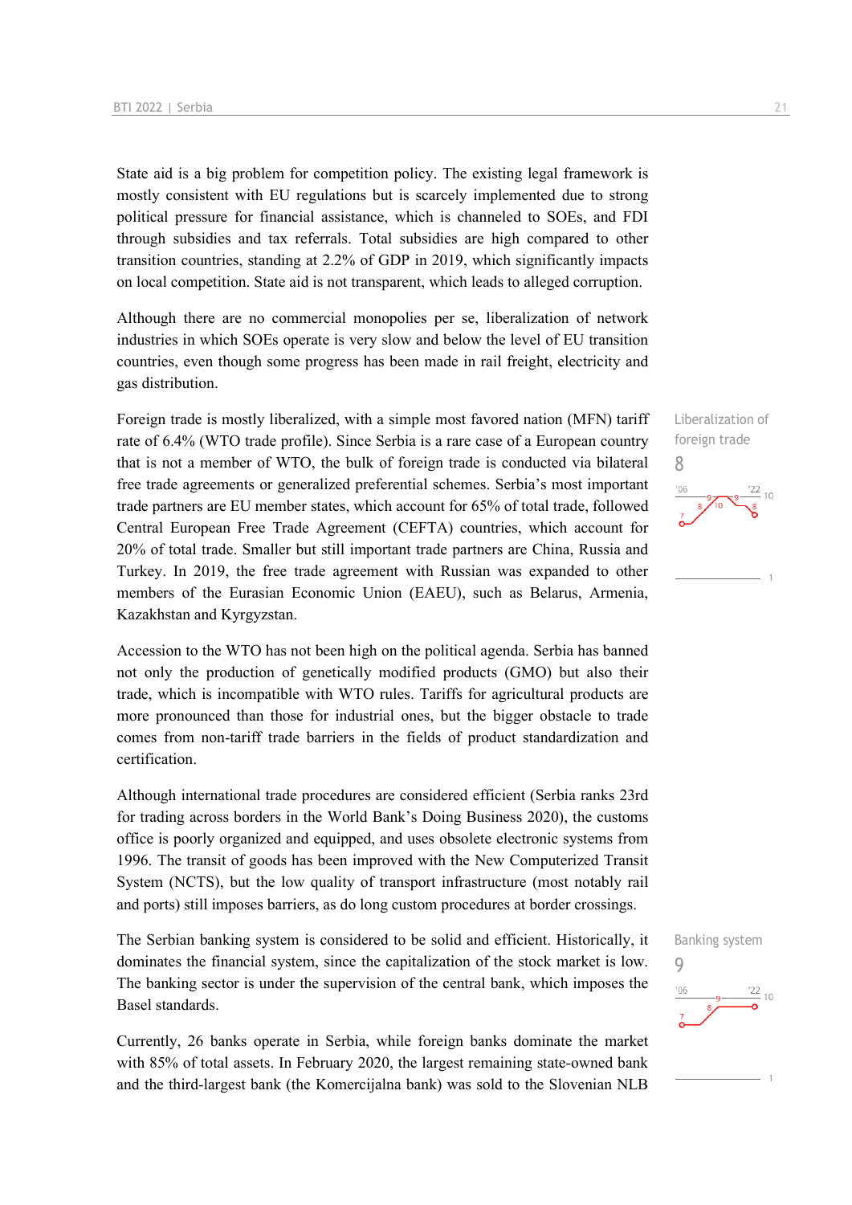State aid is a big problem for competition policy. The existing legal framework is mostly consistent with EU regulations but is scarcely implemented due to strong political pressure for financial assistance, which is channeled to SOEs, and FDI through subsidies and tax referrals. Total subsidies are high compared to other transition countries, standing at 2.2% of GDP in 2019, which significantly impacts on local competition. State aid is not transparent, which leads to alleged corruption.

Although there are no commercial monopolies per se, liberalization of network industries in which SOEs operate is very slow and below the level of EU transition countries, even though some progress has been made in rail freight, electricity and gas distribution.

Foreign trade is mostly liberalized, with a simple most favored nation (MFN) tariff rate of 6.4% (WTO trade profile). Since Serbia is a rare case of a European country that is not a member of WTO, the bulk of foreign trade is conducted via bilateral free trade agreements or generalized preferential schemes. Serbia's most important trade partners are EU member states, which account for 65% of total trade, followed Central European Free Trade Agreement (CEFTA) countries, which account for 20% of total trade. Smaller but still important trade partners are China, Russia and Turkey. In 2019, the free trade agreement with Russian was expanded to other members of the Eurasian Economic Union (EAEU), such as Belarus, Armenia, Kazakhstan and Kyrgyzstan.

Accession to the WTO has not been high on the political agenda. Serbia has banned not only the production of genetically modified products (GMO) but also their trade, which is incompatible with WTO rules. Tariffs for agricultural products are more pronounced than those for industrial ones, but the bigger obstacle to trade comes from non-tariff trade barriers in the fields of product standardization and certification.

Although international trade procedures are considered efficient (Serbia ranks 23rd for trading across borders in the World Bank's Doing Business 2020), the customs office is poorly organized and equipped, and uses obsolete electronic systems from 1996. The transit of goods has been improved with the New Computerized Transit System (NCTS), but the low quality of transport infrastructure (most notably rail and ports) still imposes barriers, as do long custom procedures at border crossings.

The Serbian banking system is considered to be solid and efficient. Historically, it dominates the financial system, since the capitalization of the stock market is low. The banking sector is under the supervision of the central bank, which imposes the Basel standards.

Currently, 26 banks operate in Serbia, while foreign banks dominate the market with 85% of total assets. In February 2020, the largest remaining state-owned bank and the third-largest bank (the Komercijalna bank) was sold to the Slovenian NLB

Liberalization of foreign trade 8  $10$ 

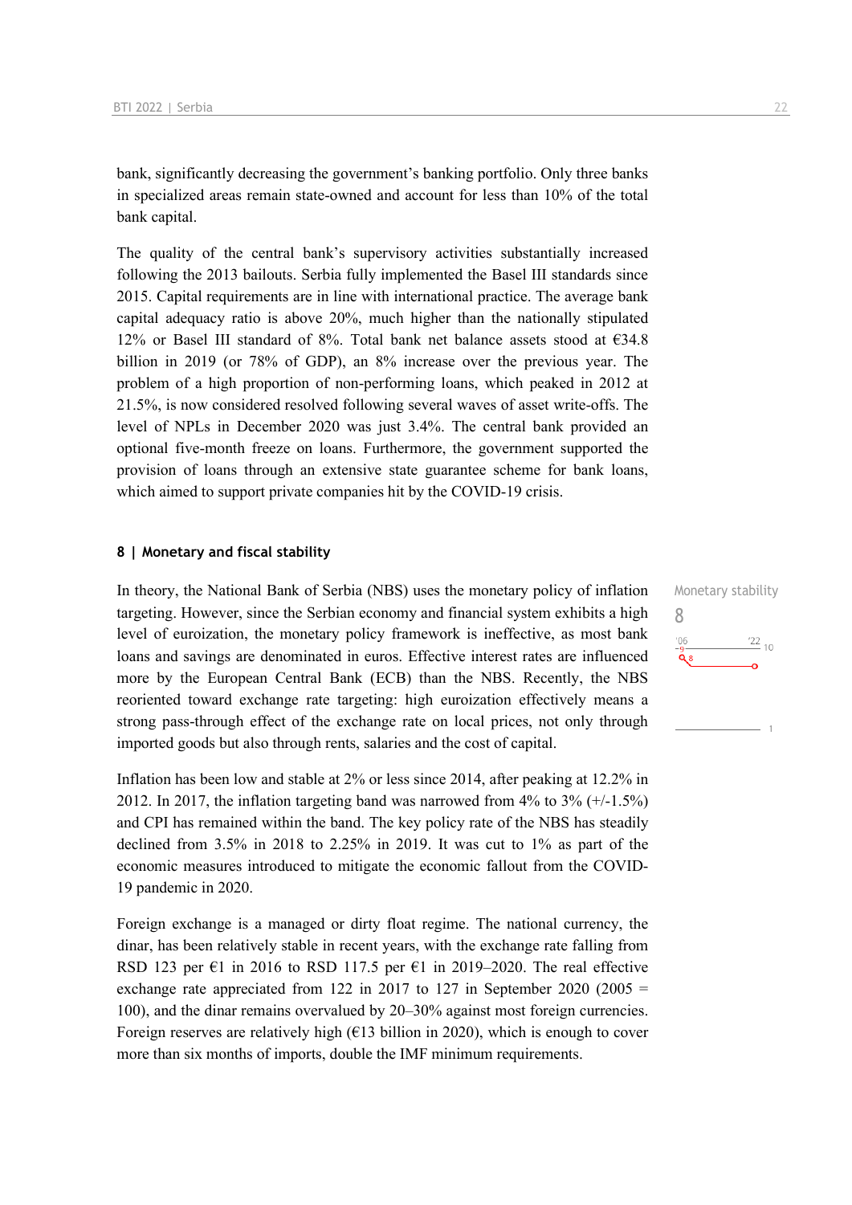bank, significantly decreasing the government's banking portfolio. Only three banks in specialized areas remain state-owned and account for less than 10% of the total bank capital.

The quality of the central bank's supervisory activities substantially increased following the 2013 bailouts. Serbia fully implemented the Basel III standards since 2015. Capital requirements are in line with international practice. The average bank capital adequacy ratio is above 20%, much higher than the nationally stipulated 12% or Basel III standard of 8%. Total bank net balance assets stood at  $634.8$ billion in 2019 (or 78% of GDP), an 8% increase over the previous year. The problem of a high proportion of non-performing loans, which peaked in 2012 at 21.5%, is now considered resolved following several waves of asset write-offs. The level of NPLs in December 2020 was just 3.4%. The central bank provided an optional five-month freeze on loans. Furthermore, the government supported the provision of loans through an extensive state guarantee scheme for bank loans, which aimed to support private companies hit by the COVID-19 crisis.

#### **8 | Monetary and fiscal stability**

In theory, the National Bank of Serbia (NBS) uses the monetary policy of inflation targeting. However, since the Serbian economy and financial system exhibits a high level of euroization, the monetary policy framework is ineffective, as most bank loans and savings are denominated in euros. Effective interest rates are influenced more by the European Central Bank (ECB) than the NBS. Recently, the NBS reoriented toward exchange rate targeting: high euroization effectively means a strong pass-through effect of the exchange rate on local prices, not only through imported goods but also through rents, salaries and the cost of capital.

Inflation has been low and stable at 2% or less since 2014, after peaking at 12.2% in 2012. In 2017, the inflation targeting band was narrowed from 4% to  $3\%$  (+/-1.5%) and CPI has remained within the band. The key policy rate of the NBS has steadily declined from 3.5% in 2018 to 2.25% in 2019. It was cut to 1% as part of the economic measures introduced to mitigate the economic fallout from the COVID-19 pandemic in 2020.

Foreign exchange is a managed or dirty float regime. The national currency, the dinar, has been relatively stable in recent years, with the exchange rate falling from RSD 123 per  $\epsilon$ 1 in 2016 to RSD 117.5 per  $\epsilon$ 1 in 2019–2020. The real effective exchange rate appreciated from 122 in 2017 to 127 in September 2020 (2005  $=$ 100), and the dinar remains overvalued by 20–30% against most foreign currencies. Foreign reserves are relatively high  $(E13 \text{ billion in } 2020)$ , which is enough to cover more than six months of imports, double the IMF minimum requirements.

Monetary stability 8 $\frac{22}{10}$  $-06$ Õя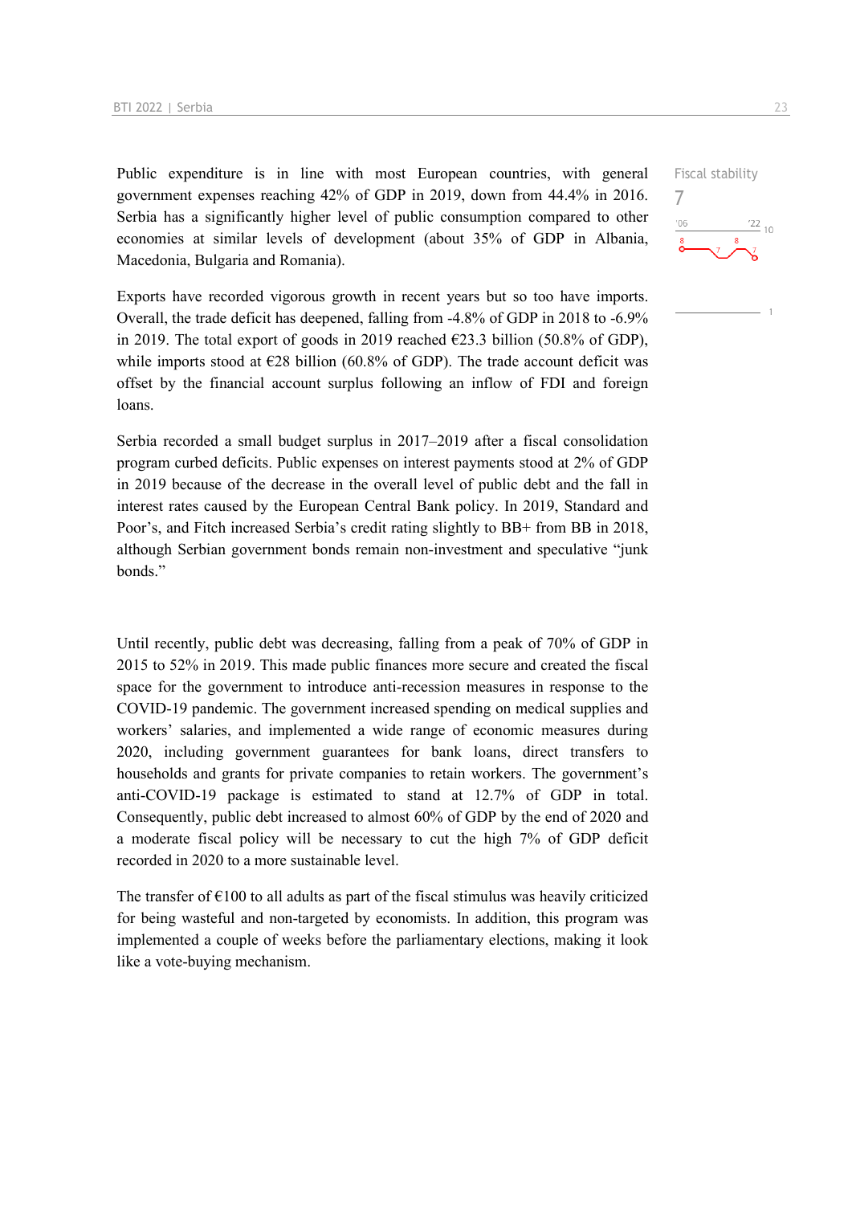Public expenditure is in line with most European countries, with general government expenses reaching 42% of GDP in 2019, down from 44.4% in 2016. Serbia has a significantly higher level of public consumption compared to other economies at similar levels of development (about 35% of GDP in Albania, Macedonia, Bulgaria and Romania).

Exports have recorded vigorous growth in recent years but so too have imports. Overall, the trade deficit has deepened, falling from -4.8% of GDP in 2018 to -6.9% in 2019. The total export of goods in 2019 reached  $\epsilon$ 23.3 billion (50.8% of GDP), while imports stood at  $\epsilon$ 28 billion (60.8% of GDP). The trade account deficit was offset by the financial account surplus following an inflow of FDI and foreign loans.

Serbia recorded a small budget surplus in 2017–2019 after a fiscal consolidation program curbed deficits. Public expenses on interest payments stood at 2% of GDP in 2019 because of the decrease in the overall level of public debt and the fall in interest rates caused by the European Central Bank policy. In 2019, Standard and Poor's, and Fitch increased Serbia's credit rating slightly to BB+ from BB in 2018, although Serbian government bonds remain non-investment and speculative "junk bonds."

Until recently, public debt was decreasing, falling from a peak of 70% of GDP in 2015 to 52% in 2019. This made public finances more secure and created the fiscal space for the government to introduce anti-recession measures in response to the COVID-19 pandemic. The government increased spending on medical supplies and workers' salaries, and implemented a wide range of economic measures during 2020, including government guarantees for bank loans, direct transfers to households and grants for private companies to retain workers. The government's anti-COVID-19 package is estimated to stand at 12.7% of GDP in total. Consequently, public debt increased to almost 60% of GDP by the end of 2020 and a moderate fiscal policy will be necessary to cut the high 7% of GDP deficit recorded in 2020 to a more sustainable level.

The transfer of  $\epsilon$ 100 to all adults as part of the fiscal stimulus was heavily criticized for being wasteful and non-targeted by economists. In addition, this program was implemented a couple of weeks before the parliamentary elections, making it look like a vote-buying mechanism.

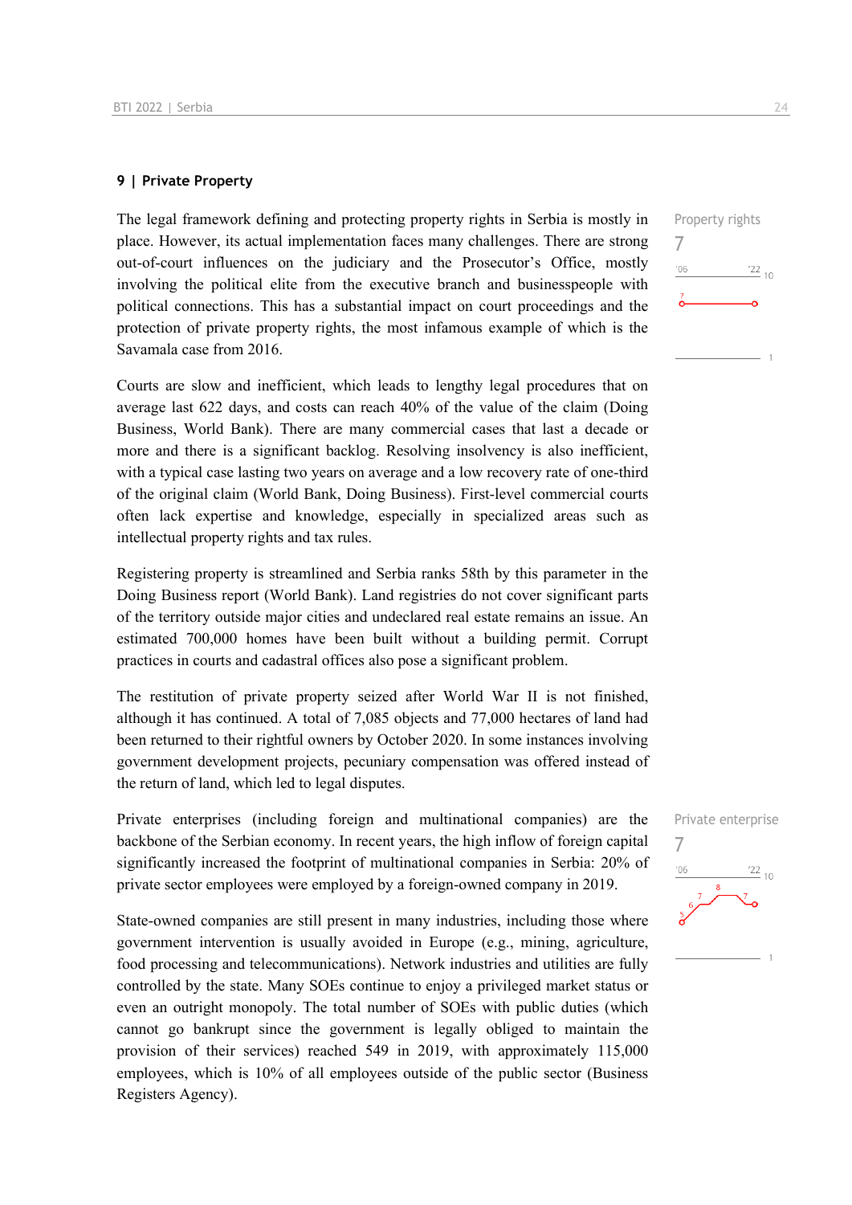#### **9 | Private Property**

The legal framework defining and protecting property rights in Serbia is mostly in place. However, its actual implementation faces many challenges. There are strong out-of-court influences on the judiciary and the Prosecutor's Office, mostly involving the political elite from the executive branch and businesspeople with political connections. This has a substantial impact on court proceedings and the protection of private property rights, the most infamous example of which is the Savamala case from 2016.

Courts are slow and inefficient, which leads to lengthy legal procedures that on average last 622 days, and costs can reach 40% of the value of the claim (Doing Business, World Bank). There are many commercial cases that last a decade or more and there is a significant backlog. Resolving insolvency is also inefficient, with a typical case lasting two years on average and a low recovery rate of one-third of the original claim (World Bank, Doing Business). First-level commercial courts often lack expertise and knowledge, especially in specialized areas such as intellectual property rights and tax rules.

Registering property is streamlined and Serbia ranks 58th by this parameter in the Doing Business report (World Bank). Land registries do not cover significant parts of the territory outside major cities and undeclared real estate remains an issue. An estimated 700,000 homes have been built without a building permit. Corrupt practices in courts and cadastral offices also pose a significant problem.

The restitution of private property seized after World War II is not finished, although it has continued. A total of 7,085 objects and 77,000 hectares of land had been returned to their rightful owners by October 2020. In some instances involving government development projects, pecuniary compensation was offered instead of the return of land, which led to legal disputes.

Private enterprises (including foreign and multinational companies) are the backbone of the Serbian economy. In recent years, the high inflow of foreign capital significantly increased the footprint of multinational companies in Serbia: 20% of private sector employees were employed by a foreign-owned company in 2019.

State-owned companies are still present in many industries, including those where government intervention is usually avoided in Europe (e.g., mining, agriculture, food processing and telecommunications). Network industries and utilities are fully controlled by the state. Many SOEs continue to enjoy a privileged market status or even an outright monopoly. The total number of SOEs with public duties (which cannot go bankrupt since the government is legally obliged to maintain the provision of their services) reached 549 in 2019, with approximately 115,000 employees, which is 10% of all employees outside of the public sector (Business Registers Agency).

| $\frac{122}{10}$ |
|------------------|
|                  |
|                  |
|                  |

Property rights

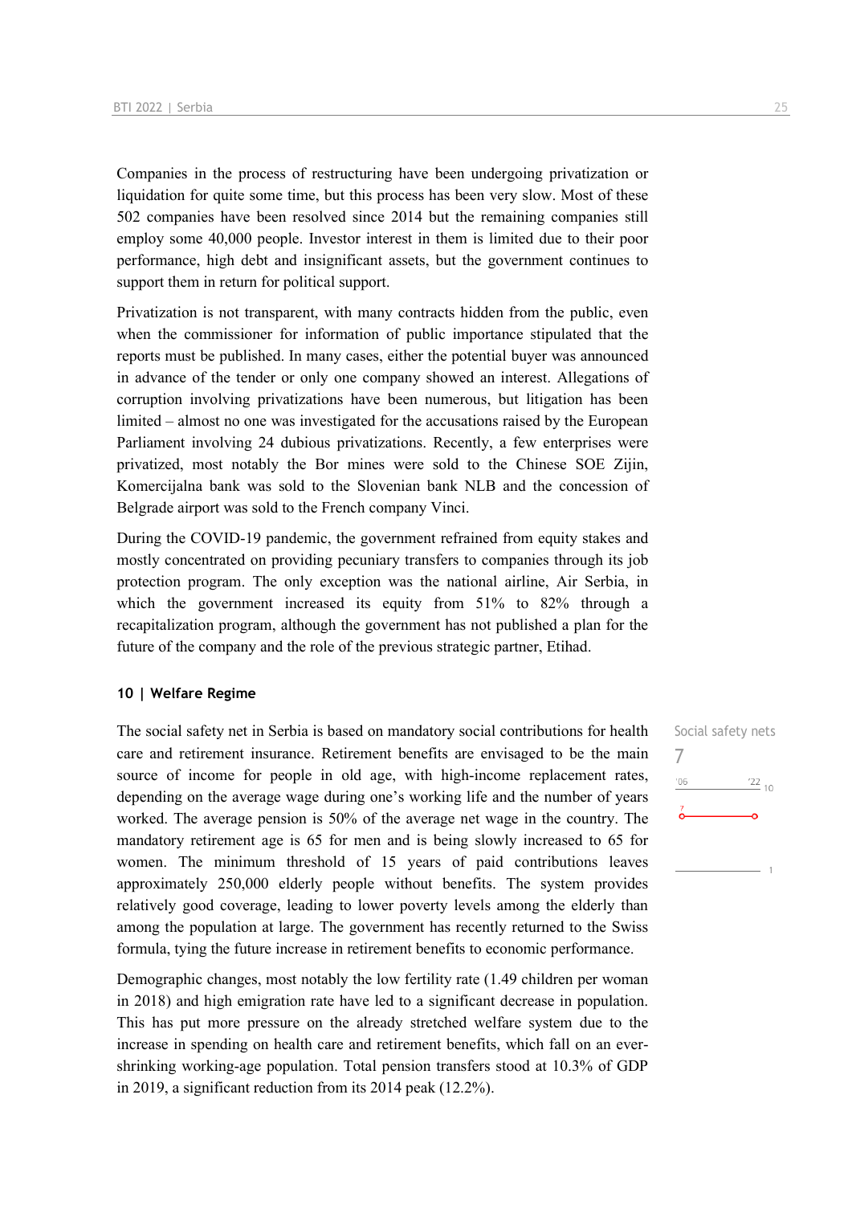Companies in the process of restructuring have been undergoing privatization or liquidation for quite some time, but this process has been very slow. Most of these 502 companies have been resolved since 2014 but the remaining companies still employ some 40,000 people. Investor interest in them is limited due to their poor performance, high debt and insignificant assets, but the government continues to support them in return for political support.

Privatization is not transparent, with many contracts hidden from the public, even when the commissioner for information of public importance stipulated that the reports must be published. In many cases, either the potential buyer was announced in advance of the tender or only one company showed an interest. Allegations of corruption involving privatizations have been numerous, but litigation has been limited – almost no one was investigated for the accusations raised by the European Parliament involving 24 dubious privatizations. Recently, a few enterprises were privatized, most notably the Bor mines were sold to the Chinese SOE Zijin, Komercijalna bank was sold to the Slovenian bank NLB and the concession of Belgrade airport was sold to the French company Vinci.

During the COVID-19 pandemic, the government refrained from equity stakes and mostly concentrated on providing pecuniary transfers to companies through its job protection program. The only exception was the national airline, Air Serbia, in which the government increased its equity from 51% to 82% through a recapitalization program, although the government has not published a plan for the future of the company and the role of the previous strategic partner, Etihad.

#### **10 | Welfare Regime**

The social safety net in Serbia is based on mandatory social contributions for health care and retirement insurance. Retirement benefits are envisaged to be the main source of income for people in old age, with high-income replacement rates, depending on the average wage during one's working life and the number of years worked. The average pension is 50% of the average net wage in the country. The mandatory retirement age is 65 for men and is being slowly increased to 65 for women. The minimum threshold of 15 years of paid contributions leaves approximately 250,000 elderly people without benefits. The system provides relatively good coverage, leading to lower poverty levels among the elderly than among the population at large. The government has recently returned to the Swiss formula, tying the future increase in retirement benefits to economic performance.

Demographic changes, most notably the low fertility rate (1.49 children per woman in 2018) and high emigration rate have led to a significant decrease in population. This has put more pressure on the already stretched welfare system due to the increase in spending on health care and retirement benefits, which fall on an evershrinking working-age population. Total pension transfers stood at 10.3% of GDP in 2019, a significant reduction from its 2014 peak (12.2%).

Social safety nets 7 $106$  $\frac{22}{10}$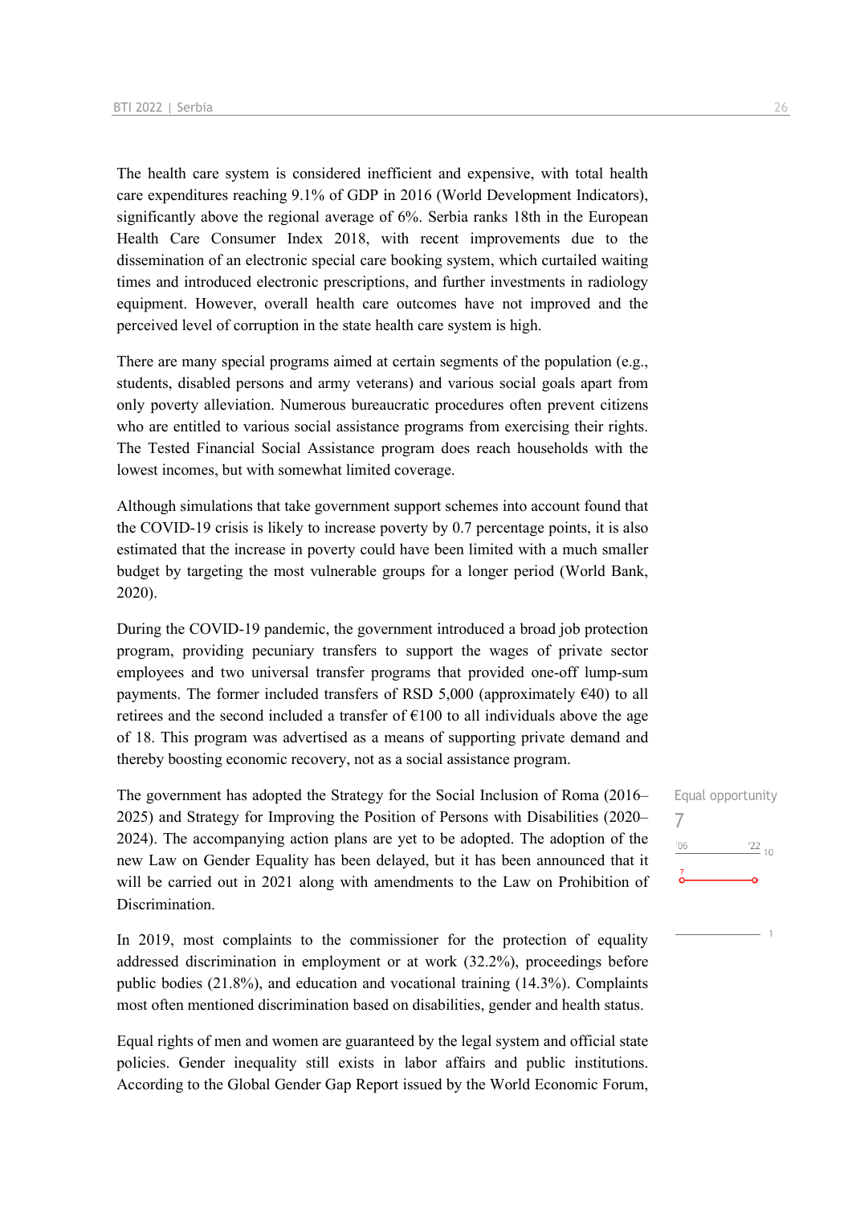The health care system is considered inefficient and expensive, with total health care expenditures reaching 9.1% of GDP in 2016 (World Development Indicators), significantly above the regional average of 6%. Serbia ranks 18th in the European Health Care Consumer Index 2018, with recent improvements due to the dissemination of an electronic special care booking system, which curtailed waiting times and introduced electronic prescriptions, and further investments in radiology equipment. However, overall health care outcomes have not improved and the perceived level of corruption in the state health care system is high.

There are many special programs aimed at certain segments of the population (e.g., students, disabled persons and army veterans) and various social goals apart from only poverty alleviation. Numerous bureaucratic procedures often prevent citizens who are entitled to various social assistance programs from exercising their rights. The Tested Financial Social Assistance program does reach households with the lowest incomes, but with somewhat limited coverage.

Although simulations that take government support schemes into account found that the COVID-19 crisis is likely to increase poverty by 0.7 percentage points, it is also estimated that the increase in poverty could have been limited with a much smaller budget by targeting the most vulnerable groups for a longer period (World Bank, 2020).

During the COVID-19 pandemic, the government introduced a broad job protection program, providing pecuniary transfers to support the wages of private sector employees and two universal transfer programs that provided one-off lump-sum payments. The former included transfers of RSD 5,000 (approximately  $\epsilon$ 40) to all retirees and the second included a transfer of  $E100$  to all individuals above the age of 18. This program was advertised as a means of supporting private demand and thereby boosting economic recovery, not as a social assistance program.

The government has adopted the Strategy for the Social Inclusion of Roma (2016– 2025) and Strategy for Improving the Position of Persons with Disabilities (2020– 2024). The accompanying action plans are yet to be adopted. The adoption of the new Law on Gender Equality has been delayed, but it has been announced that it will be carried out in 2021 along with amendments to the Law on Prohibition of Discrimination.

In 2019, most complaints to the commissioner for the protection of equality addressed discrimination in employment or at work (32.2%), proceedings before public bodies (21.8%), and education and vocational training (14.3%). Complaints most often mentioned discrimination based on disabilities, gender and health status.

Equal rights of men and women are guaranteed by the legal system and official state policies. Gender inequality still exists in labor affairs and public institutions. According to the Global Gender Gap Report issued by the World Economic Forum,

## Equal opportunity 7 $-06$  $\frac{22}{10}$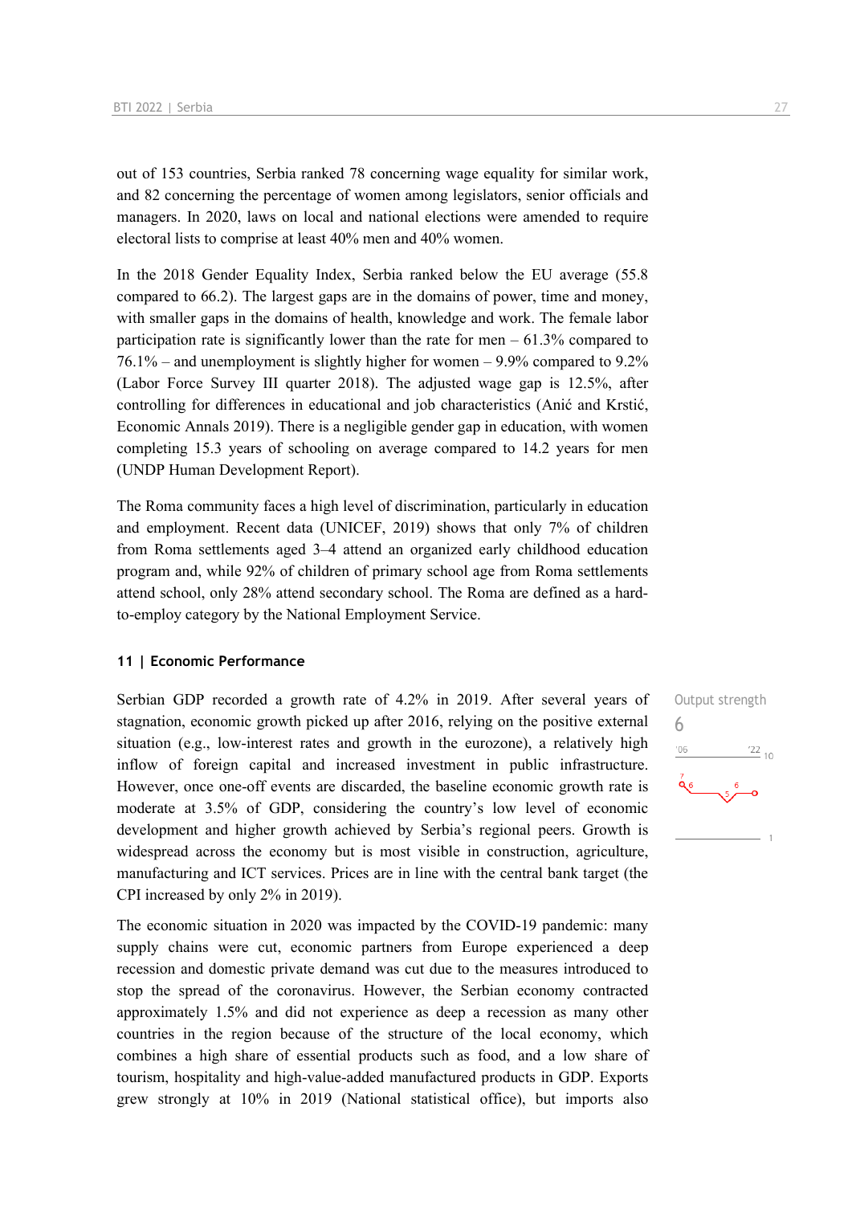out of 153 countries, Serbia ranked 78 concerning wage equality for similar work, and 82 concerning the percentage of women among legislators, senior officials and managers. In 2020, laws on local and national elections were amended to require electoral lists to comprise at least 40% men and 40% women.

In the 2018 Gender Equality Index, Serbia ranked below the EU average (55.8 compared to 66.2). The largest gaps are in the domains of power, time and money, with smaller gaps in the domains of health, knowledge and work. The female labor participation rate is significantly lower than the rate for men  $-61.3\%$  compared to 76.1% – and unemployment is slightly higher for women – 9.9% compared to 9.2% (Labor Force Survey III quarter 2018). The adjusted wage gap is 12.5%, after controlling for differences in educational and job characteristics (Anić and Krstić, Economic Annals 2019). There is a negligible gender gap in education, with women completing 15.3 years of schooling on average compared to 14.2 years for men (UNDP Human Development Report).

The Roma community faces a high level of discrimination, particularly in education and employment. Recent data (UNICEF, 2019) shows that only 7% of children from Roma settlements aged 3–4 attend an organized early childhood education program and, while 92% of children of primary school age from Roma settlements attend school, only 28% attend secondary school. The Roma are defined as a hardto-employ category by the National Employment Service.

#### **11 | Economic Performance**

Serbian GDP recorded a growth rate of 4.2% in 2019. After several years of stagnation, economic growth picked up after 2016, relying on the positive external situation (e.g., low-interest rates and growth in the eurozone), a relatively high inflow of foreign capital and increased investment in public infrastructure. However, once one-off events are discarded, the baseline economic growth rate is moderate at 3.5% of GDP, considering the country's low level of economic development and higher growth achieved by Serbia's regional peers. Growth is widespread across the economy but is most visible in construction, agriculture, manufacturing and ICT services. Prices are in line with the central bank target (the CPI increased by only 2% in 2019).

The economic situation in 2020 was impacted by the COVID-19 pandemic: many supply chains were cut, economic partners from Europe experienced a deep recession and domestic private demand was cut due to the measures introduced to stop the spread of the coronavirus. However, the Serbian economy contracted approximately 1.5% and did not experience as deep a recession as many other countries in the region because of the structure of the local economy, which combines a high share of essential products such as food, and a low share of tourism, hospitality and high-value-added manufactured products in GDP. Exports grew strongly at 10% in 2019 (National statistical office), but imports also

Output strength 6 $n<sub>0</sub>$  $\frac{22}{10}$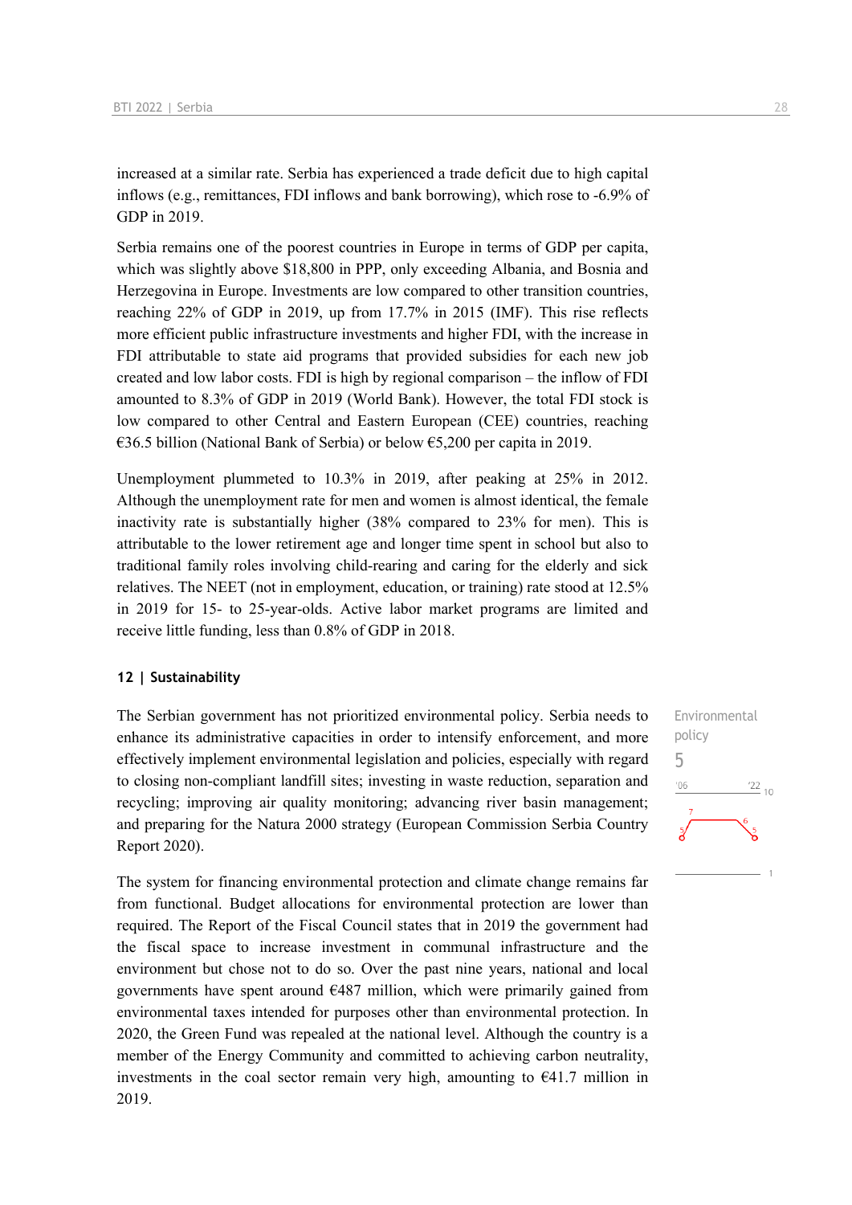increased at a similar rate. Serbia has experienced a trade deficit due to high capital inflows (e.g., remittances, FDI inflows and bank borrowing), which rose to -6.9% of GDP in 2019.

Serbia remains one of the poorest countries in Europe in terms of GDP per capita, which was slightly above \$18,800 in PPP, only exceeding Albania, and Bosnia and Herzegovina in Europe. Investments are low compared to other transition countries, reaching 22% of GDP in 2019, up from 17.7% in 2015 (IMF). This rise reflects more efficient public infrastructure investments and higher FDI, with the increase in FDI attributable to state aid programs that provided subsidies for each new job created and low labor costs. FDI is high by regional comparison – the inflow of FDI amounted to 8.3% of GDP in 2019 (World Bank). However, the total FDI stock is low compared to other Central and Eastern European (CEE) countries, reaching €36.5 billion (National Bank of Serbia) or below €5,200 per capita in 2019.

Unemployment plummeted to 10.3% in 2019, after peaking at 25% in 2012. Although the unemployment rate for men and women is almost identical, the female inactivity rate is substantially higher (38% compared to 23% for men). This is attributable to the lower retirement age and longer time spent in school but also to traditional family roles involving child-rearing and caring for the elderly and sick relatives. The NEET (not in employment, education, or training) rate stood at 12.5% in 2019 for 15- to 25-year-olds. Active labor market programs are limited and receive little funding, less than 0.8% of GDP in 2018.

#### **12 | Sustainability**

The Serbian government has not prioritized environmental policy. Serbia needs to enhance its administrative capacities in order to intensify enforcement, and more effectively implement environmental legislation and policies, especially with regard to closing non-compliant landfill sites; investing in waste reduction, separation and recycling; improving air quality monitoring; advancing river basin management; and preparing for the Natura 2000 strategy (European Commission Serbia Country Report 2020).

The system for financing environmental protection and climate change remains far from functional. Budget allocations for environmental protection are lower than required. The Report of the Fiscal Council states that in 2019 the government had the fiscal space to increase investment in communal infrastructure and the environment but chose not to do so. Over the past nine years, national and local governments have spent around €487 million, which were primarily gained from environmental taxes intended for purposes other than environmental protection. In 2020, the Green Fund was repealed at the national level. Although the country is a member of the Energy Community and committed to achieving carbon neutrality, investments in the coal sector remain very high, amounting to  $\epsilon$ 41.7 million in 2019.

Environmental policy 5 $\frac{22}{10}$  $-06$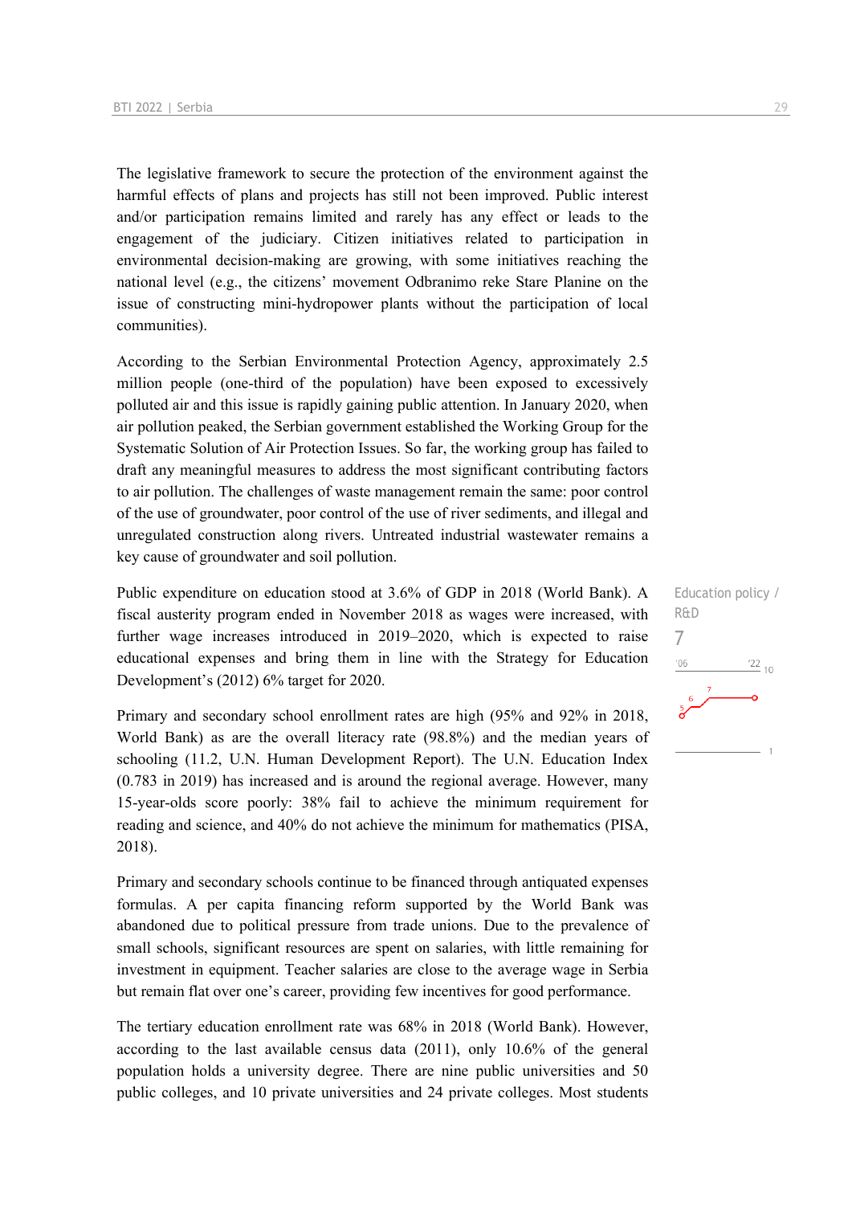The legislative framework to secure the protection of the environment against the harmful effects of plans and projects has still not been improved. Public interest and/or participation remains limited and rarely has any effect or leads to the engagement of the judiciary. Citizen initiatives related to participation in environmental decision-making are growing, with some initiatives reaching the national level (e.g., the citizens' movement Odbranimo reke Stare Planine on the issue of constructing mini-hydropower plants without the participation of local communities).

According to the Serbian Environmental Protection Agency, approximately 2.5 million people (one-third of the population) have been exposed to excessively polluted air and this issue is rapidly gaining public attention. In January 2020, when air pollution peaked, the Serbian government established the Working Group for the Systematic Solution of Air Protection Issues. So far, the working group has failed to draft any meaningful measures to address the most significant contributing factors to air pollution. The challenges of waste management remain the same: poor control of the use of groundwater, poor control of the use of river sediments, and illegal and unregulated construction along rivers. Untreated industrial wastewater remains a key cause of groundwater and soil pollution.

Public expenditure on education stood at 3.6% of GDP in 2018 (World Bank). A fiscal austerity program ended in November 2018 as wages were increased, with further wage increases introduced in 2019–2020, which is expected to raise educational expenses and bring them in line with the Strategy for Education Development's (2012) 6% target for 2020.

Primary and secondary school enrollment rates are high (95% and 92% in 2018, World Bank) as are the overall literacy rate (98.8%) and the median years of schooling (11.2, U.N. Human Development Report). The U.N. Education Index (0.783 in 2019) has increased and is around the regional average. However, many 15-year-olds score poorly: 38% fail to achieve the minimum requirement for reading and science, and 40% do not achieve the minimum for mathematics (PISA, 2018).

Primary and secondary schools continue to be financed through antiquated expenses formulas. A per capita financing reform supported by the World Bank was abandoned due to political pressure from trade unions. Due to the prevalence of small schools, significant resources are spent on salaries, with little remaining for investment in equipment. Teacher salaries are close to the average wage in Serbia but remain flat over one's career, providing few incentives for good performance.

The tertiary education enrollment rate was 68% in 2018 (World Bank). However, according to the last available census data (2011), only 10.6% of the general population holds a university degree. There are nine public universities and 50 public colleges, and 10 private universities and 24 private colleges. Most students

Education policy / R&D 7 $\frac{22}{10}$  $'06$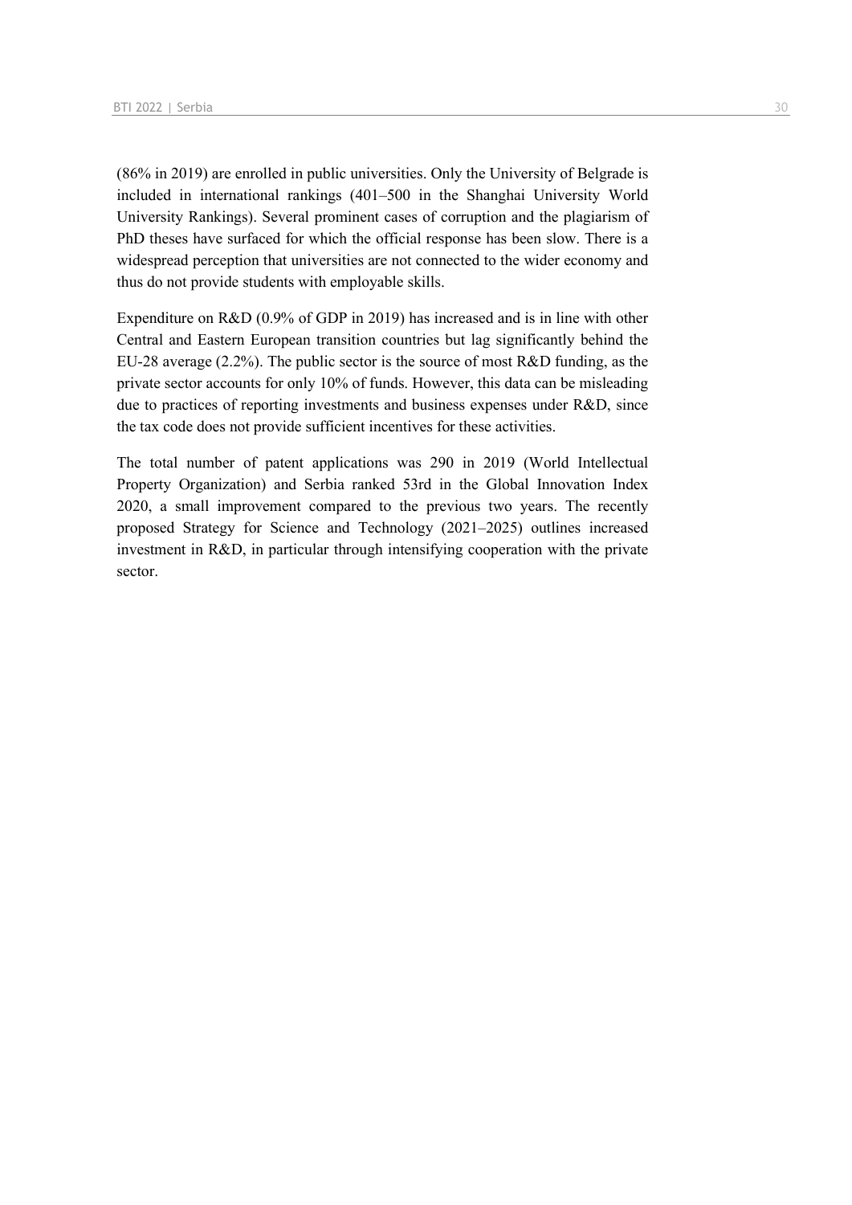(86% in 2019) are enrolled in public universities. Only the University of Belgrade is included in international rankings (401–500 in the Shanghai University World University Rankings). Several prominent cases of corruption and the plagiarism of PhD theses have surfaced for which the official response has been slow. There is a widespread perception that universities are not connected to the wider economy and thus do not provide students with employable skills.

Expenditure on R&D (0.9% of GDP in 2019) has increased and is in line with other Central and Eastern European transition countries but lag significantly behind the EU-28 average (2.2%). The public sector is the source of most R&D funding, as the private sector accounts for only 10% of funds. However, this data can be misleading due to practices of reporting investments and business expenses under R&D, since the tax code does not provide sufficient incentives for these activities.

The total number of patent applications was 290 in 2019 (World Intellectual Property Organization) and Serbia ranked 53rd in the Global Innovation Index 2020, a small improvement compared to the previous two years. The recently proposed Strategy for Science and Technology (2021–2025) outlines increased investment in R&D, in particular through intensifying cooperation with the private sector.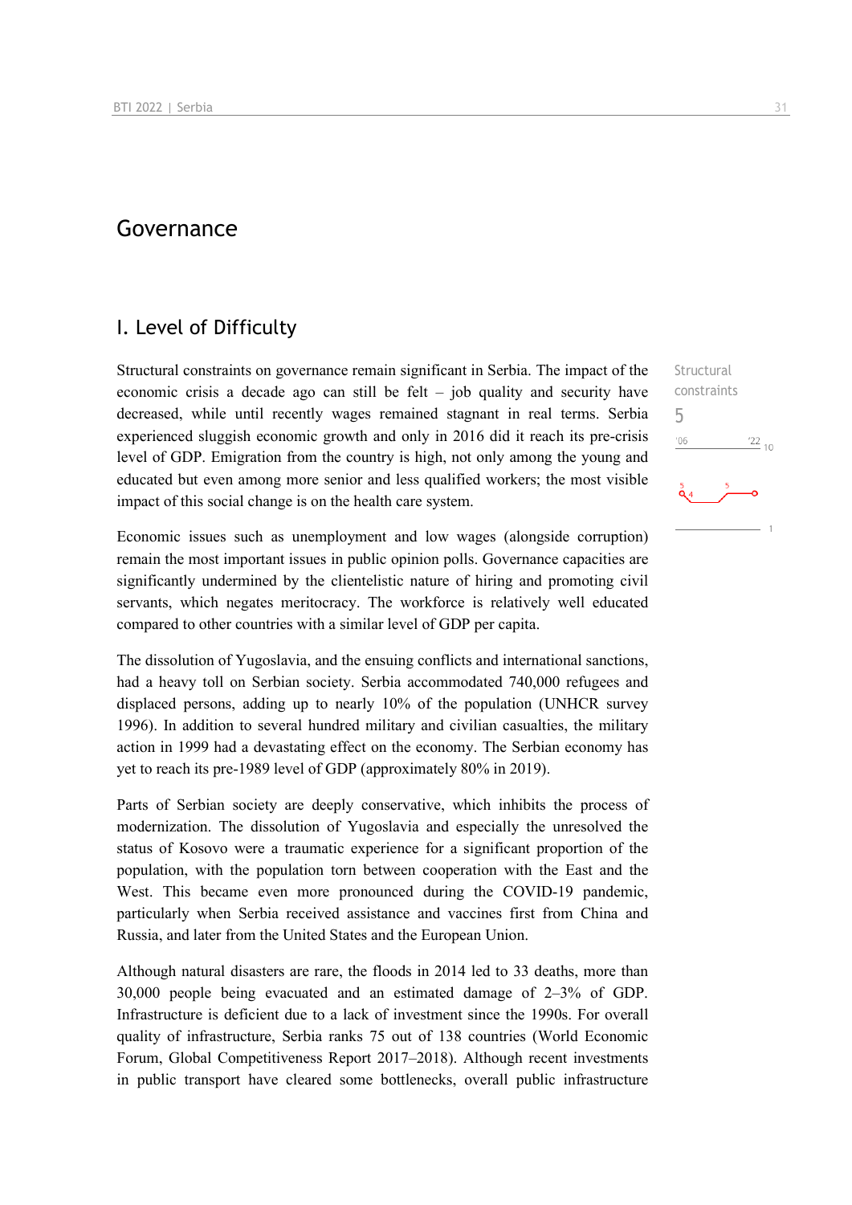### Governance

## I. Level of Difficulty

Structural constraints on governance remain significant in Serbia. The impact of the economic crisis a decade ago can still be felt – job quality and security have decreased, while until recently wages remained stagnant in real terms. Serbia experienced sluggish economic growth and only in 2016 did it reach its pre-crisis level of GDP. Emigration from the country is high, not only among the young and educated but even among more senior and less qualified workers; the most visible impact of this social change is on the health care system.

Economic issues such as unemployment and low wages (alongside corruption) remain the most important issues in public opinion polls. Governance capacities are significantly undermined by the clientelistic nature of hiring and promoting civil servants, which negates meritocracy. The workforce is relatively well educated compared to other countries with a similar level of GDP per capita.

The dissolution of Yugoslavia, and the ensuing conflicts and international sanctions, had a heavy toll on Serbian society. Serbia accommodated 740,000 refugees and displaced persons, adding up to nearly 10% of the population (UNHCR survey 1996). In addition to several hundred military and civilian casualties, the military action in 1999 had a devastating effect on the economy. The Serbian economy has yet to reach its pre-1989 level of GDP (approximately 80% in 2019).

Parts of Serbian society are deeply conservative, which inhibits the process of modernization. The dissolution of Yugoslavia and especially the unresolved the status of Kosovo were a traumatic experience for a significant proportion of the population, with the population torn between cooperation with the East and the West. This became even more pronounced during the COVID-19 pandemic, particularly when Serbia received assistance and vaccines first from China and Russia, and later from the United States and the European Union.

Although natural disasters are rare, the floods in 2014 led to 33 deaths, more than 30,000 people being evacuated and an estimated damage of 2–3% of GDP. Infrastructure is deficient due to a lack of investment since the 1990s. For overall quality of infrastructure, Serbia ranks 75 out of 138 countries (World Economic Forum, Global Competitiveness Report 2017–2018). Although recent investments in public transport have cleared some bottlenecks, overall public infrastructure

**Structural** constraints

 $^{22}$  10

5 $n<sub>0</sub>$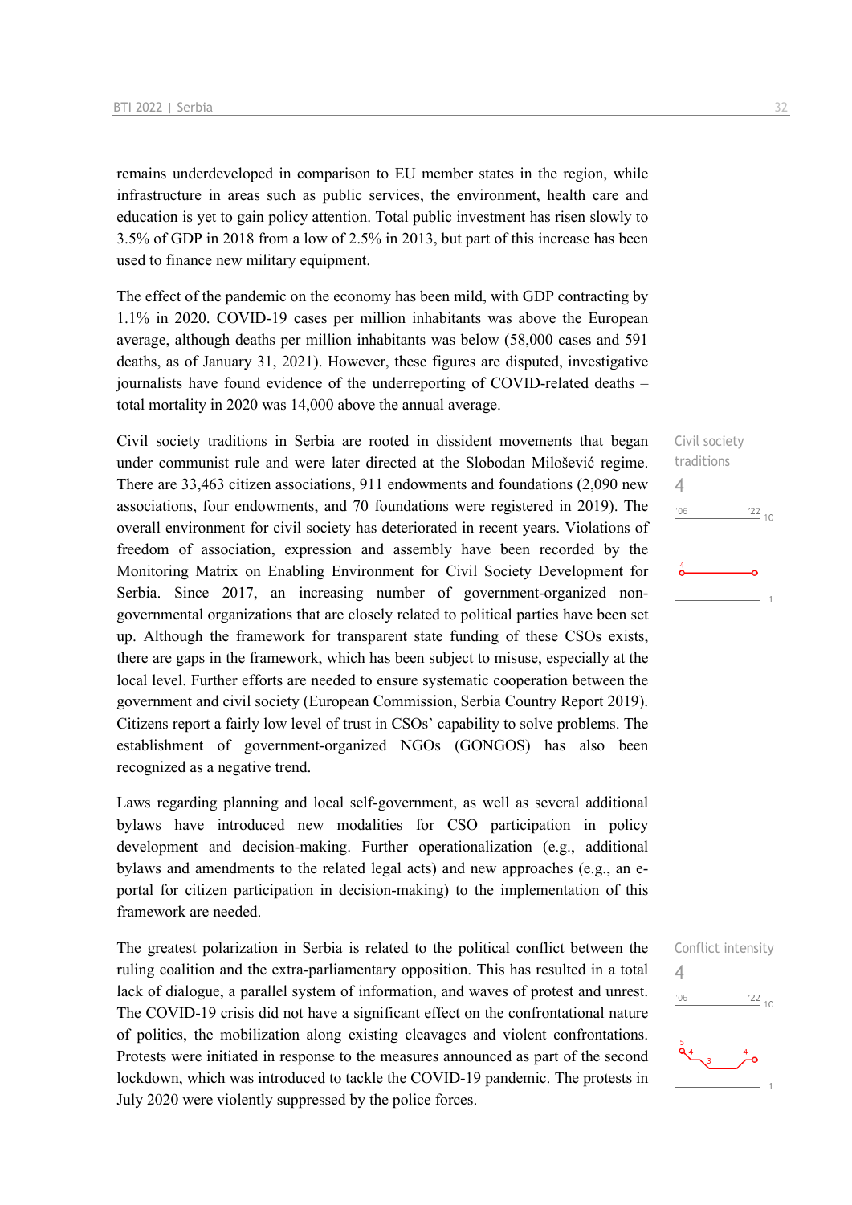remains underdeveloped in comparison to EU member states in the region, while infrastructure in areas such as public services, the environment, health care and education is yet to gain policy attention. Total public investment has risen slowly to 3.5% of GDP in 2018 from a low of 2.5% in 2013, but part of this increase has been used to finance new military equipment.

The effect of the pandemic on the economy has been mild, with GDP contracting by 1.1% in 2020. COVID-19 cases per million inhabitants was above the European average, although deaths per million inhabitants was below (58,000 cases and 591 deaths, as of January 31, 2021). However, these figures are disputed, investigative journalists have found evidence of the underreporting of COVID-related deaths – total mortality in 2020 was 14,000 above the annual average.

Civil society traditions in Serbia are rooted in dissident movements that began under communist rule and were later directed at the Slobodan Milošević regime. There are 33,463 citizen associations, 911 endowments and foundations (2,090 new associations, four endowments, and 70 foundations were registered in 2019). The overall environment for civil society has deteriorated in recent years. Violations of freedom of association, expression and assembly have been recorded by the Monitoring Matrix on Enabling Environment for Civil Society Development for Serbia. Since 2017, an increasing number of government-organized nongovernmental organizations that are closely related to political parties have been set up. Although the framework for transparent state funding of these CSOs exists, there are gaps in the framework, which has been subject to misuse, especially at the local level. Further efforts are needed to ensure systematic cooperation between the government and civil society (European Commission, Serbia Country Report 2019). Citizens report a fairly low level of trust in CSOs' capability to solve problems. The establishment of government-organized NGOs (GONGOS) has also been recognized as a negative trend.

Laws regarding planning and local self-government, as well as several additional bylaws have introduced new modalities for CSO participation in policy development and decision-making. Further operationalization (e.g., additional bylaws and amendments to the related legal acts) and new approaches (e.g., an eportal for citizen participation in decision-making) to the implementation of this framework are needed.

The greatest polarization in Serbia is related to the political conflict between the ruling coalition and the extra-parliamentary opposition. This has resulted in a total lack of dialogue, a parallel system of information, and waves of protest and unrest. The COVID-19 crisis did not have a significant effect on the confrontational nature of politics, the mobilization along existing cleavages and violent confrontations. Protests were initiated in response to the measures announced as part of the second lockdown, which was introduced to tackle the COVID-19 pandemic. The protests in July 2020 were violently suppressed by the police forces.

4

Conflict intensity 4 $\frac{122}{10}$  $06'$ ⊸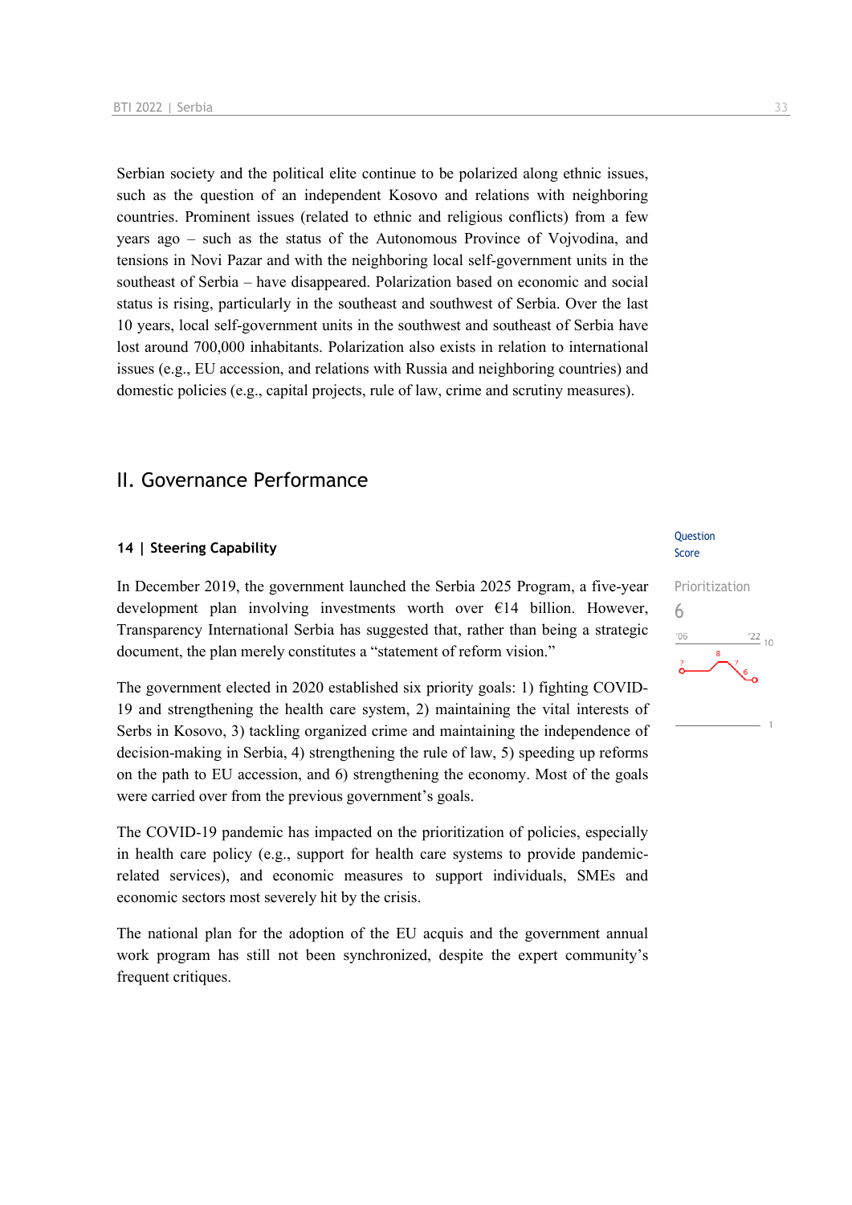Serbian society and the political elite continue to be polarized along ethnic issues, such as the question of an independent Kosovo and relations with neighboring countries. Prominent issues (related to ethnic and religious conflicts) from a few years ago – such as the status of the Autonomous Province of Vojvodina, and tensions in Novi Pazar and with the neighboring local self-government units in the southeast of Serbia – have disappeared. Polarization based on economic and social status is rising, particularly in the southeast and southwest of Serbia. Over the last 10 years, local self-government units in the southwest and southeast of Serbia have lost around 700,000 inhabitants. Polarization also exists in relation to international issues (e.g., EU accession, and relations with Russia and neighboring countries) and domestic policies (e.g., capital projects, rule of law, crime and scrutiny measures).

## II. Governance Performance

#### **14 | Steering Capability**

In December 2019, the government launched the Serbia 2025 Program, a five-year development plan involving investments worth over  $E14$  billion. However, Transparency International Serbia has suggested that, rather than being a strategic document, the plan merely constitutes a "statement of reform vision."

The government elected in 2020 established six priority goals: 1) fighting COVID-19 and strengthening the health care system, 2) maintaining the vital interests of Serbs in Kosovo, 3) tackling organized crime and maintaining the independence of decision-making in Serbia, 4) strengthening the rule of law, 5) speeding up reforms on the path to EU accession, and 6) strengthening the economy. Most of the goals were carried over from the previous government's goals.

The COVID-19 pandemic has impacted on the prioritization of policies, especially in health care policy (e.g., support for health care systems to provide pandemicrelated services), and economic measures to support individuals, SMEs and economic sectors most severely hit by the crisis.

The national plan for the adoption of the EU acquis and the government annual work program has still not been synchronized, despite the expert community's frequent critiques.

#### **Ouestion** Score

## Prioritization 6 $\frac{22}{10}$  $-06$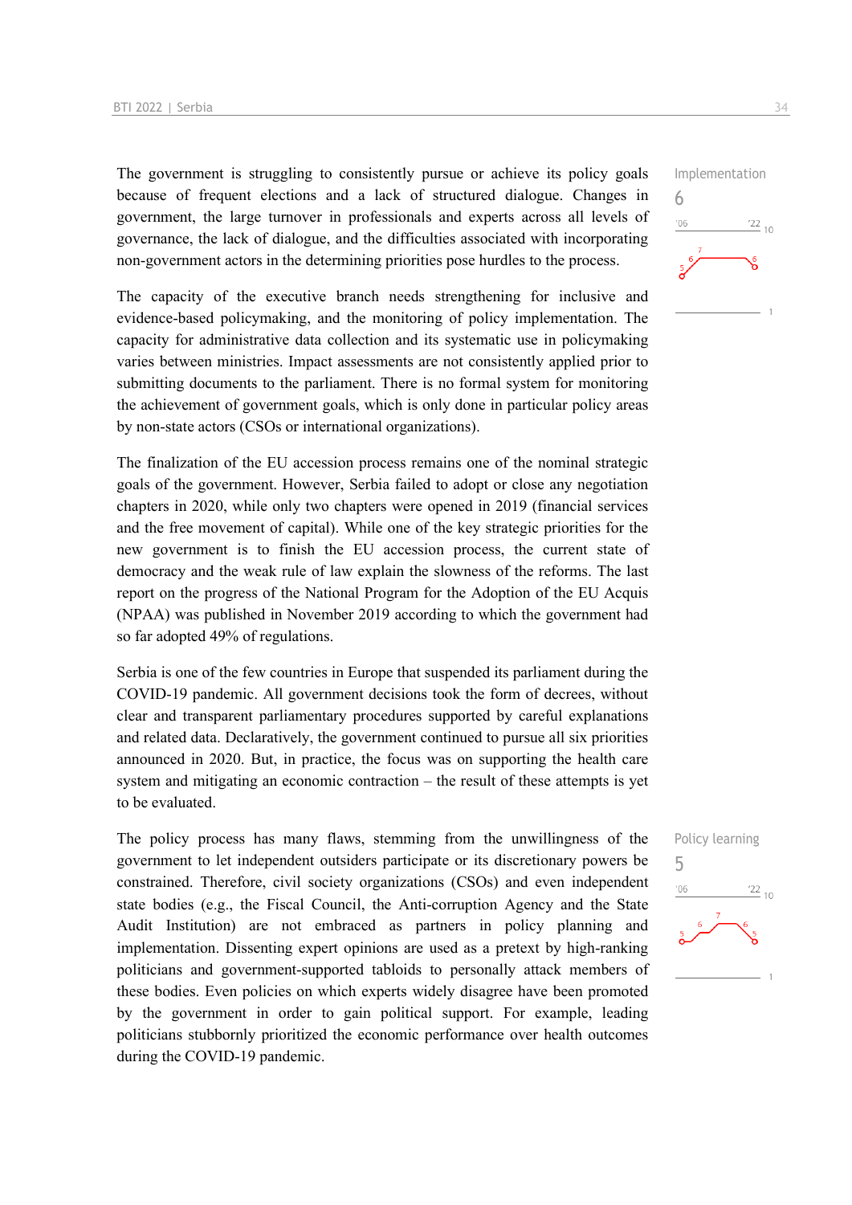The government is struggling to consistently pursue or achieve its policy goals because of frequent elections and a lack of structured dialogue. Changes in government, the large turnover in professionals and experts across all levels of governance, the lack of dialogue, and the difficulties associated with incorporating non-government actors in the determining priorities pose hurdles to the process.

The capacity of the executive branch needs strengthening for inclusive and evidence-based policymaking, and the monitoring of policy implementation. The capacity for administrative data collection and its systematic use in policymaking varies between ministries. Impact assessments are not consistently applied prior to submitting documents to the parliament. There is no formal system for monitoring the achievement of government goals, which is only done in particular policy areas by non-state actors (CSOs or international organizations).

The finalization of the EU accession process remains one of the nominal strategic goals of the government. However, Serbia failed to adopt or close any negotiation chapters in 2020, while only two chapters were opened in 2019 (financial services and the free movement of capital). While one of the key strategic priorities for the new government is to finish the EU accession process, the current state of democracy and the weak rule of law explain the slowness of the reforms. The last report on the progress of the National Program for the Adoption of the EU Acquis (NPAA) was published in November 2019 according to which the government had so far adopted 49% of regulations.

Serbia is one of the few countries in Europe that suspended its parliament during the COVID-19 pandemic. All government decisions took the form of decrees, without clear and transparent parliamentary procedures supported by careful explanations and related data. Declaratively, the government continued to pursue all six priorities announced in 2020. But, in practice, the focus was on supporting the health care system and mitigating an economic contraction – the result of these attempts is yet to be evaluated.

The policy process has many flaws, stemming from the unwillingness of the government to let independent outsiders participate or its discretionary powers be constrained. Therefore, civil society organizations (CSOs) and even independent state bodies (e.g., the Fiscal Council, the Anti-corruption Agency and the State Audit Institution) are not embraced as partners in policy planning and implementation. Dissenting expert opinions are used as a pretext by high-ranking politicians and government-supported tabloids to personally attack members of these bodies. Even policies on which experts widely disagree have been promoted by the government in order to gain political support. For example, leading politicians stubbornly prioritized the economic performance over health outcomes during the COVID-19 pandemic.



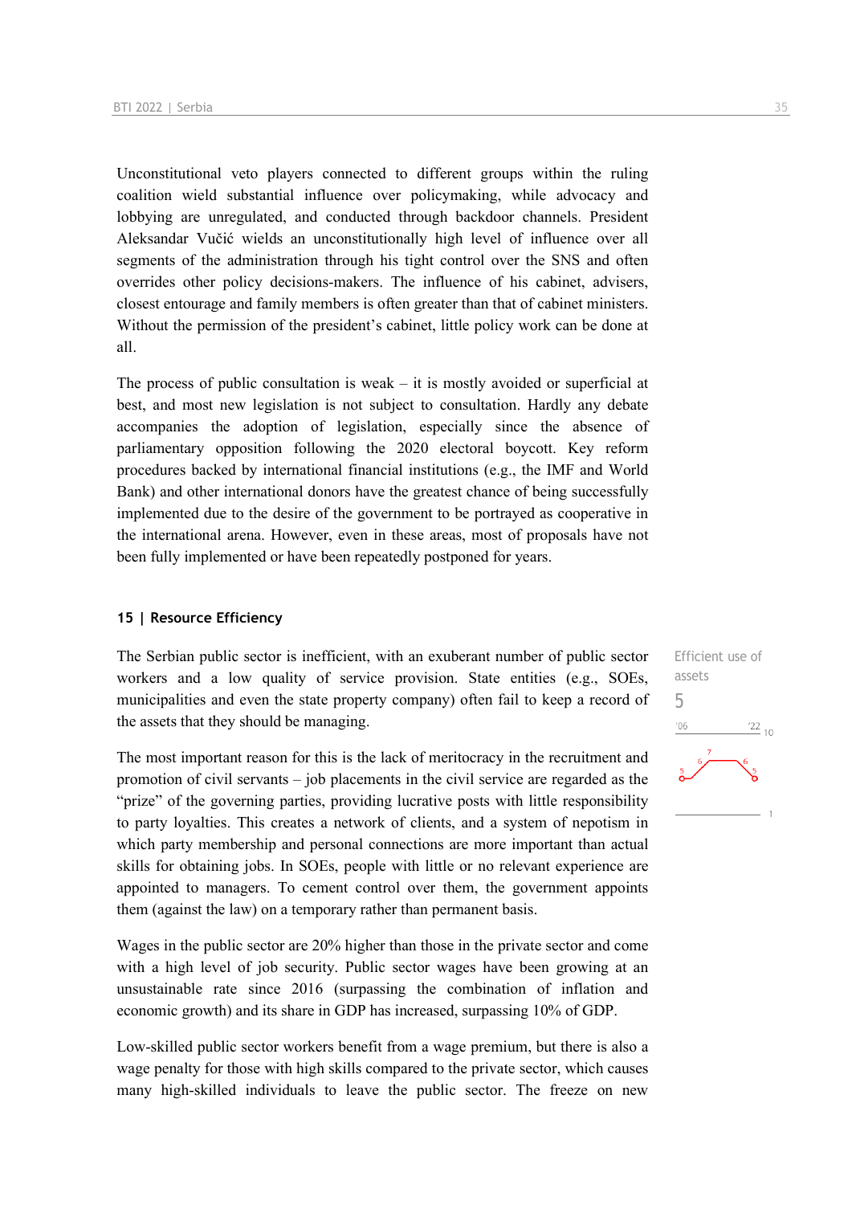Unconstitutional veto players connected to different groups within the ruling coalition wield substantial influence over policymaking, while advocacy and lobbying are unregulated, and conducted through backdoor channels. President Aleksandar Vučić wields an unconstitutionally high level of influence over all segments of the administration through his tight control over the SNS and often overrides other policy decisions-makers. The influence of his cabinet, advisers, closest entourage and family members is often greater than that of cabinet ministers. Without the permission of the president's cabinet, little policy work can be done at all.

The process of public consultation is weak  $-$  it is mostly avoided or superficial at best, and most new legislation is not subject to consultation. Hardly any debate accompanies the adoption of legislation, especially since the absence of parliamentary opposition following the 2020 electoral boycott. Key reform procedures backed by international financial institutions (e.g., the IMF and World Bank) and other international donors have the greatest chance of being successfully implemented due to the desire of the government to be portrayed as cooperative in the international arena. However, even in these areas, most of proposals have not been fully implemented or have been repeatedly postponed for years.

#### **15 | Resource Efficiency**

The Serbian public sector is inefficient, with an exuberant number of public sector workers and a low quality of service provision. State entities (e.g., SOEs, municipalities and even the state property company) often fail to keep a record of the assets that they should be managing.

The most important reason for this is the lack of meritocracy in the recruitment and promotion of civil servants – job placements in the civil service are regarded as the "prize" of the governing parties, providing lucrative posts with little responsibility to party loyalties. This creates a network of clients, and a system of nepotism in which party membership and personal connections are more important than actual skills for obtaining jobs. In SOEs, people with little or no relevant experience are appointed to managers. To cement control over them, the government appoints them (against the law) on a temporary rather than permanent basis.

Wages in the public sector are 20% higher than those in the private sector and come with a high level of job security. Public sector wages have been growing at an unsustainable rate since 2016 (surpassing the combination of inflation and economic growth) and its share in GDP has increased, surpassing 10% of GDP.

Low-skilled public sector workers benefit from a wage premium, but there is also a wage penalty for those with high skills compared to the private sector, which causes many high-skilled individuals to leave the public sector. The freeze on new

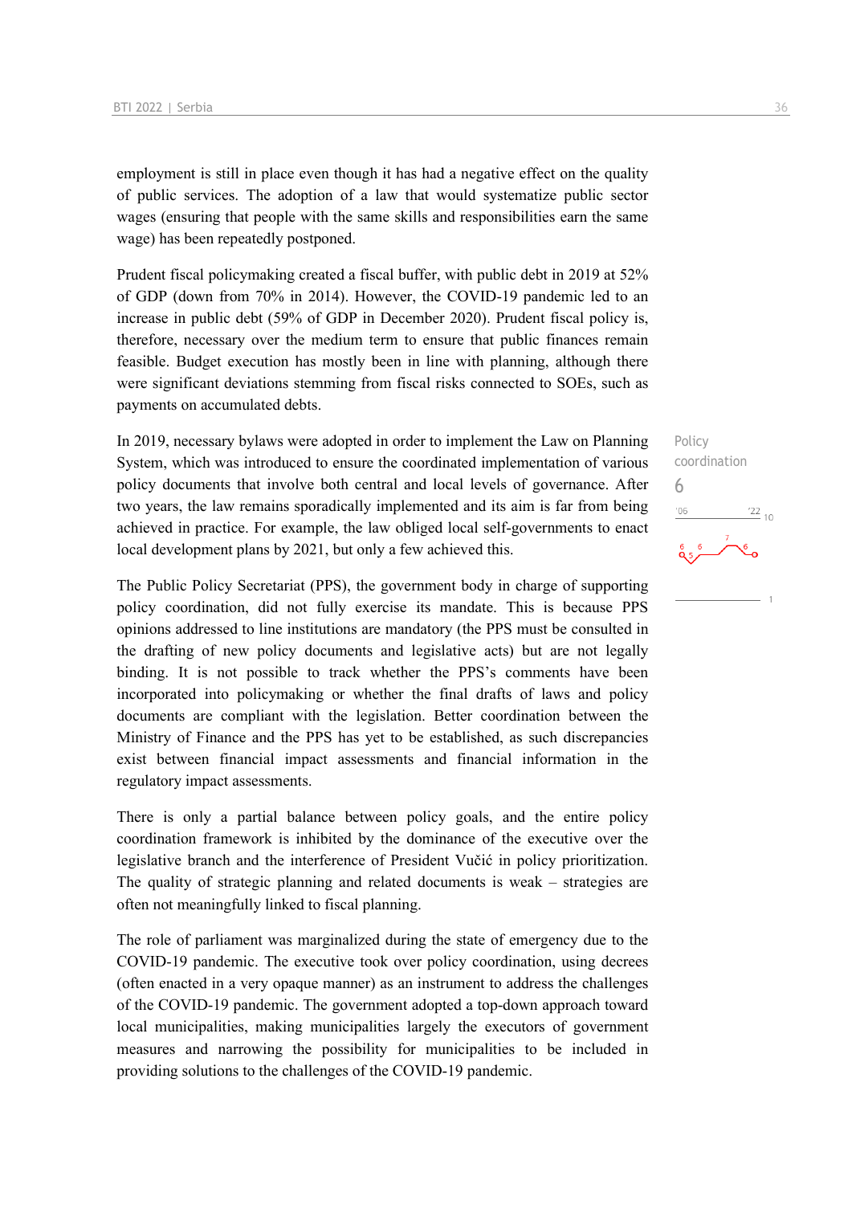employment is still in place even though it has had a negative effect on the quality of public services. The adoption of a law that would systematize public sector wages (ensuring that people with the same skills and responsibilities earn the same wage) has been repeatedly postponed.

Prudent fiscal policymaking created a fiscal buffer, with public debt in 2019 at 52% of GDP (down from 70% in 2014). However, the COVID-19 pandemic led to an increase in public debt (59% of GDP in December 2020). Prudent fiscal policy is, therefore, necessary over the medium term to ensure that public finances remain feasible. Budget execution has mostly been in line with planning, although there were significant deviations stemming from fiscal risks connected to SOEs, such as payments on accumulated debts.

In 2019, necessary bylaws were adopted in order to implement the Law on Planning System, which was introduced to ensure the coordinated implementation of various policy documents that involve both central and local levels of governance. After two years, the law remains sporadically implemented and its aim is far from being achieved in practice. For example, the law obliged local self-governments to enact local development plans by 2021, but only a few achieved this.

The Public Policy Secretariat (PPS), the government body in charge of supporting policy coordination, did not fully exercise its mandate. This is because PPS opinions addressed to line institutions are mandatory (the PPS must be consulted in the drafting of new policy documents and legislative acts) but are not legally binding. It is not possible to track whether the PPS's comments have been incorporated into policymaking or whether the final drafts of laws and policy documents are compliant with the legislation. Better coordination between the Ministry of Finance and the PPS has yet to be established, as such discrepancies exist between financial impact assessments and financial information in the regulatory impact assessments.

There is only a partial balance between policy goals, and the entire policy coordination framework is inhibited by the dominance of the executive over the legislative branch and the interference of President Vučić in policy prioritization. The quality of strategic planning and related documents is weak – strategies are often not meaningfully linked to fiscal planning.

The role of parliament was marginalized during the state of emergency due to the COVID-19 pandemic. The executive took over policy coordination, using decrees (often enacted in a very opaque manner) as an instrument to address the challenges of the COVID-19 pandemic. The government adopted a top-down approach toward local municipalities, making municipalities largely the executors of government measures and narrowing the possibility for municipalities to be included in providing solutions to the challenges of the COVID-19 pandemic.

Policy coordination 6 $\frac{22}{10}$  $-06$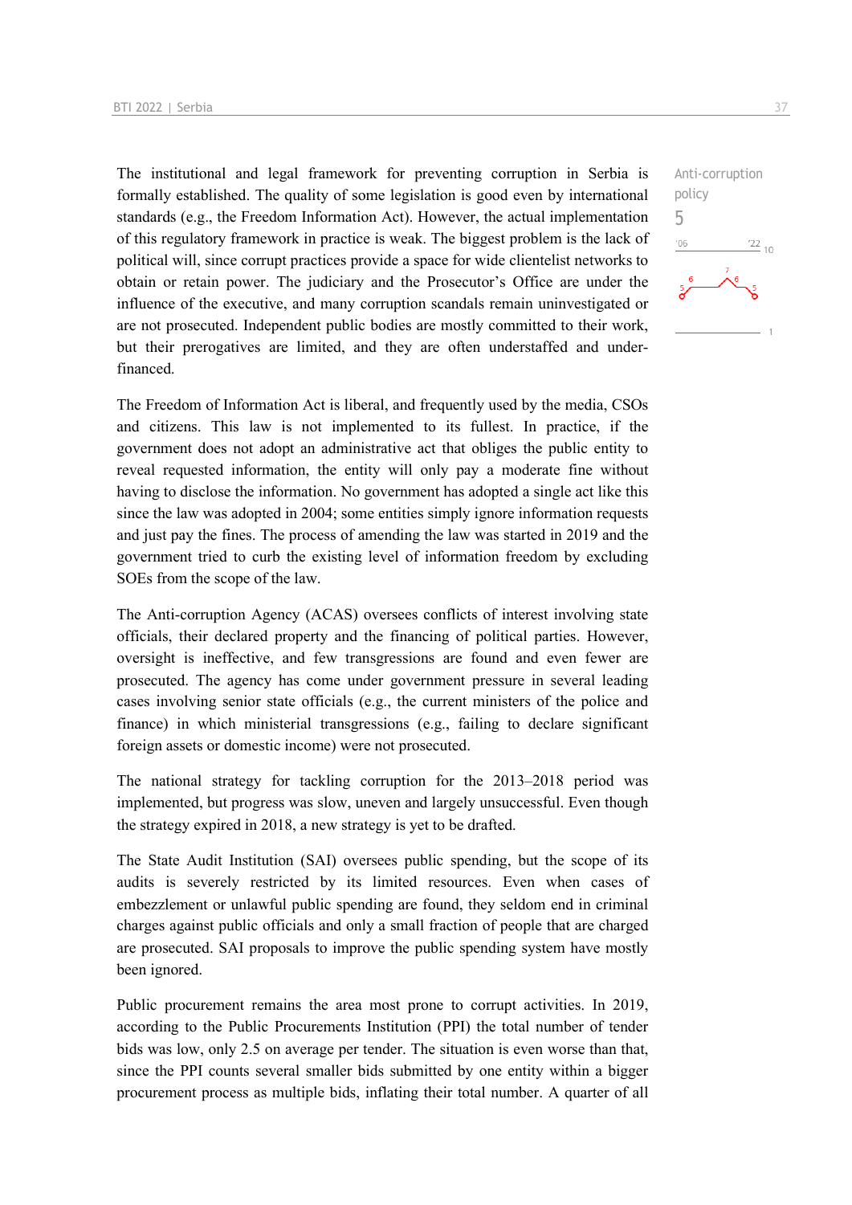The institutional and legal framework for preventing corruption in Serbia is formally established. The quality of some legislation is good even by international standards (e.g., the Freedom Information Act). However, the actual implementation of this regulatory framework in practice is weak. The biggest problem is the lack of political will, since corrupt practices provide a space for wide clientelist networks to obtain or retain power. The judiciary and the Prosecutor's Office are under the influence of the executive, and many corruption scandals remain uninvestigated or are not prosecuted. Independent public bodies are mostly committed to their work, but their prerogatives are limited, and they are often understaffed and underfinanced.

The Freedom of Information Act is liberal, and frequently used by the media, CSOs and citizens. This law is not implemented to its fullest. In practice, if the government does not adopt an administrative act that obliges the public entity to reveal requested information, the entity will only pay a moderate fine without having to disclose the information. No government has adopted a single act like this since the law was adopted in 2004; some entities simply ignore information requests and just pay the fines. The process of amending the law was started in 2019 and the government tried to curb the existing level of information freedom by excluding SOEs from the scope of the law.

The Anti-corruption Agency (ACAS) oversees conflicts of interest involving state officials, their declared property and the financing of political parties. However, oversight is ineffective, and few transgressions are found and even fewer are prosecuted. The agency has come under government pressure in several leading cases involving senior state officials (e.g., the current ministers of the police and finance) in which ministerial transgressions (e.g., failing to declare significant foreign assets or domestic income) were not prosecuted.

The national strategy for tackling corruption for the 2013–2018 period was implemented, but progress was slow, uneven and largely unsuccessful. Even though the strategy expired in 2018, a new strategy is yet to be drafted.

The State Audit Institution (SAI) oversees public spending, but the scope of its audits is severely restricted by its limited resources. Even when cases of embezzlement or unlawful public spending are found, they seldom end in criminal charges against public officials and only a small fraction of people that are charged are prosecuted. SAI proposals to improve the public spending system have mostly been ignored.

Public procurement remains the area most prone to corrupt activities. In 2019, according to the Public Procurements Institution (PPI) the total number of tender bids was low, only 2.5 on average per tender. The situation is even worse than that, since the PPI counts several smaller bids submitted by one entity within a bigger procurement process as multiple bids, inflating their total number. A quarter of all

 $\frac{22}{10}$ 

Anti-corruption

policy 5 $06'$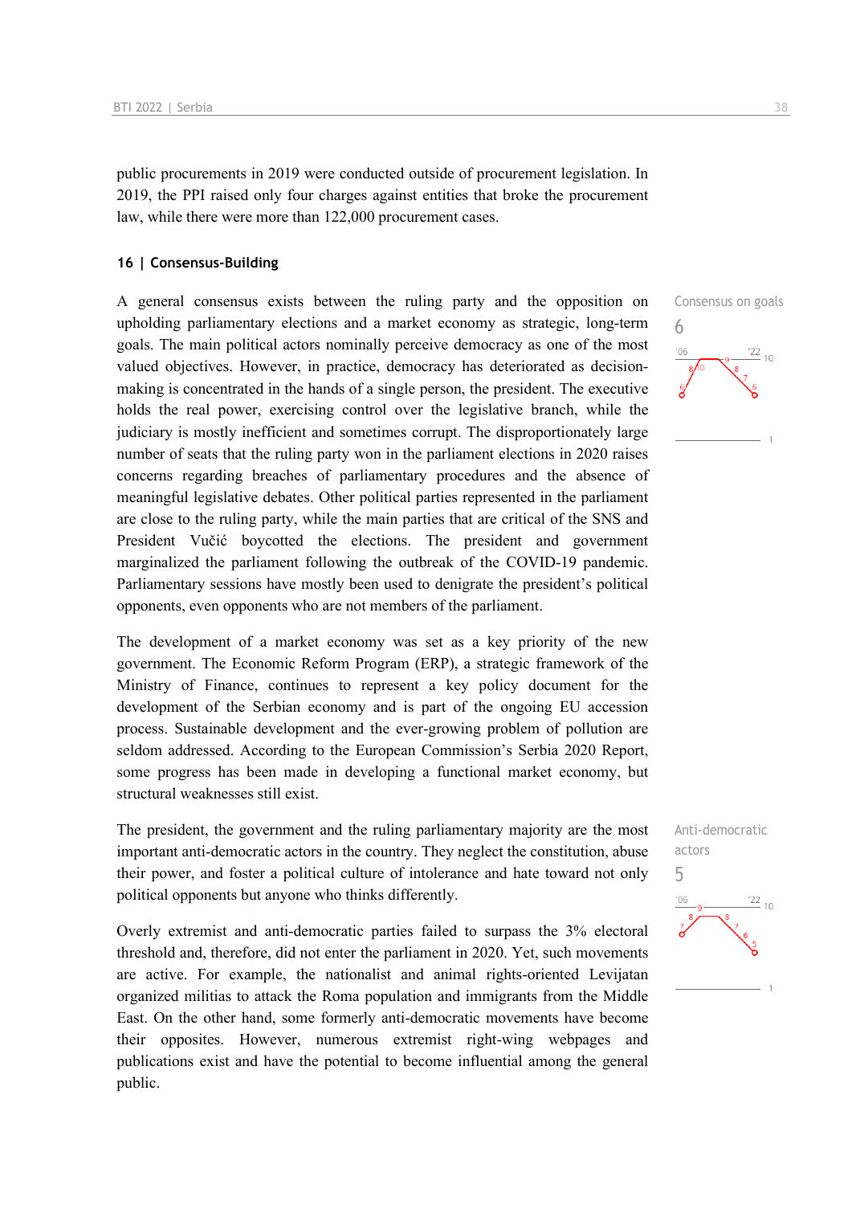public procurements in 2019 were conducted outside of procurement legislation. In 2019, the PPI raised only four charges against entities that broke the procurement law, while there were more than 122,000 procurement cases.

#### **16 | Consensus-Building**

A general consensus exists between the ruling party and the opposition on upholding parliamentary elections and a market economy as strategic, long-term goals. The main political actors nominally perceive democracy as one of the most valued objectives. However, in practice, democracy has deteriorated as decisionmaking is concentrated in the hands of a single person, the president. The executive holds the real power, exercising control over the legislative branch, while the judiciary is mostly inefficient and sometimes corrupt. The disproportionately large number of seats that the ruling party won in the parliament elections in 2020 raises concerns regarding breaches of parliamentary procedures and the absence of meaningful legislative debates. Other political parties represented in the parliament are close to the ruling party, while the main parties that are critical of the SNS and President Vučić boycotted the elections. The president and government marginalized the parliament following the outbreak of the COVID-19 pandemic. Parliamentary sessions have mostly been used to denigrate the president's political opponents, even opponents who are not members of the parliament.

The development of a market economy was set as a key priority of the new government. The Economic Reform Program (ERP), a strategic framework of the Ministry of Finance, continues to represent a key policy document for the development of the Serbian economy and is part of the ongoing EU accession process. Sustainable development and the ever-growing problem of pollution are seldom addressed. According to the European Commission's Serbia 2020 Report, some progress has been made in developing a functional market economy, but structural weaknesses still exist.

The president, the government and the ruling parliamentary majority are the most important anti-democratic actors in the country. They neglect the constitution, abuse their power, and foster a political culture of intolerance and hate toward not only political opponents but anyone who thinks differently.

Overly extremist and anti-democratic parties failed to surpass the 3% electoral threshold and, therefore, did not enter the parliament in 2020. Yet, such movements are active. For example, the nationalist and animal rights-oriented Levijatan organized militias to attack the Roma population and immigrants from the Middle East. On the other hand, some formerly anti-democratic movements have become their opposites. However, numerous extremist right-wing webpages and publications exist and have the potential to become influential among the general public.



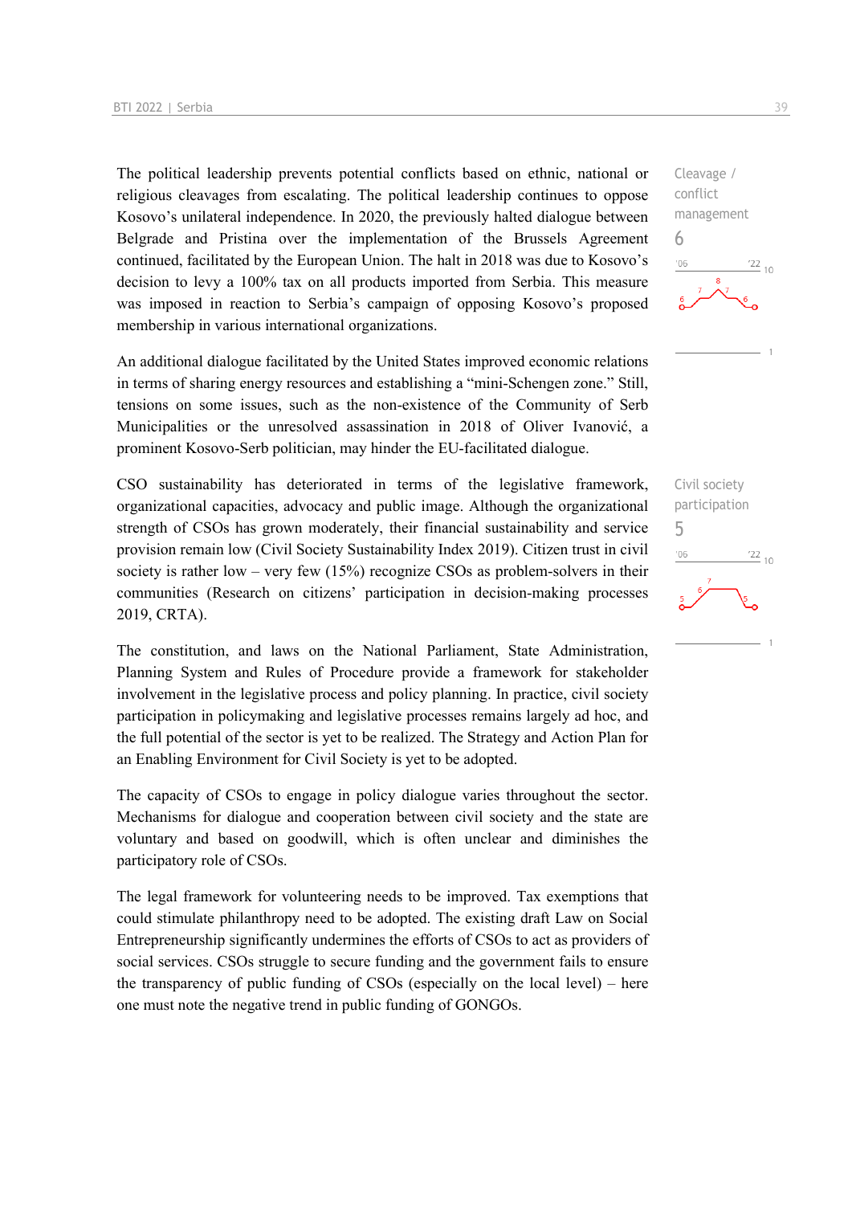The political leadership prevents potential conflicts based on ethnic, national or religious cleavages from escalating. The political leadership continues to oppose Kosovo's unilateral independence. In 2020, the previously halted dialogue between Belgrade and Pristina over the implementation of the Brussels Agreement continued, facilitated by the European Union. The halt in 2018 was due to Kosovo's decision to levy a 100% tax on all products imported from Serbia. This measure was imposed in reaction to Serbia's campaign of opposing Kosovo's proposed membership in various international organizations.

An additional dialogue facilitated by the United States improved economic relations in terms of sharing energy resources and establishing a "mini-Schengen zone." Still, tensions on some issues, such as the non-existence of the Community of Serb Municipalities or the unresolved assassination in 2018 of Oliver Ivanović, a prominent Kosovo-Serb politician, may hinder the EU-facilitated dialogue.

CSO sustainability has deteriorated in terms of the legislative framework, organizational capacities, advocacy and public image. Although the organizational strength of CSOs has grown moderately, their financial sustainability and service provision remain low (Civil Society Sustainability Index 2019). Citizen trust in civil society is rather low – very few  $(15%)$  recognize CSOs as problem-solvers in their communities (Research on citizens' participation in decision-making processes 2019, CRTA).

The constitution, and laws on the National Parliament, State Administration, Planning System and Rules of Procedure provide a framework for stakeholder involvement in the legislative process and policy planning. In practice, civil society participation in policymaking and legislative processes remains largely ad hoc, and the full potential of the sector is yet to be realized. The Strategy and Action Plan for an Enabling Environment for Civil Society is yet to be adopted.

The capacity of CSOs to engage in policy dialogue varies throughout the sector. Mechanisms for dialogue and cooperation between civil society and the state are voluntary and based on goodwill, which is often unclear and diminishes the participatory role of CSOs.

The legal framework for volunteering needs to be improved. Tax exemptions that could stimulate philanthropy need to be adopted. The existing draft Law on Social Entrepreneurship significantly undermines the efforts of CSOs to act as providers of social services. CSOs struggle to secure funding and the government fails to ensure the transparency of public funding of CSOs (especially on the local level) – here one must note the negative trend in public funding of GONGOs.



Civil society participation 5 $106$  $\frac{22}{10}$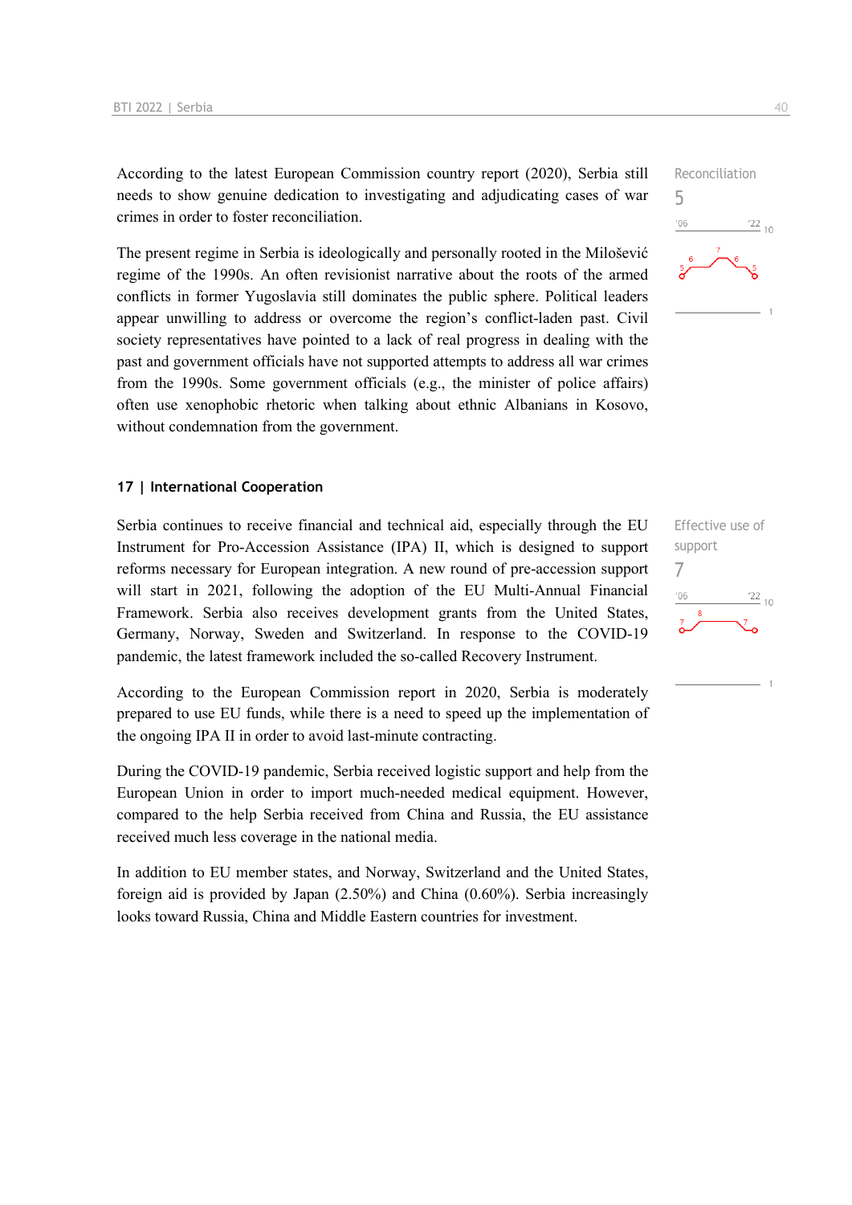According to the latest European Commission country report (2020), Serbia still needs to show genuine dedication to investigating and adjudicating cases of war crimes in order to foster reconciliation.

The present regime in Serbia is ideologically and personally rooted in the Milošević regime of the 1990s. An often revisionist narrative about the roots of the armed conflicts in former Yugoslavia still dominates the public sphere. Political leaders appear unwilling to address or overcome the region's conflict-laden past. Civil society representatives have pointed to a lack of real progress in dealing with the past and government officials have not supported attempts to address all war crimes from the 1990s. Some government officials (e.g., the minister of police affairs) often use xenophobic rhetoric when talking about ethnic Albanians in Kosovo, without condemnation from the government.

#### **17 | International Cooperation**

Serbia continues to receive financial and technical aid, especially through the EU Instrument for Pro-Accession Assistance (IPA) II, which is designed to support reforms necessary for European integration. A new round of pre-accession support will start in 2021, following the adoption of the EU Multi-Annual Financial Framework. Serbia also receives development grants from the United States, Germany, Norway, Sweden and Switzerland. In response to the COVID-19 pandemic, the latest framework included the so-called Recovery Instrument.

According to the European Commission report in 2020, Serbia is moderately prepared to use EU funds, while there is a need to speed up the implementation of the ongoing IPA II in order to avoid last-minute contracting.

During the COVID-19 pandemic, Serbia received logistic support and help from the European Union in order to import much-needed medical equipment. However, compared to the help Serbia received from China and Russia, the EU assistance received much less coverage in the national media.

In addition to EU member states, and Norway, Switzerland and the United States, foreign aid is provided by Japan (2.50%) and China (0.60%). Serbia increasingly looks toward Russia, China and Middle Eastern countries for investment.



Effective use of support 7 $\frac{22}{10}$  $-06$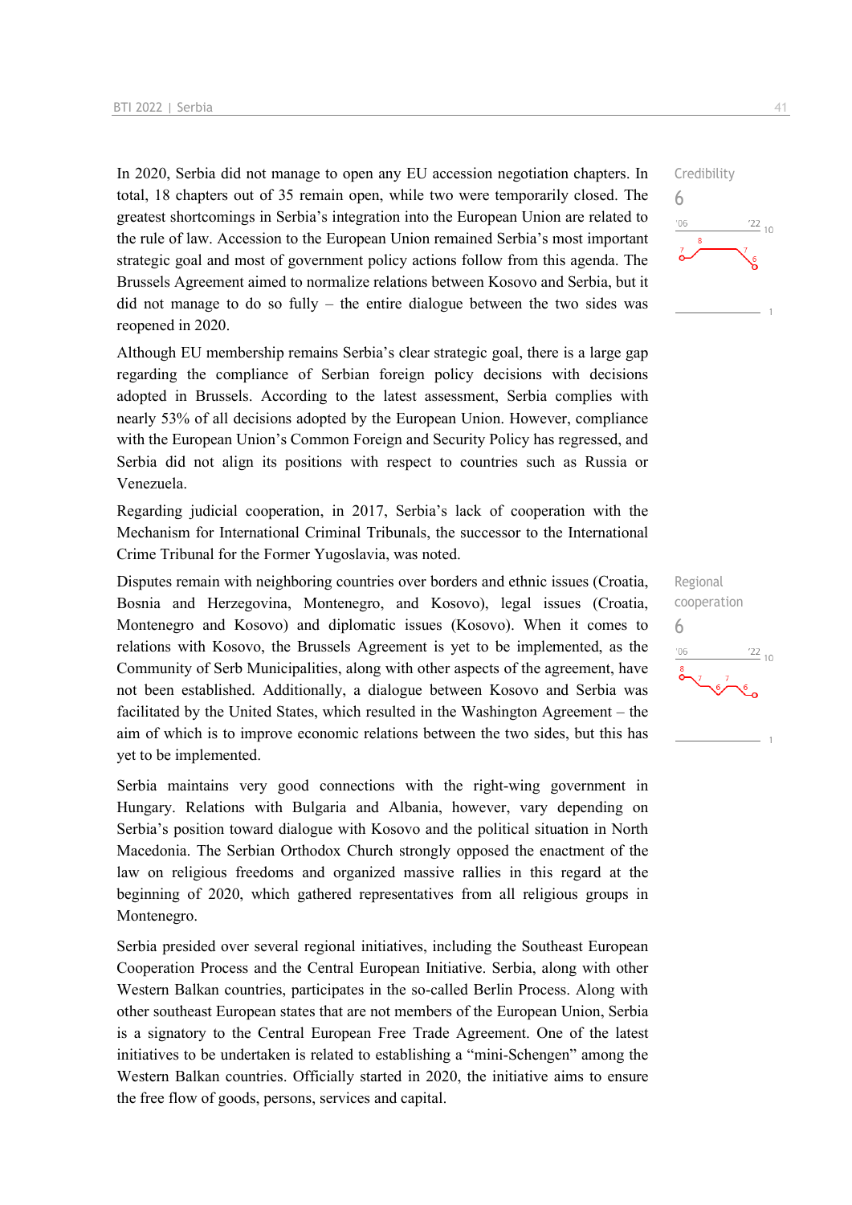In 2020, Serbia did not manage to open any EU accession negotiation chapters. In total, 18 chapters out of 35 remain open, while two were temporarily closed. The greatest shortcomings in Serbia's integration into the European Union are related to the rule of law. Accession to the European Union remained Serbia's most important strategic goal and most of government policy actions follow from this agenda. The Brussels Agreement aimed to normalize relations between Kosovo and Serbia, but it did not manage to do so fully – the entire dialogue between the two sides was reopened in 2020.

Although EU membership remains Serbia's clear strategic goal, there is a large gap regarding the compliance of Serbian foreign policy decisions with decisions adopted in Brussels. According to the latest assessment, Serbia complies with nearly 53% of all decisions adopted by the European Union. However, compliance with the European Union's Common Foreign and Security Policy has regressed, and Serbia did not align its positions with respect to countries such as Russia or Venezuela.

Regarding judicial cooperation, in 2017, Serbia's lack of cooperation with the Mechanism for International Criminal Tribunals, the successor to the International Crime Tribunal for the Former Yugoslavia, was noted.

Disputes remain with neighboring countries over borders and ethnic issues (Croatia, Bosnia and Herzegovina, Montenegro, and Kosovo), legal issues (Croatia, Montenegro and Kosovo) and diplomatic issues (Kosovo). When it comes to relations with Kosovo, the Brussels Agreement is yet to be implemented, as the Community of Serb Municipalities, along with other aspects of the agreement, have not been established. Additionally, a dialogue between Kosovo and Serbia was facilitated by the United States, which resulted in the Washington Agreement – the aim of which is to improve economic relations between the two sides, but this has yet to be implemented.

Serbia maintains very good connections with the right-wing government in Hungary. Relations with Bulgaria and Albania, however, vary depending on Serbia's position toward dialogue with Kosovo and the political situation in North Macedonia. The Serbian Orthodox Church strongly opposed the enactment of the law on religious freedoms and organized massive rallies in this regard at the beginning of 2020, which gathered representatives from all religious groups in Montenegro.

Serbia presided over several regional initiatives, including the Southeast European Cooperation Process and the Central European Initiative. Serbia, along with other Western Balkan countries, participates in the so-called Berlin Process. Along with other southeast European states that are not members of the European Union, Serbia is a signatory to the Central European Free Trade Agreement. One of the latest initiatives to be undertaken is related to establishing a "mini-Schengen" among the Western Balkan countries. Officially started in 2020, the initiative aims to ensure the free flow of goods, persons, services and capital.



Regional cooperation 6 $\frac{22}{10}$  $-06$